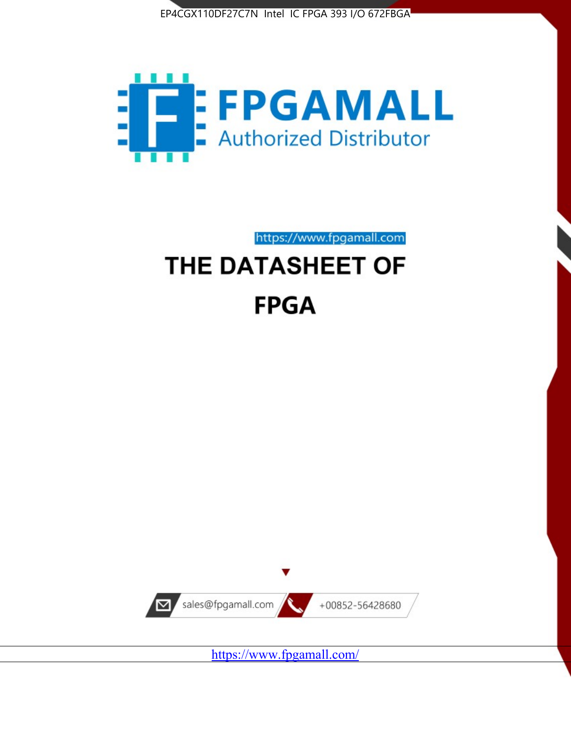



https://www.fpgamall.com THE DATASHEET OF

# **FPGA**



<https://www.fpgamall.com/>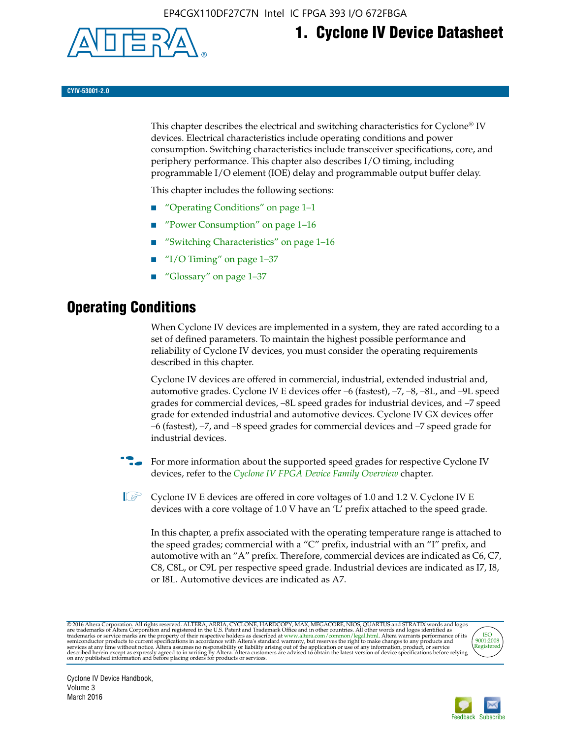

# **1. Cyclone IV Device Datasheet**

**CYIV-53001-2.0**

This chapter describes the electrical and switching characteristics for Cyclone<sup>®</sup> IV devices. Electrical characteristics include operating conditions and power consumption. Switching characteristics include transceiver specifications, core, and periphery performance. This chapter also describes I/O timing, including programmable I/O element (IOE) delay and programmable output buffer delay.

This chapter includes the following sections:

- "Operating Conditions" on page 1–1
- "Power Consumption" on page 1–16
- "Switching Characteristics" on page 1–16
- " $I/O$  Timing" on page  $1-37$
- "Glossary" on page 1–37

# **Operating Conditions**

When Cyclone IV devices are implemented in a system, they are rated according to a set of defined parameters. To maintain the highest possible performance and reliability of Cyclone IV devices, you must consider the operating requirements described in this chapter.

Cyclone IV devices are offered in commercial, industrial, extended industrial and, automotive grades. Cyclone IV E devices offer –6 (fastest), –7, –8, –8L, and –9L speed grades for commercial devices, –8L speed grades for industrial devices, and –7 speed grade for extended industrial and automotive devices. Cyclone IV GX devices offer –6 (fastest), –7, and –8 speed grades for commercial devices and –7 speed grade for industrial devices.

**For more information about the supported speed grades for respective Cyclone IV** devices, refer to the *[Cyclone IV FPGA Device Family Overview](http://www.altera.com/literature/hb/cyclone-iv/cyiv-51001.pdf)* chapter.

**1** Cyclone IV E devices are offered in core voltages of 1.0 and 1.2 V. Cyclone IV E devices with a core voltage of 1.0 V have an 'L' prefix attached to the speed grade.

In this chapter, a prefix associated with the operating temperature range is attached to the speed grades; commercial with a "C" prefix, industrial with an "I" prefix, and automotive with an "A" prefix. Therefore, commercial devices are indicated as C6, C7, C8, C8L, or C9L per respective speed grade. Industrial devices are indicated as I7, I8, or I8L. Automotive devices are indicated as A7.

@2016 Altera Corporation. All rights reserved. ALTERA, ARRIA, CYCLONE, HARDCOPY, MAX, MEGACORE, NIOS, QUARTUS and STRATIX words and logos are trademarks of Altera Corporation and registered in the U.S. Patent and Trademark



Cyclone IV Device Handbook, Volume 3 March 2016

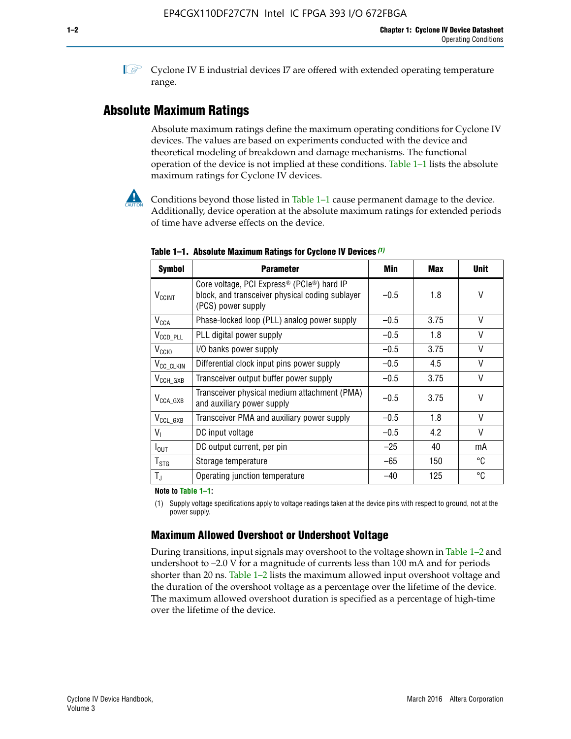**1 Cyclone IV E industrial devices I7 are offered with extended operating temperature** range.

# **Absolute Maximum Ratings**

Absolute maximum ratings define the maximum operating conditions for Cyclone IV devices. The values are based on experiments conducted with the device and theoretical modeling of breakdown and damage mechanisms. The functional operation of the device is not implied at these conditions. Table 1–1 lists the absolute maximum ratings for Cyclone IV devices.



**Conditions beyond those listed in Table 1–1 cause permanent damage to the device.** Additionally, device operation at the absolute maximum ratings for extended periods of time have adverse effects on the device.

| <b>Symbol</b>              | <b>Parameter</b>                                                                                                                | Min    | Max  | <b>Unit</b>  |
|----------------------------|---------------------------------------------------------------------------------------------------------------------------------|--------|------|--------------|
| <b>V<sub>CCINT</sub></b>   | Core voltage, PCI Express <sup>®</sup> (PCIe®) hard IP<br>block, and transceiver physical coding sublayer<br>(PCS) power supply | $-0.5$ | 1.8  | V            |
| <b>V<sub>CCA</sub></b>     | Phase-locked loop (PLL) analog power supply                                                                                     | $-0.5$ | 3.75 | $\vee$       |
| $V_{\text{CCD\_PLL}}$      | PLL digital power supply                                                                                                        | $-0.5$ | 1.8  | V            |
| $V_{\text{CGIO}}$          | I/O banks power supply                                                                                                          | $-0.5$ | 3.75 | $\vee$       |
| V <sub>CC_CLKIN</sub>      | Differential clock input pins power supply                                                                                      | $-0.5$ | 4.5  | $\vee$       |
| $V_{\text{CCH_GXB}}$       | Transceiver output buffer power supply                                                                                          | $-0.5$ | 3.75 | V            |
| $V_{\text{CCA\_GXB}}$      | Transceiver physical medium attachment (PMA)<br>and auxiliary power supply                                                      | $-0.5$ | 3.75 | $\vee$       |
| $V_{CCL_GXB}$              | Transceiver PMA and auxiliary power supply                                                                                      | $-0.5$ | 1.8  | $\mathsf{V}$ |
| $V_{1}$                    | DC input voltage                                                                                                                | $-0.5$ | 4.2  | $\vee$       |
| $I_{\text{OUT}}$           | DC output current, per pin                                                                                                      | $-25$  | 40   | mA           |
| ${\mathsf T}_{\text{STG}}$ | Storage temperature                                                                                                             | -65    | 150  | °C           |
| $T_{\rm J}$                | Operating junction temperature                                                                                                  | $-40$  | 125  | °C           |

**Table 1–1. Absolute Maximum Ratings for Cyclone IV Devices** *(1)*

**Note to Table 1–1:**

(1) Supply voltage specifications apply to voltage readings taken at the device pins with respect to ground, not at the power supply.

# **Maximum Allowed Overshoot or Undershoot Voltage**

During transitions, input signals may overshoot to the voltage shown in Table 1–2 and undershoot to –2.0 V for a magnitude of currents less than 100 mA and for periods shorter than 20 ns. Table 1–2 lists the maximum allowed input overshoot voltage and the duration of the overshoot voltage as a percentage over the lifetime of the device. The maximum allowed overshoot duration is specified as a percentage of high-time over the lifetime of the device.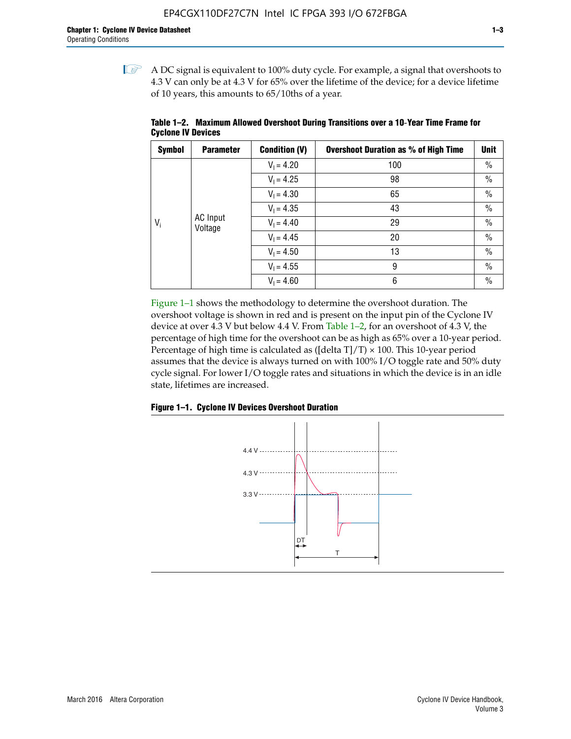$\mathbb{I}$  A DC signal is equivalent to 100% duty cycle. For example, a signal that overshoots to 4.3 V can only be at 4.3 V for 65% over the lifetime of the device; for a device lifetime of 10 years, this amounts to 65/10ths of a year.

| <b>Symbol</b> | <b>Parameter</b>           | <b>Condition (V)</b> | <b>Overshoot Duration as % of High Time</b> | <b>Unit</b>   |
|---------------|----------------------------|----------------------|---------------------------------------------|---------------|
|               |                            | $V_1 = 4.20$         | 100                                         | $\%$          |
|               |                            | $V_1 = 4.25$         | 98                                          | $\%$          |
|               | <b>AC</b> Input<br>Voltage | $V_1 = 4.30$         | 65                                          | $\%$          |
|               |                            | $V_1 = 4.35$         | 43                                          | $\%$          |
| $V_i$         |                            | $V_1 = 4.40$         | 29                                          | $\frac{0}{0}$ |
|               |                            | $V_1 = 4.45$         | 20                                          | $\%$          |
|               |                            | $V_1 = 4.50$         | 13                                          | $\%$          |
|               |                            | $V_1 = 4.55$         | 9                                           | $\frac{0}{0}$ |
|               |                            | $V_1 = 4.60$         | 6                                           | $\frac{0}{0}$ |

**Table 1–2. Maximum Allowed Overshoot During Transitions over a 10**-**Year Time Frame for Cyclone IV Devices**

Figure 1–1 shows the methodology to determine the overshoot duration. The overshoot voltage is shown in red and is present on the input pin of the Cyclone IV device at over 4.3 V but below 4.4 V. From Table 1–2, for an overshoot of 4.3 V, the percentage of high time for the overshoot can be as high as 65% over a 10-year period. Percentage of high time is calculated as ([delta  $T$ ]/T)  $\times$  100. This 10-year period assumes that the device is always turned on with 100% I/O toggle rate and 50% duty cycle signal. For lower I/O toggle rates and situations in which the device is in an idle state, lifetimes are increased.



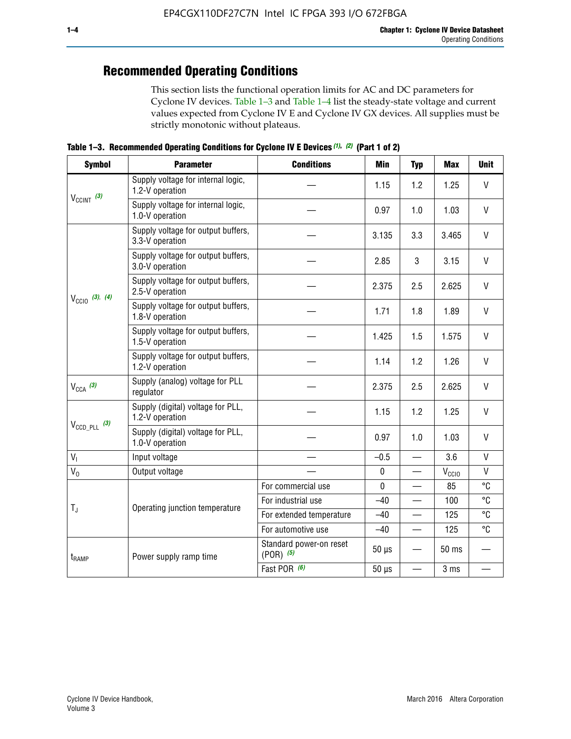# **Recommended Operating Conditions**

This section lists the functional operation limits for AC and DC parameters for Cyclone IV devices. Table 1–3 and Table 1–4 list the steady-state voltage and current values expected from Cyclone IV E and Cyclone IV GX devices. All supplies must be strictly monotonic without plateaus.

**Table 1–3. Recommended Operating Conditions for Cyclone IV E Devices** *(1)***,** *(2)* **(Part 1 of 2)**

| <b>Symbol</b>              | <b>Parameter</b>                                      | <b>Conditions</b>                        | <b>Min</b>  | <b>Typ</b>                                                                | <b>Max</b>     | <b>Unit</b>  |
|----------------------------|-------------------------------------------------------|------------------------------------------|-------------|---------------------------------------------------------------------------|----------------|--------------|
|                            | Supply voltage for internal logic,<br>1.2-V operation |                                          | 1.15        | 1.2                                                                       | 1.25           | $\mathsf{V}$ |
| $V_{CClNT}$ (3)            | Supply voltage for internal logic,<br>1.0-V operation |                                          | 0.97        | 1.0                                                                       | 1.03           | $\mathsf{V}$ |
| $V_{\text{CC10}}$ (3), (4) | Supply voltage for output buffers,<br>3.3-V operation |                                          | 3.135       | 3.3                                                                       | 3.465          | $\vee$       |
|                            | Supply voltage for output buffers,<br>3.0-V operation |                                          | 2.85        | 3                                                                         | 3.15           | V            |
|                            | Supply voltage for output buffers,<br>2.5-V operation |                                          | 2.375       | 2.5                                                                       | 2.625          | $\vee$       |
|                            | Supply voltage for output buffers,<br>1.8-V operation |                                          | 1.71        | 1.8                                                                       | 1.89           | V            |
|                            | Supply voltage for output buffers,<br>1.5-V operation |                                          | 1.425       | 1.5                                                                       | 1.575          | $\vee$       |
|                            | Supply voltage for output buffers,<br>1.2-V operation |                                          | 1.14        | 1.2                                                                       | 1.26           | $\mathsf{V}$ |
| $V_{CCA}$ (3)              | Supply (analog) voltage for PLL<br>regulator          |                                          | 2.375       | 2.5                                                                       | 2.625          | $\vee$       |
|                            | Supply (digital) voltage for PLL,<br>1.2-V operation  |                                          | 1.15        | 1.2                                                                       | 1.25           | V            |
| $V_{\text{CCD\_PLL}}$ (3)  | Supply (digital) voltage for PLL,<br>1.0-V operation  |                                          | 0.97        | 1.0                                                                       | 1.03           | $\vee$       |
| V <sub>1</sub>             | Input voltage                                         |                                          | $-0.5$      | $\overline{\phantom{0}}$                                                  | 3.6            | $\mathsf{V}$ |
| $V_0$                      | Output voltage                                        |                                          | $\pmb{0}$   | —                                                                         | $V_{\rm CClO}$ | $\mathsf{V}$ |
|                            |                                                       | For commercial use                       | $\mathbf 0$ |                                                                           | 85             | °C           |
|                            | Operating junction temperature                        | For industrial use                       | $-40$       |                                                                           | 100            | °C           |
| $T_{\rm J}$                |                                                       | For extended temperature                 | $-40$       |                                                                           | 125            | °C           |
|                            |                                                       | For automotive use                       | $-40$       | °C<br>125<br>$\qquad \qquad$<br>50 ms<br>3 ms<br>$\overline{\phantom{0}}$ |                |              |
| $t_{\rm{RAMP}}$            | Power supply ramp time                                | Standard power-on reset<br>$(POR)$ $(5)$ | $50 \mu s$  |                                                                           |                |              |
|                            |                                                       | Fast POR (6)                             | $50 \mu s$  |                                                                           |                |              |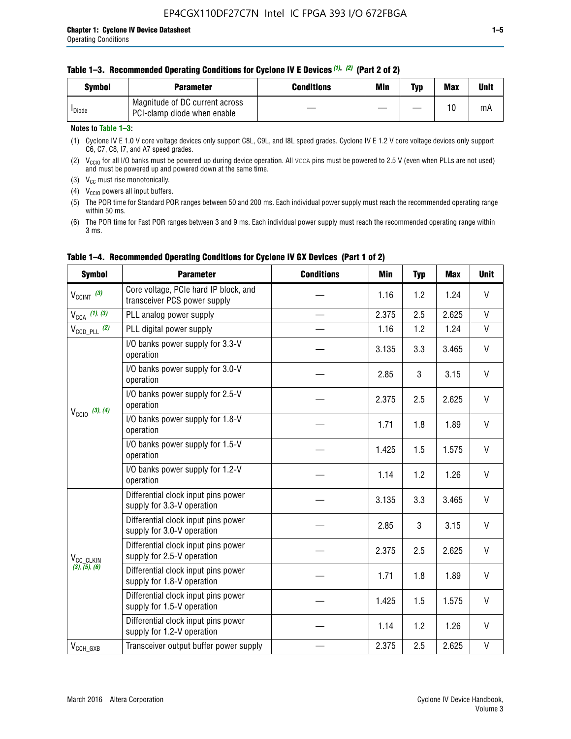|  | Table 1–3. Recommended Operating Conditions for Cyclone IV E Devices (1), (2) (Part 2 of 2) |  |  |  |
|--|---------------------------------------------------------------------------------------------|--|--|--|
|--|---------------------------------------------------------------------------------------------|--|--|--|

| <b>Symbol</b>      | Parameter                                                     | Conditions | Min | Typ | <b>Max</b> | Unit |
|--------------------|---------------------------------------------------------------|------------|-----|-----|------------|------|
| <sup>I</sup> Diode | Magnitude of DC current across<br>PCI-clamp diode when enable |            |     |     | 10         | mA   |

#### **Notes to Table 1–3:**

(1) Cyclone IV E 1.0 V core voltage devices only support C8L, C9L, and I8L speed grades. Cyclone IV E 1.2 V core voltage devices only support C6, C7, C8, I7, and A7 speed grades.

(2)  $V_{CCIO}$  for all I/O banks must be powered up during device operation. All vcca pins must be powered to 2.5 V (even when PLLs are not used) and must be powered up and powered down at the same time.

(3)  $V_{CC}$  must rise monotonically.

(4)  $V_{\text{CCIO}}$  powers all input buffers.

(5) The POR time for Standard POR ranges between 50 and 200 ms. Each individual power supply must reach the recommended operating range within 50 ms.

(6) The POR time for Fast POR ranges between 3 and 9 ms. Each individual power supply must reach the recommended operating range within 3 ms.

| <b>Symbol</b>              | <b>Parameter</b>                                                      | <b>Conditions</b> | <b>Min</b> | <b>Typ</b> | <b>Max</b> | <b>Unit</b>                                                                                                                                            |
|----------------------------|-----------------------------------------------------------------------|-------------------|------------|------------|------------|--------------------------------------------------------------------------------------------------------------------------------------------------------|
| $V_{CClNT}$ (3)            | Core voltage, PCIe hard IP block, and<br>transceiver PCS power supply |                   | 1.16       | 1.2        | 1.24       | V                                                                                                                                                      |
| $V_{CCA}$ (1), (3)         | PLL analog power supply                                               |                   | 2.375      | 2.5        | 2.625      | V                                                                                                                                                      |
| $V_{\text{CCD PL}}$ (2)    | PLL digital power supply                                              |                   | 1.16       | 1.2        | 1.24       | $\mathsf{V}$                                                                                                                                           |
|                            | I/O banks power supply for 3.3-V<br>operation                         |                   | 3.135      | 3.3        | 3.465      | V                                                                                                                                                      |
|                            | I/O banks power supply for 3.0-V<br>operation                         |                   | 2.85       | 3          | 3.15       | V                                                                                                                                                      |
| $V_{\text{CC10}}$ (3), (4) | I/O banks power supply for 2.5-V<br>operation                         |                   | 2.375      | 2.5        | 2.625      | V                                                                                                                                                      |
|                            | I/O banks power supply for 1.8-V<br>operation                         |                   | 1.71       | 1.8        | 1.89       | V                                                                                                                                                      |
|                            | I/O banks power supply for 1.5-V<br>operation                         |                   | 1.425      | 1.5        | 1.575      | V                                                                                                                                                      |
|                            | I/O banks power supply for 1.2-V<br>operation                         |                   | 1.14       | 1.2        | 1.26       | $\vee$<br>$\mathsf{V}$<br>3.465<br>V<br>3.15<br>$\mathsf{V}$<br>2.625<br>$\mathsf{V}$<br>1.89<br>V<br>1.575<br>$\vee$<br>1.26<br>$\mathsf{V}$<br>2.625 |
|                            | Differential clock input pins power<br>supply for 3.3-V operation     |                   | 3.135      | 3.3        |            |                                                                                                                                                        |
|                            | Differential clock input pins power<br>supply for 3.0-V operation     |                   | 2.85       | 3          |            |                                                                                                                                                        |
| V <sub>CC_CLKIN</sub>      | Differential clock input pins power<br>supply for 2.5-V operation     |                   | 2.375      | 2.5        |            |                                                                                                                                                        |
| (3), (5), (6)              | Differential clock input pins power<br>supply for 1.8-V operation     |                   | 1.71       | 1.8        |            |                                                                                                                                                        |
|                            | Differential clock input pins power<br>supply for 1.5-V operation     |                   | 1.425      | 1.5        |            |                                                                                                                                                        |
|                            | Differential clock input pins power<br>supply for 1.2-V operation     |                   | 1.14       | 1.2        |            |                                                                                                                                                        |
| $V_{CCH\_GXB}$             | Transceiver output buffer power supply                                |                   | 2.375      | 2.5        |            |                                                                                                                                                        |

#### **Table 1–4. Recommended Operating Conditions for Cyclone IV GX Devices (Part 1 of 2)**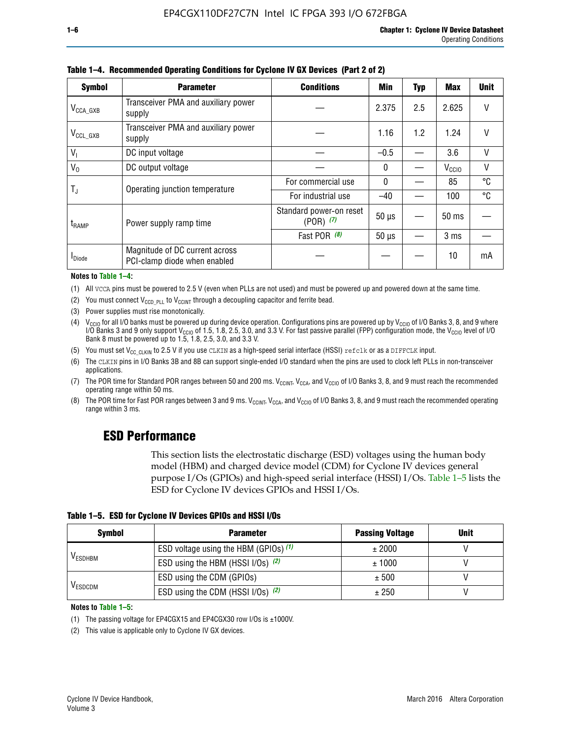| <b>Symbol</b>         | <b>Parameter</b>                                               | <b>Conditions</b>                        |              |     |                   | <b>Unit</b> |
|-----------------------|----------------------------------------------------------------|------------------------------------------|--------------|-----|-------------------|-------------|
| $V_{\text{CCA\_GXB}}$ | Transceiver PMA and auxiliary power<br>supply                  |                                          | 2.375        | 2.5 | 2.625             | V           |
| $V_{CCL_GXB}$         | Transceiver PMA and auxiliary power<br>supply                  |                                          | 1.16         | 1.2 | 1.24              |             |
| $V_1$                 | DC input voltage                                               |                                          | $-0.5$       |     | 3.6               | $\vee$      |
| $V_0$                 | DC output voltage                                              |                                          | 0            |     | V <sub>CCIO</sub> | V           |
|                       | Operating junction temperature                                 | For commercial use                       | $\mathbf{0}$ |     | 85                | °C          |
| T,                    |                                                                | For industrial use                       | $-40$        |     | 100               | °C          |
| t <sub>RAMP</sub>     | Power supply ramp time                                         | Standard power-on reset<br>$(POR)$ $(7)$ | $50 \mu s$   |     | $50$ ms           |             |
|                       |                                                                | Fast POR (8)                             | $50 \mu s$   |     | 3 <sub>ms</sub>   |             |
| <b>I</b> Diode        | Magnitude of DC current across<br>PCI-clamp diode when enabled |                                          |              |     | 10                | mA          |

**Table 1–4. Recommended Operating Conditions for Cyclone IV GX Devices (Part 2 of 2)**

**Notes to Table 1–4:**

- (1) All VCCA pins must be powered to 2.5 V (even when PLLs are not used) and must be powered up and powered down at the same time.
- (2) You must connect  $V_{CCD-PLL}$  to  $V_{CCINT}$  through a decoupling capacitor and ferrite bead.
- (3) Power supplies must rise monotonically.
- (4)  $V_{\text{CCIO}}$  for all I/O banks must be powered up during device operation. Configurations pins are powered up by V<sub>CCIO</sub> of I/O Banks 3, 8, and 9 where I/O Banks 3 and 9 only support V<sub>CCIO</sub> of 1.5, 1.8, 2.5, 3.0, and 3.3 V. For fast passive parallel (FPP) configuration mode, the V<sub>CCIO</sub> level of I/O<br>Bank 8 must be powered up to 1.5, 1.8, 2.5, 3.0, and 3.3 V.
- (5) You must set  $V_{CC_CCLKIN}$  to 2.5 V if you use CLKIN as a high-speed serial interface (HSSI) refclk or as a DIFFCLK input.
- (6) The CLKIN pins in I/O Banks 3B and 8B can support single-ended I/O standard when the pins are used to clock left PLLs in non-transceiver applications.
- (7) The POR time for Standard POR ranges between 50 and 200 ms.  $V_{\text{CCIA}}$ ,  $V_{\text{CCIA}}$ , and  $V_{\text{CCIO}}$  of I/O Banks 3, 8, and 9 must reach the recommended operating range within 50 ms.
- (8) The POR time for Fast POR ranges between 3 and 9 ms.  $V_{\text{CCH},T}$ ,  $V_{\text{CCA}}$ , and  $V_{\text{CCI}}$  of I/O Banks 3, 8, and 9 must reach the recommended operating range within 3 ms.

# **ESD Performance**

This section lists the electrostatic discharge (ESD) voltages using the human body model (HBM) and charged device model (CDM) for Cyclone IV devices general purpose I/Os (GPIOs) and high-speed serial interface (HSSI) I/Os. Table 1–5 lists the ESD for Cyclone IV devices GPIOs and HSSI I/Os.

| Table 1–5. ESD for Cyclone IV Devices GPIOs and HSSI I/Os |
|-----------------------------------------------------------|
|-----------------------------------------------------------|

| <b>Symbol</b>  | <b>Parameter</b>                      | <b>Passing Voltage</b> | <b>Unit</b> |
|----------------|---------------------------------------|------------------------|-------------|
|                | ESD voltage using the HBM (GPIOs) (1) | ± 2000                 |             |
| <b>VESDHBM</b> | ESD using the HBM (HSSI I/Os) (2)     | ± 1000                 |             |
|                | ESD using the CDM (GPIOs)             | ± 500                  |             |
| <b>VESDCDM</b> | ESD using the CDM (HSSI I/Os) (2)     | ± 250                  |             |

#### **Notes to Table 1–5:**

(1) The passing voltage for EP4CGX15 and EP4CGX30 row I/Os is ±1000V.

(2) This value is applicable only to Cyclone IV GX devices.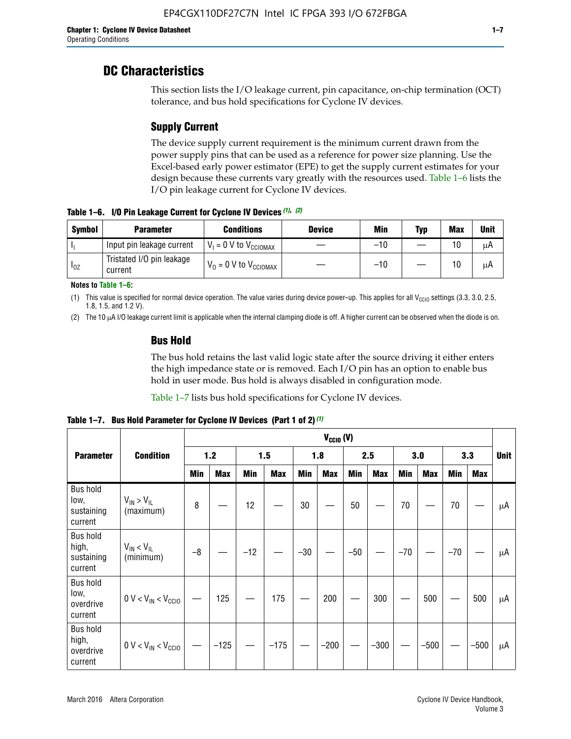# **DC Characteristics**

This section lists the I/O leakage current, pin capacitance, on-chip termination (OCT) tolerance, and bus hold specifications for Cyclone IV devices.

# **Supply Current**

The device supply current requirement is the minimum current drawn from the power supply pins that can be used as a reference for power size planning. Use the Excel-based early power estimator (EPE) to get the supply current estimates for your design because these currents vary greatly with the resources used. Table 1–6 lists the I/O pin leakage current for Cyclone IV devices.

**Table 1–6. I/O Pin Leakage Current for Cyclone IV Devices** *(1)***,** *(2)*

| <b>Symbol</b> | <b>Parameter</b>                     | <b>Conditions</b>                   | <b>Device</b> | Min   | Typ | <b>Max</b> | <b>Unit</b> |
|---------------|--------------------------------------|-------------------------------------|---------------|-------|-----|------------|-------------|
| h             | Input pin leakage current            | $V_1 = 0$ V to $V_{\text{CCIOMAX}}$ |               | $-10$ |     | 10         | μA          |
| $I_{0Z}$      | Tristated I/O pin leakage<br>current | $V_0 = 0$ V to $V_{\text{CCIOMAX}}$ |               | $-10$ |     | 10         | μA          |

**Notes to Table 1–6:**

(1) This value is specified for normal device operation. The value varies during device power-up. This applies for all V<sub>CCIO</sub> settings (3.3, 3.0, 2.5, 1.8, 1.5, and 1.2 V).

(2) The 10 µA I/O leakage current limit is applicable when the internal clamping diode is off. A higher current can be observed when the diode is on.

### **Bus Hold**

The bus hold retains the last valid logic state after the source driving it either enters the high impedance state or is removed. Each I/O pin has an option to enable bus hold in user mode. Bus hold is always disabled in configuration mode.

Table 1–7 lists bus hold specifications for Cyclone IV devices.

|                                                   |                                  | $V_{CCIO} (V)$ |            |       |            |            |            |            |            |       |            |       |            |             |
|---------------------------------------------------|----------------------------------|----------------|------------|-------|------------|------------|------------|------------|------------|-------|------------|-------|------------|-------------|
| <b>Parameter</b>                                  | <b>Condition</b>                 |                | $1.2$      |       | 1.5        |            | 1.8        |            | 2.5        |       | 3.0        |       | 3.3        | <b>Unit</b> |
|                                                   |                                  | <b>Min</b>     | <b>Max</b> | Min   | <b>Max</b> | <b>Min</b> | <b>Max</b> | <b>Min</b> | <b>Max</b> | Min   | <b>Max</b> | Min   | <b>Max</b> |             |
| <b>Bus hold</b><br>low,<br>sustaining<br>current  | $V_{IN}$ > $V_{IL}$<br>(maximum) | 8              |            | 12    |            | 30         |            | 50         |            | 70    |            | 70    |            | μA          |
| <b>Bus hold</b><br>high,<br>sustaining<br>current | $V_{IN}$ < $V_{IL}$<br>(minimum) | $-8$           |            | $-12$ |            | $-30$      |            | $-50$      |            | $-70$ |            | $-70$ |            | μA          |
| <b>Bus hold</b><br>low,<br>overdrive<br>current   | $0 V < V_{IN} < V_{CG10}$        |                | 125        |       | 175        |            | 200        |            | 300        |       | 500        |       | 500        | μA          |
| <b>Bus hold</b><br>high,<br>overdrive<br>current  | $0 V < V_{IN} < V_{CG10}$        |                | $-125$     |       | $-175$     |            | $-200$     |            | $-300$     |       | $-500$     |       | $-500$     | μA          |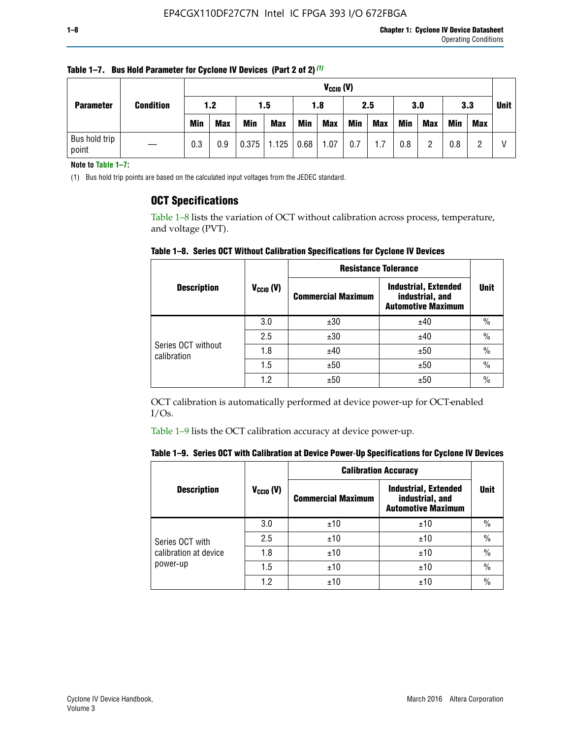|                        | <b>Condition</b> |            | $V_{CGI0} (V)$ |            |            |            |            |     |            |            |            |            |     |             |
|------------------------|------------------|------------|----------------|------------|------------|------------|------------|-----|------------|------------|------------|------------|-----|-------------|
| <b>Parameter</b>       |                  | 1.2        |                | 1.5        |            | 1.8        |            | 2.5 |            | 3.0        |            | 3.3        |     | <b>Unit</b> |
|                        |                  | <b>Min</b> | <b>Max</b>     | <b>Min</b> | <b>Max</b> | <b>Min</b> | <b>Max</b> | Min | <b>Max</b> | <b>Min</b> | <b>Max</b> | <b>Min</b> | Max |             |
| Bus hold trip<br>point |                  | 0.3        | 0.9            | 0.375      | 1.125      | 0.68       | 1.07       | 0.7 | 1.7        | 0.8        |            | 0.8        |     |             |

**Table 1–7. Bus Hold Parameter for Cyclone IV Devices (Part 2 of 2)** *(1)*

**Note to Table 1–7:**

(1) Bus hold trip points are based on the calculated input voltages from the JEDEC standard.

### **OCT Specifications**

Table 1–8 lists the variation of OCT without calibration across process, temperature, and voltage (PVT).

**Table 1–8. Series OCT Without Calibration Specifications for Cyclone IV Devices**

|                                   |                      | <b>Resistance Tolerance</b> |                                                                             |               |
|-----------------------------------|----------------------|-----------------------------|-----------------------------------------------------------------------------|---------------|
| <b>Description</b>                | $V_{\text{CCIO}}(V)$ | <b>Commercial Maximum</b>   | <b>Industrial, Extended</b><br>industrial, and<br><b>Automotive Maximum</b> | <b>Unit</b>   |
|                                   | 3.0                  | ±30                         | ±40                                                                         | $\frac{0}{0}$ |
|                                   | 2.5                  | ±30                         | ±40                                                                         | $\frac{0}{0}$ |
| Series OCT without<br>calibration | 1.8                  | ±40                         | ±50                                                                         | $\frac{0}{0}$ |
|                                   | 1.5                  | ±50                         | ±50                                                                         | $\frac{0}{0}$ |
|                                   | 1.2                  | ±50                         | ±50                                                                         | $\frac{0}{0}$ |

OCT calibration is automatically performed at device power-up for OCT-enabled I/Os.

Table 1–9 lists the OCT calibration accuracy at device power-up.

|  | Table 1–9.  Series OCT with Calibration at Device Power-Up Specifications for Cyclone IV Devices |  |  |  |
|--|--------------------------------------------------------------------------------------------------|--|--|--|
|--|--------------------------------------------------------------------------------------------------|--|--|--|

|                       |                | <b>Calibration Accuracy</b> |                                                                             |               |  |
|-----------------------|----------------|-----------------------------|-----------------------------------------------------------------------------|---------------|--|
| <b>Description</b>    | $V_{CGI0} (V)$ | <b>Commercial Maximum</b>   | <b>Industrial, Extended</b><br>industrial, and<br><b>Automotive Maximum</b> | Unit          |  |
|                       | 3.0            | ±10                         | ±10                                                                         | $\%$          |  |
| Series OCT with       | 2.5            | ±10                         | ±10                                                                         | $\%$          |  |
| calibration at device | 1.8            | ±10                         | ±10                                                                         | $\frac{0}{0}$ |  |
| power-up              | 1.5            | ±10                         | ±10                                                                         | $\frac{0}{0}$ |  |
|                       | 1.2            | ±10                         | ±10                                                                         | $\frac{0}{0}$ |  |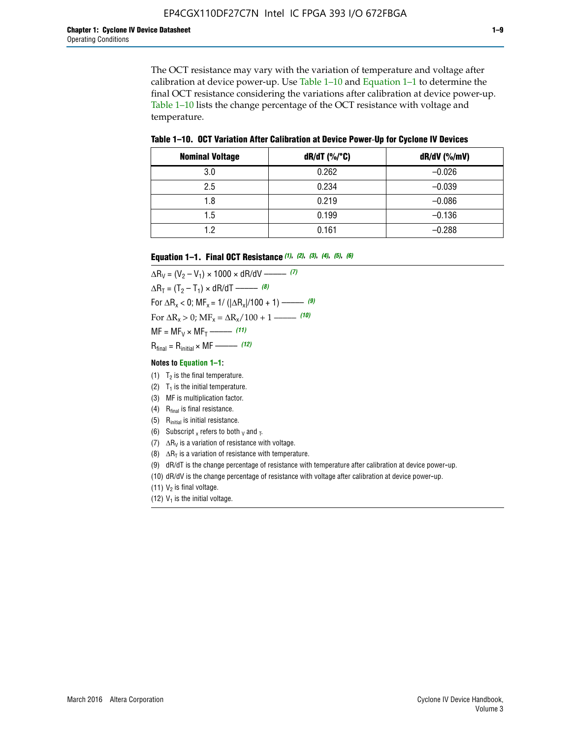The OCT resistance may vary with the variation of temperature and voltage after calibration at device power-up. Use Table 1–10 and Equation 1–1 to determine the final OCT resistance considering the variations after calibration at device power-up. Table 1–10 lists the change percentage of the OCT resistance with voltage and temperature.

**Table 1–10. OCT Variation After Calibration at Device Power**-**Up for Cyclone IV Devices**

| <b>Nominal Voltage</b> | $dR/dT$ (%/°C) | $dR/dV$ (%/mV) |
|------------------------|----------------|----------------|
| 3.0                    | 0.262          | $-0.026$       |
| 2.5                    | 0.234          | $-0.039$       |
| 1.8                    | 0.219          | $-0.086$       |
| 1.5                    | 0.199          | $-0.136$       |
| 1.2                    | 0.161          | $-0.288$       |

#### **Equation 1–1. Final OCT Resistance** *(1)***,** *(2)***,** *(3)***,** *(4)***,** *(5)***,** *(6)*

 $\Delta R_V = (V_2 - V_1) \times 1000 \times dR/dV$  ––––––––––––(7)  $\Delta R_T = (T_2 - T_1) \times dR/dT$  ––––––– (8) For  $\Delta R_x < 0$ ; MF<sub>x</sub> = 1/ ( $|\Delta R_x|/100 + 1$ ) –––––– (9) For  $\Delta R_x > 0$ ;  $\text{MF}_x = \Delta R_x / 100 + 1$  ——– (10)  $MF = MF_V \times MF_T$  –––––––––––(11) Rfinal = Rinitial × MF ––––– *(12)*

#### **Notes to Equation 1–1:**

- (1)  $T_2$  is the final temperature.
- (2)  $T_1$  is the initial temperature.
- (3) MF is multiplication factor.
- (4)  $R<sub>final</sub>$  is final resistance.
- (5) Rinitial is initial resistance.
- (6) Subscript x refers to both  $\sqrt{v}$  and  $\sqrt{v}$ .
- (7)  $\Delta R_V$  is a variation of resistance with voltage.
- (8)  $\Delta R_T$  is a variation of resistance with temperature.
- (9) dR/dT is the change percentage of resistance with temperature after calibration at device power-up.
- (10) dR/dV is the change percentage of resistance with voltage after calibration at device power-up.
- (11)  $V_2$  is final voltage.
- (12)  $V_1$  is the initial voltage.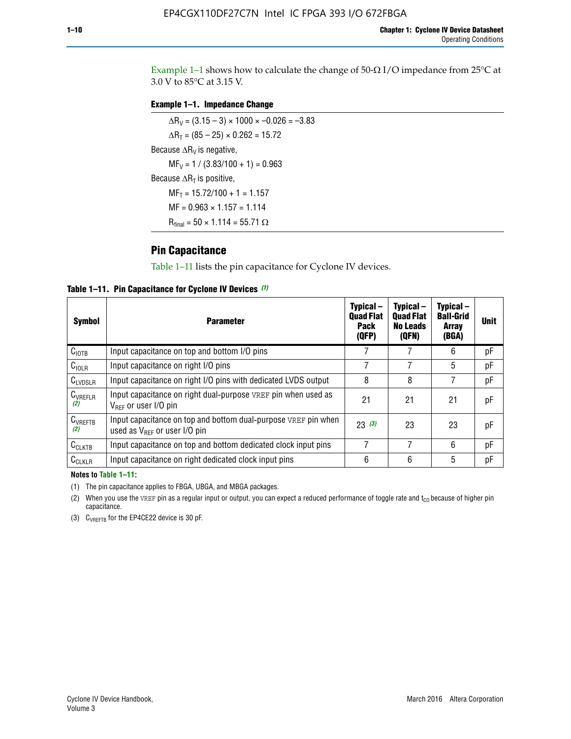Example 1-1 shows how to calculate the change of  $50$ - $\Omega$  I/O impedance from 25°C at 3.0 V to 85°C at 3.15 V.

#### **Example 1–1. Impedance Change**

 $\Delta R_V = (3.15 - 3) \times 1000 \times -0.026 = -3.83$  $\Delta R_T = (85 - 25) \times 0.262 = 15.72$ Because  $\Delta R_V$  is negative,  $MF_V = 1 / (3.83/100 + 1) = 0.963$ Because  $\Delta R_T$  is positive,  $MF_T = 15.72/100 + 1 = 1.157$  $MF = 0.963 \times 1.157 = 1.114$  $R_{final} = 50 \times 1.114 = 55.71 \Omega$ 

### **Pin Capacitance**

Table 1–11 lists the pin capacitance for Cyclone IV devices.

**Table 1–11. Pin Capacitance for Cyclone IV Devices** *(1)*

| <b>Symbol</b>       | <b>Parameter</b>                                                                                           | Typical-<br><b>Quad Flat</b><br><b>Pack</b><br>(QFP) | Typical-<br><b>Quad Flat</b><br><b>No Leads</b><br>(QFN) | Typical-<br><b>Ball-Grid</b><br><b>Array</b><br>(BGA) | <b>Unit</b> |
|---------------------|------------------------------------------------------------------------------------------------------------|------------------------------------------------------|----------------------------------------------------------|-------------------------------------------------------|-------------|
| C <sub>IOTB</sub>   | Input capacitance on top and bottom I/O pins                                                               |                                                      |                                                          | 6                                                     | рF          |
| $C_{IOLR}$          | Input capacitance on right I/O pins                                                                        |                                                      |                                                          | 5                                                     | рF          |
| $C_{LVDSLR}$        | Input capacitance on right I/O pins with dedicated LVDS output                                             | 8                                                    | 8                                                        | 7                                                     | рF          |
| $C_{VREFLR}$<br>(2) | Input capacitance on right dual-purpose VREF pin when used as<br>$V_{\text{RFF}}$ or user I/O pin          | 21                                                   | 21                                                       | 21                                                    | pF          |
| $C_{VREFTB}$<br>(2) | Input capacitance on top and bottom dual-purpose VREF pin when<br>used as $V_{\text{RFF}}$ or user I/O pin | 23(3)                                                | 23                                                       | 23                                                    | pF          |
| $C_{CLKTB}$         | Input capacitance on top and bottom dedicated clock input pins                                             | 7                                                    | 7                                                        | 6                                                     | pF          |
| $C_{CLKLR}$         | Input capacitance on right dedicated clock input pins                                                      | 6                                                    | 6                                                        | 5                                                     | рF          |

#### **Notes to Table 1–11:**

(1) The pin capacitance applies to FBGA, UBGA, and MBGA packages.

(2) When you use the VREF pin as a regular input or output, you can expect a reduced performance of toggle rate and  $t_{\rm CO}$  because of higher pin capacitance.

(3) CVREFTB for the EP4CE22 device is 30 pF.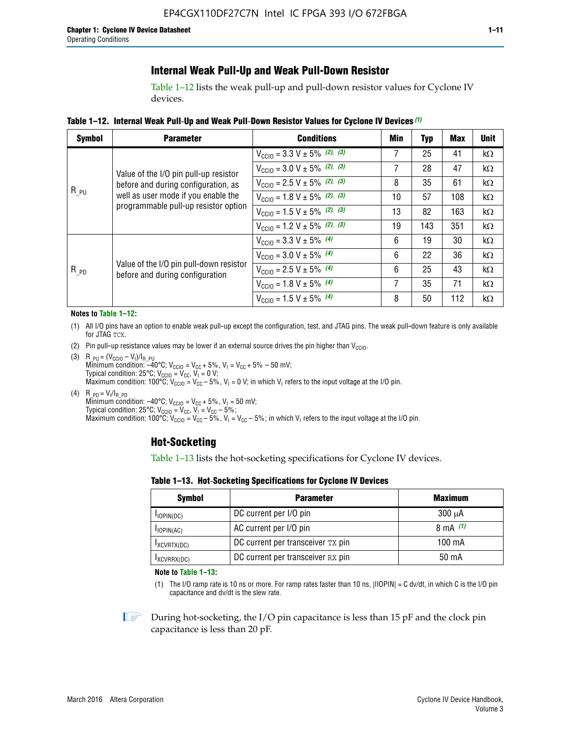### **Internal Weak Pull-Up and Weak Pull-Down Resistor**

Table 1–12 lists the weak pull-up and pull-down resistor values for Cyclone IV devices.

**Table 1–12. Internal Weak Pull**-**Up and Weak Pull**-**Down Resistor Values for Cyclone IV Devices** *(1)*

| <b>Symbol</b> | <b>Parameter</b>                                                                                                   | <b>Conditions</b>                                  | Min | <b>Typ</b> | <b>Max</b> | <b>Unit</b> |
|---------------|--------------------------------------------------------------------------------------------------------------------|----------------------------------------------------|-----|------------|------------|-------------|
|               |                                                                                                                    | $V_{\text{CC10}} = 3.3 \text{ V} \pm 5\%$ (2), (3) | 7   | 25         | 41         | $k\Omega$   |
|               | Value of the I/O pin pull-up resistor                                                                              | $V_{\text{CC10}} = 3.0 \text{ V} \pm 5\%$ (2), (3) | 7   | 28         | 47         | kΩ          |
|               | before and during configuration, as<br>well as user mode if you enable the<br>programmable pull-up resistor option | $V_{\text{CC10}} = 2.5 V \pm 5\%$ (2), (3)         | 8   | 35         | 61         | kΩ          |
| $R_{PU}$      |                                                                                                                    | $V_{\text{CGI0}} = 1.8 V \pm 5\%$ (2), (3)         | 10  | 57         | 108        | $k\Omega$   |
|               |                                                                                                                    | $V_{\text{CC10}} = 1.5 V \pm 5\%$ (2), (3)         | 13  | 82         | 163        | $k\Omega$   |
|               |                                                                                                                    | $V_{\text{CC10}} = 1.2 V \pm 5\%$ (2), (3)         | 19  | 143        | 351        | kΩ          |
|               |                                                                                                                    | $V_{\text{CC10}} = 3.3 V \pm 5\%$ (4)              | 6   | 19         | 30         | kΩ          |
|               |                                                                                                                    | $V_{\text{CC10}} = 3.0 V \pm 5\%$ (4)              | 6   | 22         | 36         | $k\Omega$   |
| $R_{PD}$      | Value of the I/O pin pull-down resistor<br>before and during configuration                                         | $V_{\text{CC10}} = 2.5 V \pm 5\%$ (4)              | 6   | 25         | 43         | kΩ          |
|               |                                                                                                                    | $V_{\text{CC10}} = 1.8 V \pm 5\%$ (4)              | 7   | 35         | 71         | $k\Omega$   |
|               |                                                                                                                    | $V_{\text{CC10}} = 1.5 V \pm 5\%$ (4)              | 8   | 50         | 112        | kΩ          |

#### **Notes to Table 1–12:**

- (1) All I/O pins have an option to enable weak pull-up except the configuration, test, and JTAG pins. The weak pull-down feature is only available for JTAG TCK.
- (2) Pin pull-up resistance values may be lower if an external source drives the pin higher than  $V_{\text{CCIO}}$ .
- (3)  $R_{PU} = (V_{CC10} V_1)/I_{R_PU}$ Minimum condition: –40°C; V<sub>CCIO</sub> = V<sub>CC</sub> + 5%, V<sub>I</sub> = V<sub>CC</sub> + 5% – 50 mV; Typical condition: 25°C; V<sub>CCIO</sub> = V<sub>CC</sub>, V<sub>I</sub> = 0 V; Maximum condition: 100°C;  $V_{\text{CCIO}} = V_{\text{CC}} - 5\%$ ,  $V_1 = 0$  V; in which V<sub>I</sub> refers to the input voltage at the I/O pin.
- (4)  $R_{PD} = V_I/I_{R_PD}$ Minimum condition:  $-40^{\circ}$ C; V<sub>CCIO</sub> = V<sub>CC</sub> + 5%, V<sub>I</sub> = 50 mV; Typical condition: 25°C;  $V_{\text{CCIO}} = V_{\text{CC}}$ ,  $V_{\text{I}} = V_{\text{CC}} - 5\%$ ; Maximum condition: 100°C; V<sub>CClO</sub> = V<sub>CC</sub> – 5%, V<sub>I</sub> = V<sub>CC</sub> – 5%; in which V<sub>I</sub> refers to the input voltage at the I/O pin.

#### **Hot-Socketing**

Table 1–13 lists the hot-socketing specifications for Cyclone IV devices.

**Table 1–13. Hot**-**Socketing Specifications for Cyclone IV Devices**

| <b>Symbol</b> | <b>Maximum</b>                    |             |
|---------------|-----------------------------------|-------------|
| $I$ IOPIN(DC) | DC current per I/O pin            | $300 \mu A$ |
| $I$ IOPIN(AC) | AC current per I/O pin            | 8 mA $(1)$  |
| IXCVRTX(DC)   | DC current per transceiver TX pin | 100 mA      |
| IXCVRRX(DC)   | DC current per transceiver RX pin | 50 mA       |

**Note to Table 1–13:**

(1) The I/O ramp rate is 10 ns or more. For ramp rates faster than 10 ns, |IIOPIN| = C dv/dt, in which C is the I/O pin capacitance and dv/dt is the slew rate.

 $\mathbb{I} \rightarrow \mathbb{I}$  During hot-socketing, the I/O pin capacitance is less than 15 pF and the clock pin capacitance is less than 20 pF.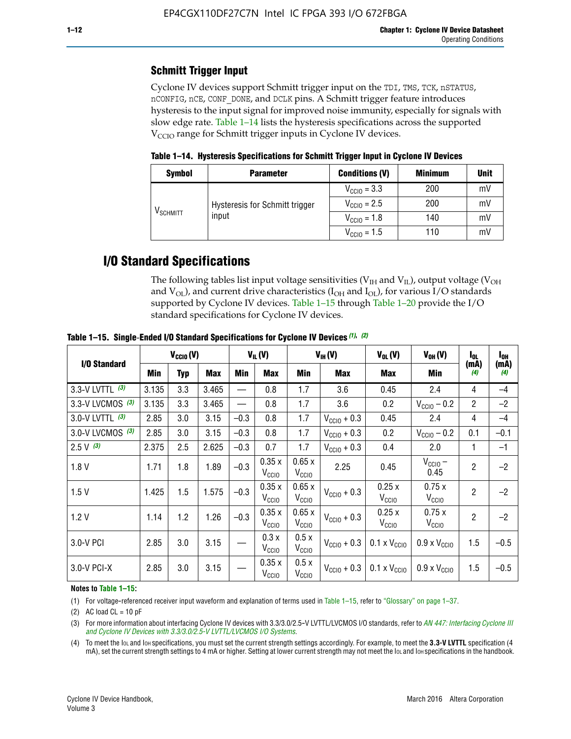# **Schmitt Trigger Input**

Cyclone IV devices support Schmitt trigger input on the TDI, TMS, TCK, nSTATUS, nCONFIG, nCE, CONF\_DONE, and DCLK pins. A Schmitt trigger feature introduces hysteresis to the input signal for improved noise immunity, especially for signals with slow edge rate. Table 1–14 lists the hysteresis specifications across the supported  $V<sub>CCIO</sub>$  range for Schmitt trigger inputs in Cyclone IV devices.

**Table 1–14. Hysteresis Specifications for Schmitt Trigger Input in Cyclone IV Devices**

| <b>Symbol</b>                  | <b>Parameter</b>                        | <b>Conditions (V)</b>   | <b>Minimum</b> | <b>Unit</b> |
|--------------------------------|-----------------------------------------|-------------------------|----------------|-------------|
|                                |                                         | $V_{\text{CGI0}} = 3.3$ | 200            | mV          |
| $\mathsf{V}_{\mathsf{SCHMIT}}$ | Hysteresis for Schmitt trigger<br>input | $V_{\text{CGI0}} = 2.5$ | 200            | mV          |
|                                |                                         | $V_{\text{CCIO}} = 1.8$ | 140            | mV          |
|                                |                                         | $V_{\text{CC10}} = 1.5$ | 110            | mV          |

# **I/O Standard Specifications**

The following tables list input voltage sensitivities ( $V<sub>IH</sub>$  and  $V<sub>II</sub>$ ), output voltage ( $V<sub>OH</sub>$ and  $V_{OL}$ ), and current drive characteristics ( $I_{OH}$  and  $I_{OL}$ ), for various I/O standards supported by Cyclone IV devices. Table 1–15 through Table 1–20 provide the I/O standard specifications for Cyclone IV devices.

|                   | $V_{CClO}(V)$ |     | $V_{IL}(V)$ |        | $V_{IH} (V)$               |                            | $V_{OL}(V)$             | $V_{OH} (V)$                 | l <sub>OL</sub>              | l <sub>oh</sub> |             |
|-------------------|---------------|-----|-------------|--------|----------------------------|----------------------------|-------------------------|------------------------------|------------------------------|-----------------|-------------|
| I/O Standard      | Min           | Typ | <b>Max</b>  | Min    | <b>Max</b>                 | Min                        | <b>Max</b>              | Max                          | Min                          | (mA)<br>(4)     | (mA)<br>(4) |
| 3.3-V LVTTL (3)   | 3.135         | 3.3 | 3.465       |        | 0.8                        | 1.7                        | 3.6                     | 0.45                         | 2.4                          | 4               | $-4$        |
| 3.3-V LVCMOS (3)  | 3.135         | 3.3 | 3.465       |        | 0.8                        | 1.7                        | 3.6                     | 0.2                          | $V_{\text{CCIO}} - 0.2$      | $\overline{2}$  | $-2$        |
| 3.0-V LVTTL $(3)$ | 2.85          | 3.0 | 3.15        | $-0.3$ | 0.8                        | 1.7                        | $V_{\text{CC10}} + 0.3$ | 0.45                         | 2.4                          | 4               | $-4$        |
| 3.0-V LVCMOS (3)  | 2.85          | 3.0 | 3.15        | $-0.3$ | 0.8                        | 1.7                        | $V_{\text{CCI}0}$ + 0.3 | 0.2                          | $V_{\text{CC10}} - 0.2$      | 0.1             | $-0.1$      |
| $2.5 V$ (3)       | 2.375         | 2.5 | 2.625       | $-0.3$ | 0.7                        | 1.7                        | $V_{\text{CCI}0}$ + 0.3 | 0.4                          | 2.0                          | 1               | $-1$        |
| 1.8V              | 1.71          | 1.8 | 1.89        | $-0.3$ | 0.35x<br>V <sub>CCIO</sub> | 0.65x<br>V <sub>CCIO</sub> | 2.25                    | 0.45                         | $V_{CGIO}$ –<br>0.45         | $\overline{c}$  | $-2$        |
| 1.5V              | 1.425         | 1.5 | 1.575       | $-0.3$ | 0.35x<br>V <sub>CCIO</sub> | 0.65x<br>V <sub>CCIO</sub> | $V_{\text{CC10}} + 0.3$ | 0.25x<br>$V_{\rm CClO}$      | 0.75x<br>V <sub>CCIO</sub>   | $\overline{2}$  | $-2$        |
| 1.2V              | 1.14          | 1.2 | 1.26        | $-0.3$ | 0.35x<br>V <sub>CCIO</sub> | 0.65x<br>V <sub>CCIO</sub> | $V_{\text{CGI0}} + 0.3$ | 0.25x<br>$V_{\rm CClO}$      | 0.75x<br>V <sub>CCIO</sub>   | $\overline{2}$  | $-2$        |
| 3.0-V PCI         | 2.85          | 3.0 | 3.15        |        | 0.3x<br>V <sub>CCIO</sub>  | 0.5x<br>V <sub>CCIO</sub>  | $V_{\text{CC10}} + 0.3$ | $0.1 \times V_{CC10}$        | $0.9 \times V_{\text{CC10}}$ | 1.5             | $-0.5$      |
| 3.0-V PCI-X       | 2.85          | 3.0 | 3.15        |        | 0.35x<br>V <sub>CCIO</sub> | 0.5x<br>V <sub>CCIO</sub>  | $V_{\text{CC}10} + 0.3$ | $0.1 \times V_{\text{CC10}}$ | $0.9 \times V_{\text{CC10}}$ | 1.5             | $-0.5$      |

**Table 1–15. Single**-**Ended I/O Standard Specifications for Cyclone IV Devices** *(1)***,** *(2)*

#### **Notes to Table 1–15:**

(1) For voltage-referenced receiver input waveform and explanation of terms used in Table 1–15, refer to "Glossary" on page 1–37.

(2) AC load  $CL = 10$  pF

(3) For more information about interfacing Cyclone IV devices with 3.3/3.0/2.5-V LVTTL/LVCMOS I/O standards, refer to *[AN 447: Interfacing Cyclone III](http://www.altera.com/literature/an/an447.pdf)  [and Cyclone IV Devices with 3.3/3.0/2.5-V LVTTL/LVCMOS I/O Systems](http://www.altera.com/literature/an/an447.pdf)*.

(4) To meet the IOL and IOH specifications, you must set the current strength settings accordingly. For example, to meet the **3.3-V LVTTL** specification (4 mA), set the current strength settings to 4 mA or higher. Setting at lower current strength may not meet the lou and lon specifications in the handbook.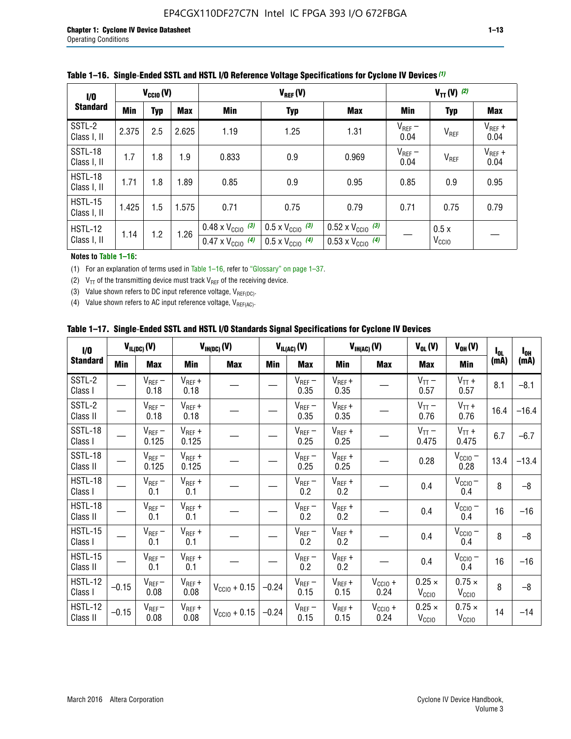| 1/0                           | $V_{\text{CC10}}(V)$            |     |       |                                                                        | $V_{TT}(V)^{(2)}$                                                    |                                                                        |                     |                           |                     |
|-------------------------------|---------------------------------|-----|-------|------------------------------------------------------------------------|----------------------------------------------------------------------|------------------------------------------------------------------------|---------------------|---------------------------|---------------------|
| <b>Standard</b>               | Min<br><b>Max</b><br><b>Typ</b> |     | Min   | <b>Typ</b>                                                             | Max                                                                  | Min                                                                    | <b>Typ</b>          | <b>Max</b>                |                     |
| SSTL-2<br>Class I, II         | 2.375                           | 2.5 | 2.625 | 1.19                                                                   | 1.25                                                                 | 1.31                                                                   | $V_{REF}$ –<br>0.04 | V <sub>REF</sub>          | $V_{REF}$ +<br>0.04 |
| SSTL-18<br>Class I, II        | 1.7                             | 1.8 | 1.9   | 0.833                                                                  | 0.9                                                                  | 0.969                                                                  | $V_{REF}$ –<br>0.04 | V <sub>REF</sub>          | $V_{REF}$ +<br>0.04 |
| HSTL-18<br>Class I, II        | 1.71                            | 1.8 | 1.89  | 0.85                                                                   | 0.9                                                                  | 0.95                                                                   | 0.85                | 0.9                       | 0.95                |
| <b>HSTL-15</b><br>Class I, II | 1.425                           | 1.5 | 1.575 | 0.71                                                                   | 0.75                                                                 | 0.79                                                                   | 0.71                | 0.75                      | 0.79                |
| HSTL-12<br>Class I, II        | 1.14                            | 1.2 | 1.26  | $0.48 \times V_{\text{CC10}}$ (3)<br>$0.47 \times V_{\text{CC10}}$ (4) | $0.5 \times V_{\text{CC10}}$ (3)<br>$0.5 \times V_{\text{CC10}}$ (4) | $0.52 \times V_{\text{CC10}}$ (3)<br>$0.53 \times V_{\text{CC10}}$ (4) |                     | 0.5x<br>V <sub>CCIO</sub> |                     |

|  |  |  |  | Table 1–16. Single-Ended SSTL and HSTL I/O Reference Voltage Specifications for Cyclone IV Devices (1) |
|--|--|--|--|--------------------------------------------------------------------------------------------------------|
|--|--|--|--|--------------------------------------------------------------------------------------------------------|

**Notes to Table 1–16:**

(1) For an explanation of terms used in Table 1–16, refer to "Glossary" on page 1–37.

(2)  $V_{TT}$  of the transmitting device must track  $V_{REF}$  of the receiving device.

(3) Value shown refers to DC input reference voltage,  $V_{REF(DC)}$ .

(4) Value shown refers to AC input reference voltage,  $V_{REF(AC)}$ .

|  |  |  |  |  | Table 1–17.  Single-Ended SSTL and HSTL I/O Standards Signal Specifications for Cyclone IV Devices |
|--|--|--|--|--|----------------------------------------------------------------------------------------------------|
|--|--|--|--|--|----------------------------------------------------------------------------------------------------|

| I/O                        |            | $V_{IL(DC)}(V)$      |                                       | $V_{IH(DC)}(V)$       |         | $V_{IL(AC)}(V)$     |                     | $V_{IH(AC)}(V)$      | $V_{OL}(V)$                        | $V_{OH} (V)$                       | $I_{0L}$ | $I_{0H}$ |
|----------------------------|------------|----------------------|---------------------------------------|-----------------------|---------|---------------------|---------------------|----------------------|------------------------------------|------------------------------------|----------|----------|
| <b>Standard</b>            | <b>Min</b> | <b>Max</b>           | Min                                   | <b>Max</b>            | Min     | <b>Max</b>          | Min                 | <b>Max</b>           | <b>Max</b>                         | Min                                | (mA)     | (mA)     |
| SSTL-2<br>Class I          |            | $V_{REF}$ –<br>0.18  | $V_{REF} +$<br>0.18                   |                       |         | $V_{REF}$ –<br>0.35 | $V_{REF} +$<br>0.35 |                      | $V_{TT}$ –<br>0.57                 | $V_{TT}$ +<br>0.57                 | 8.1      | $-8.1$   |
| SSTL-2<br>Class II         |            | $V_{REF}$ –<br>0.18  | $V_{REF} +$<br>0.18                   |                       |         | $V_{REF}$ –<br>0.35 | $V_{REF} +$<br>0.35 |                      | $V_{TT}$ –<br>0.76                 | $V_{TT}$ +<br>0.76                 | 16.4     | $-16.4$  |
| SSTL-18<br>Class I         |            | $V_{REF}$ –<br>0.125 | $V_{REF}$ +<br>0.125                  |                       |         | $V_{REF}$ –<br>0.25 | $V_{REF}$ +<br>0.25 |                      | $V_{TT}$ –<br>0.475                | $V_{TT}$ +<br>0.475                | 6.7      | $-6.7$   |
| <b>SSTL-18</b><br>Class II |            | $V_{REF}$ –<br>0.125 | $V_{REF}$ +<br>0.125                  |                       |         | $V_{REF}$ –<br>0.25 | $V_{REF}$ +<br>0.25 |                      | 0.28                               | $V_{\text{CCIO}}-$<br>0.28         | 13.4     | $-13.4$  |
| HSTL-18<br>Class I         |            | $V_{REF}$ –<br>0.1   | $V_{REF}$ +<br>0.1                    |                       |         | $V_{REF}$ –<br>0.2  | $V_{REF}$ +<br>0.2  |                      | 0.4                                | $V_{CCIO}$ –<br>0.4                | 8        | $-8$     |
| HSTL-18<br>Class II        |            | $V_{REF}$ –<br>0.1   | $V_{REF}$ +<br>0.1                    |                       |         | $V_{REF}$ –<br>0.2  | $V_{REF}$ +<br>0.2  |                      | 0.4                                | $V_{CC10} -$<br>0.4                | 16       | $-16$    |
| HSTL-15<br>Class I         |            | $V_{REF}$ –<br>0.1   | $V_{REF}$ +<br>0.1                    |                       |         | $V_{REF}$ –<br>0.2  | $V_{REF}$ +<br>0.2  |                      | 0.4                                | $V_{CCIO}$ –<br>0.4                | 8        | $-8$     |
| HSTL-15<br>Class II        |            | $V_{REF}$ –<br>0.1   | $V_{REF} +$<br>0.1                    |                       |         | $V_{REF}-$<br>0.2   | $V_{REF}$ +<br>0.2  |                      | 0.4                                | $V_{\text{CC1O}} -$<br>0.4         | 16       | $-16$    |
| <b>HSTL-12</b><br>Class I  | $-0.15$    | $V_{REF}-$<br>0.08   | $V_{REF} +$<br>0.08                   | $V_{\rm CClO} + 0.15$ | $-0.24$ | $V_{REF}$ –<br>0.15 | $V_{REF} +$<br>0.15 | $V_{CCIO}$ +<br>0.24 | $0.25 \times$<br>$V_{\rm CClO}$    | $0.75 \times$<br>V <sub>CClO</sub> | 8        | $-8$     |
| <b>HSTL-12</b><br>Class II | $-0.15$    | $V_{REF}$ –<br>0.08  | $\mathsf{V}_{\mathsf{REF}}$ +<br>0.08 | $V_{CGI0} + 0.15$     | $-0.24$ | $V_{REF}$ –<br>0.15 | $V_{REF} +$<br>0.15 | $V_{CC10}$ +<br>0.24 | $0.25 \times$<br>V <sub>CCIO</sub> | $0.75 \times$<br>V <sub>CCIO</sub> | 14       | $-14$    |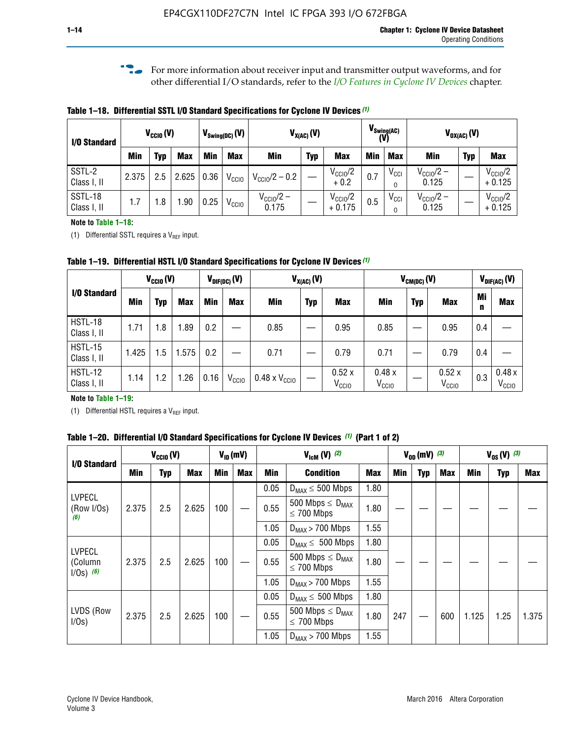**f For more information about receiver input and transmitter output waveforms, and for** other differential I/O standards, refer to the *[I/O Features in Cyclone IV Devices](http://www.altera.com/literature/hb/cyclone-iv/cyiv-51006.pdf)* chapter*.*

**Table 1–18. Differential SSTL I/O Standard Specifications for Cyclone IV Devices** *(1)*

| I/O Standard           |       | $V_{CCl0}(V)$ |            |      | $V_{\text{Swing(DC)}}(V)$ |                                | $V_{X(AC)}(V)$ |                                 |            | $V_{\text{Swing}(AC)}$<br>(V) |                                | $V_{OX(AC)}(V)$ |                                 |
|------------------------|-------|---------------|------------|------|---------------------------|--------------------------------|----------------|---------------------------------|------------|-------------------------------|--------------------------------|-----------------|---------------------------------|
|                        | Min   | Typ           | <b>Max</b> | Min  | <b>Max</b>                | <b>Min</b>                     | <b>Typ</b>     | <b>Max</b>                      | <b>Min</b> | <b>Max</b>                    | Min                            | <b>Typ</b>      | <b>Max</b>                      |
| SSTL-2<br>Class I, II  | 2.375 | 2.5           | 2.625      | 0.36 | V <sub>CCIO</sub>         | $V_{\text{CC10}}/2 - 0.2$      |                | $V_{\text{CC1O}}/2$<br>$+0.2$   | 0.7        | $V_{\rm CCI}$                 | $V_{\text{CC10}}/2 -$<br>0.125 |                 | $V_{\text{CC10}}/2$<br>$+0.125$ |
| SSTL-18<br>Class I, II | 1.7   | .8            | .90        | 0.25 | V <sub>CCIO</sub>         | $V_{\text{CC10}}/2 -$<br>0.175 |                | $V_{\text{CC10}}/2$<br>$+0.175$ | 0.5        | $V_{\rm CCI}$                 | $V_{\text{CC10}}/2 -$<br>0.125 |                 | $V_{\text{CC10}}/2$<br>$+0.125$ |

#### **Note to Table 1–18:**

(1) Differential SSTL requires a  $V_{REF}$  input.

**Table 1–19. Differential HSTL I/O Standard Specifications for Cyclone IV Devices** *(1)*

|                               |       | $V_{CClO}(V)$ |            |         | $V_{\text{DIF(DC)}}(V)$ |                               | $V_{X(AC)}(V)$ |                            |                            | $V_{CM(DC)}(V)$ |                            |         | $V_{\text{DIF(AC)}}(V)$    |
|-------------------------------|-------|---------------|------------|---------|-------------------------|-------------------------------|----------------|----------------------------|----------------------------|-----------------|----------------------------|---------|----------------------------|
| I/O Standard                  | Min   | Typ           | <b>Max</b> | Min     | <b>Max</b>              | Min                           | <b>Typ</b>     | <b>Max</b>                 | Min                        | <b>Typ</b>      | <b>Max</b>                 | Mi<br>n | <b>Max</b>                 |
| HSTL-18<br>Class I, II        | 1.71  | 1.8           | .89        | 0.2     |                         | 0.85                          |                | 0.95                       | 0.85                       |                 | 0.95                       | 0.4     |                            |
| <b>HSTL-15</b><br>Class I, II | 1.425 | 1.5           | .575       | $0.2\,$ |                         | 0.71                          |                | 0.79                       | 0.71                       |                 | 0.79                       | 0.4     |                            |
| <b>HSTL-12</b><br>Class I, II | 1.14  | 1.2           | 1.26       | 0.16    | V <sub>CCIO</sub>       | $0.48 \times V_{\text{CC10}}$ |                | 0.52x<br>V <sub>CCIO</sub> | 0.48x<br>V <sub>CCIO</sub> |                 | 0.52x<br>V <sub>CCIO</sub> | 0.3     | 0.48x<br>V <sub>CCIO</sub> |

#### **Note to Table 1–19:**

(1) Differential HSTL requires a  $V_{REF}$  input.

**Table 1–20. Differential I/O Standard Specifications for Cyclone IV Devices** *(1)* **(Part 1 of 2)**

| I/O Standard                            |       | $V_{CCl0} (V)$ |            |            | $V_{ID}$ (mV) |      | $V_{\text{lcm}}(V)^{(2)}$                           |            |     | $V_{0D}$ (mV) $(3)$ |     |       | $V_{0S} (V)^{(3)}$ |       |
|-----------------------------------------|-------|----------------|------------|------------|---------------|------|-----------------------------------------------------|------------|-----|---------------------|-----|-------|--------------------|-------|
|                                         | Min   | Typ            | <b>Max</b> | <b>Min</b> | <b>Max</b>    | Min  | <b>Condition</b>                                    | <b>Max</b> | Min | Typ                 | Max | Min   | <b>Typ</b>         | Max   |
|                                         |       |                |            |            |               | 0.05 | $D_{MAX} \leq 500$ Mbps                             | 1.80       |     |                     |     |       |                    |       |
| <b>LVPECL</b><br>(Row I/Os)<br>(6)      | 2.375 | 2.5            | 2.625      | 100        |               | 0.55 | 500 Mbps $\leq$ D <sub>MAX</sub><br>$\leq$ 700 Mbps | 1.80       |     |                     |     |       |                    |       |
|                                         |       |                |            |            |               | 1.05 | $D_{MAX}$ > 700 Mbps                                | 1.55       |     |                     |     |       |                    |       |
|                                         |       |                |            |            |               | 0.05 | $D_{MAX} \leq 500$ Mbps                             | 1.80       |     |                     |     |       |                    |       |
| <b>LVPECL</b><br>(Column<br>$1/Os)$ (6) | 2.375 | 2.5            | 2.625      | 100        |               | 0.55 | 500 Mbps $\leq D_{MAX}$<br>$\leq$ 700 Mbps          | 1.80       |     |                     |     |       |                    |       |
|                                         |       |                |            |            |               | 1.05 | $D_{MAX}$ > 700 Mbps                                | 1.55       |     |                     |     |       |                    |       |
|                                         |       |                |            |            |               | 0.05 | $D_{MAX} \leq 500$ Mbps                             | 1.80       |     |                     |     |       |                    |       |
| LVDS (Row<br>I/Os)                      | 2.375 | 2.5            | 2.625      | 100        |               | 0.55 | 500 Mbps $\leq D_{MAX}$<br>$\leq 700$ Mbps          | 1.80       | 247 |                     | 600 | 1.125 | 1.25               | 1.375 |
|                                         |       |                |            |            |               | 1.05 | $D_{MAX}$ > 700 Mbps                                | 1.55       |     |                     |     |       |                    |       |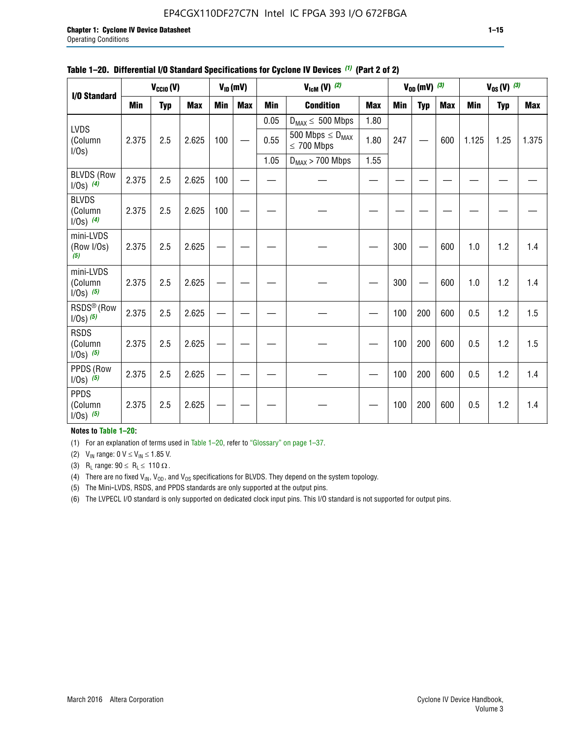#### EP4CGX110DF27C7N Intel IC FPGA 393 I/O 672FBGA

|                                          |            | $V_{\text{CCIO}}(V)$ |            |     | $V_{ID}(mV)$ |            | $V_{\text{lcm}}(V)$ (2)                    |            |     | $V_{OD}$ (mV) $(3)$ |            |            | $V_{0S} (V)$ (3) |            |
|------------------------------------------|------------|----------------------|------------|-----|--------------|------------|--------------------------------------------|------------|-----|---------------------|------------|------------|------------------|------------|
| I/O Standard                             |            |                      |            |     |              |            |                                            |            |     |                     |            |            |                  |            |
|                                          | <b>Min</b> | <b>Typ</b>           | <b>Max</b> | Min | <b>Max</b>   | <b>Min</b> | <b>Condition</b>                           | <b>Max</b> | Min | <b>Typ</b>          | <b>Max</b> | <b>Min</b> | <b>Typ</b>       | <b>Max</b> |
| <b>LVDS</b>                              |            |                      |            |     |              | 0.05       | $D_{MAX} \leq 500$ Mbps                    | 1.80       |     |                     |            |            |                  |            |
| (Column<br>I/Os)                         | 2.375      | 2.5                  | 2.625      | 100 |              | 0.55       | 500 Mbps $\leq D_{MAX}$<br>$\leq 700$ Mbps | 1.80       | 247 |                     | 600        | 1.125      | 1.25             | 1.375      |
|                                          |            |                      |            |     |              | 1.05       | $D_{MAX}$ > 700 Mbps                       | 1.55       |     |                     |            |            |                  |            |
| <b>BLVDS (Row</b><br>$I/Os)$ (4)         | 2.375      | 2.5                  | 2.625      | 100 |              |            |                                            |            |     |                     |            |            |                  |            |
| <b>BLVDS</b><br>(Column<br>$1/0s)$ (4)   | 2.375      | 2.5                  | 2.625      | 100 |              |            |                                            |            |     |                     |            |            |                  |            |
| mini-LVDS<br>(Row I/Os)<br>(5)           | 2.375      | 2.5                  | 2.625      |     |              |            |                                            |            | 300 |                     | 600        | 1.0        | 1.2              | 1.4        |
| mini-LVDS<br>(Column<br>$1/Os)$ (5)      | 2.375      | 2.5                  | 2.625      |     |              |            |                                            |            | 300 |                     | 600        | 1.0        | 1.2              | 1.4        |
| RSDS <sup>®</sup> (Row<br>$1/0s$ ) $(5)$ | 2.375      | 2.5                  | 2.625      |     |              |            |                                            |            | 100 | 200                 | 600        | 0.5        | 1.2              | 1.5        |
| <b>RSDS</b><br>(Column<br>$1/Os)$ (5)    | 2.375      | 2.5                  | 2.625      |     |              |            |                                            |            | 100 | 200                 | 600        | 0.5        | 1.2              | 1.5        |
| PPDS (Row<br>$1/0s)$ (5)                 | 2.375      | 2.5                  | 2.625      |     |              |            |                                            |            | 100 | 200                 | 600        | 0.5        | 1.2              | 1.4        |
| <b>PPDS</b><br>(Column<br>$1/0s)$ (5)    | 2.375      | 2.5                  | 2.625      |     |              |            |                                            |            | 100 | 200                 | 600        | 0.5        | 1.2              | 1.4        |

#### **Table 1–20. Differential I/O Standard Specifications for Cyclone IV Devices** *(1)* **(Part 2 of 2)**

#### **Notes to Table 1–20:**

(1) For an explanation of terms used in Table 1–20, refer to "Glossary" on page 1–37.

(2)  $V_{IN}$  range: 0  $V \le V_{IN} \le 1.85$  V.

(3) R<sub>L</sub> range:  $90 \le R_L \le 110 \Omega$ .

(4) There are no fixed  $V_{IN}$ ,  $V_{OD}$ , and  $V_{OS}$  specifications for BLVDS. They depend on the system topology.

(5) The Mini-LVDS, RSDS, and PPDS standards are only supported at the output pins.

(6) The LVPECL I/O standard is only supported on dedicated clock input pins. This I/O standard is not supported for output pins.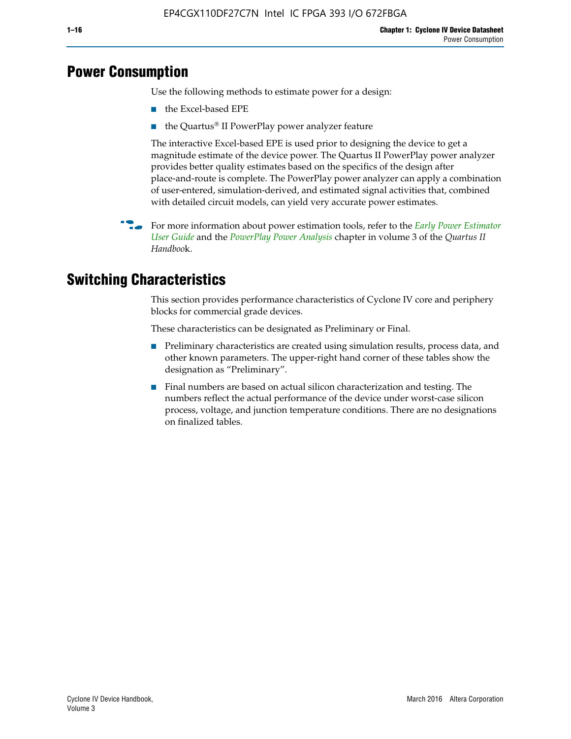# **Power Consumption**

Use the following methods to estimate power for a design:

- the Excel-based EPE
- the Quartus® II PowerPlay power analyzer feature

The interactive Excel-based EPE is used prior to designing the device to get a magnitude estimate of the device power. The Quartus II PowerPlay power analyzer provides better quality estimates based on the specifics of the design after place-and-route is complete. The PowerPlay power analyzer can apply a combination of user-entered, simulation-derived, and estimated signal activities that, combined with detailed circuit models, can yield very accurate power estimates.

f For more information about power estimation tools, refer to the *[Early Power Estimator](http://www.altera.com/literature/ug/ug_epe.pdf
)  [User Guide](http://www.altera.com/literature/ug/ug_epe.pdf
)* and the *[PowerPlay Power Analysis](http://www.altera.com/literature/hb/qts/qts_qii53013.pdf)* chapter in volume 3 of the *Quartus II Handboo*k.

# **Switching Characteristics**

This section provides performance characteristics of Cyclone IV core and periphery blocks for commercial grade devices.

These characteristics can be designated as Preliminary or Final.

- Preliminary characteristics are created using simulation results, process data, and other known parameters. The upper-right hand corner of these tables show the designation as "Preliminary".
- Final numbers are based on actual silicon characterization and testing. The numbers reflect the actual performance of the device under worst-case silicon process, voltage, and junction temperature conditions. There are no designations on finalized tables.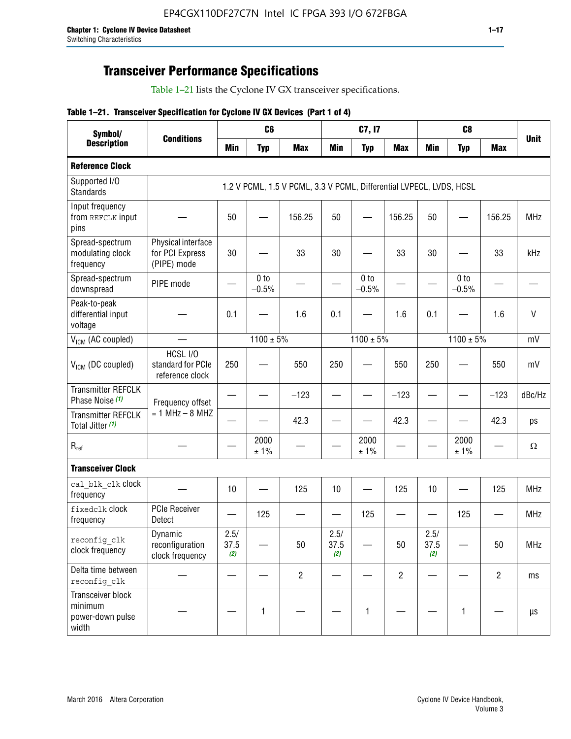# **Transceiver Performance Specifications**

Table 1–21 lists the Cyclone IV GX transceiver specifications.

|  |  |  |  | Table 1-21. Transceiver Specification for Cyclone IV GX Devices (Part 1 of 4) |  |
|--|--|--|--|-------------------------------------------------------------------------------|--|
|--|--|--|--|-------------------------------------------------------------------------------|--|

| Symbol/                                                   | <b>Conditions</b><br><b>Min</b>                      |                     | C <sub>6</sub>             |                                                                     |                     | C7, I7                     |                   |                     | C <sub>8</sub>             |                |              |
|-----------------------------------------------------------|------------------------------------------------------|---------------------|----------------------------|---------------------------------------------------------------------|---------------------|----------------------------|-------------------|---------------------|----------------------------|----------------|--------------|
| <b>Description</b>                                        |                                                      |                     | <b>Typ</b>                 | <b>Max</b>                                                          | <b>Min</b>          | <b>Typ</b>                 | <b>Max</b>        | <b>Min</b>          | <b>Typ</b>                 | <b>Max</b>     | <b>Unit</b>  |
| <b>Reference Clock</b>                                    |                                                      |                     |                            |                                                                     |                     |                            |                   |                     |                            |                |              |
| Supported I/O<br><b>Standards</b>                         |                                                      |                     |                            | 1.2 V PCML, 1.5 V PCML, 3.3 V PCML, Differential LVPECL, LVDS, HCSL |                     |                            |                   |                     |                            |                |              |
| Input frequency<br>from REFCLK input<br>pins              |                                                      | 50                  |                            | 156.25                                                              | 50                  |                            | 156.25            | 50                  |                            | 156.25         | <b>MHz</b>   |
| Spread-spectrum<br>modulating clock<br>frequency          | Physical interface<br>for PCI Express<br>(PIPE) mode | 30                  |                            | 33                                                                  | 30                  |                            | 33                | 30                  |                            | 33             | kHz          |
| Spread-spectrum<br>downspread                             | PIPE mode                                            |                     | 0 <sub>to</sub><br>$-0.5%$ |                                                                     |                     | 0 <sub>to</sub><br>$-0.5%$ |                   |                     | 0 <sub>to</sub><br>$-0.5%$ |                |              |
| Peak-to-peak<br>differential input<br>voltage             |                                                      | 0.1                 |                            | 1.6                                                                 | 0.1                 |                            | 1.6               | 0.1                 |                            | 1.6            | $\mathsf{V}$ |
| V <sub>ICM</sub> (AC coupled)                             |                                                      |                     | $1100 \pm 5\%$             |                                                                     |                     | $1100 \pm 5\%$             |                   |                     | $1100 \pm 5\%$             |                | mV           |
| $V_{ICM}$ (DC coupled)                                    | HCSL I/O<br>standard for PCIe<br>reference clock     | 250                 |                            | 550                                                                 | 250                 |                            | 550               | 250                 |                            | 550            | mV           |
| <b>Transmitter REFCLK</b><br>Phase Noise (1)              | Frequency offset                                     |                     |                            | $-123$                                                              |                     |                            | $-123$            |                     |                            | $-123$         | dBc/Hz       |
| <b>Transmitter REFCLK</b><br>Total Jitter (1)             | $= 1$ MHz $- 8$ MHZ                                  |                     |                            | 42.3                                                                |                     |                            | 42.3              |                     |                            | 42.3           | ps           |
| $\mathsf{R}_{\mathsf{ref}}$                               |                                                      |                     | 2000<br>± 1%               |                                                                     |                     | 2000<br>± 1%               |                   |                     | 2000<br>± 1%               |                | Ω            |
| <b>Transceiver Clock</b>                                  |                                                      |                     |                            |                                                                     |                     |                            |                   |                     |                            |                |              |
| cal blk clk clock<br>frequency                            |                                                      | 10                  |                            | 125                                                                 | 10                  |                            | 125               | 10                  | $\overline{\phantom{0}}$   | 125            | MHz          |
| fixedclk clock<br>frequency                               | <b>PCIe Receiver</b><br>Detect                       | $\hspace{0.05cm}$   | 125                        |                                                                     |                     | 125                        | $\hspace{0.05cm}$ | —                   | 125                        |                | <b>MHz</b>   |
| reconfig_clk<br>clock frequency                           | Dynamic<br>reconfiguration<br>clock frequency        | 2.5/<br>37.5<br>(2) |                            | 50                                                                  | 2.5/<br>37.5<br>(2) |                            | 50                | 2.5/<br>37.5<br>(2) |                            | 50             | <b>MHz</b>   |
| Delta time between<br>reconfig clk                        |                                                      |                     |                            | $\overline{2}$                                                      |                     |                            | $\overline{2}$    |                     |                            | $\overline{2}$ | ms           |
| Transceiver block<br>minimum<br>power-down pulse<br>width |                                                      |                     | $\mathbf{1}$               |                                                                     |                     | 1                          |                   |                     | $\mathbf{1}$               |                | $\mu s$      |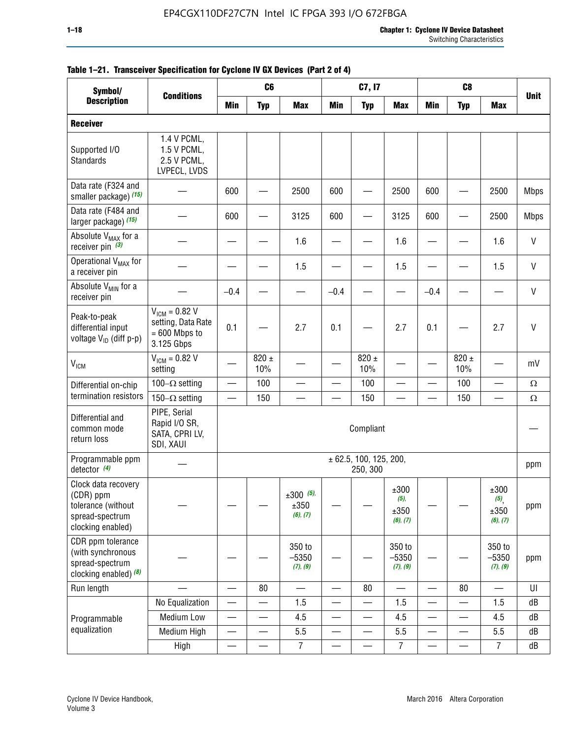| Symbol/                                                                                        |                                                                           | C <sub>8</sub><br>C <sub>6</sub><br>C7, I7<br><b>Conditions</b><br><b>Min</b><br><b>Typ</b><br><b>Max</b><br><b>Min</b><br><b>Max</b><br><b>Min</b><br><b>Max</b><br><b>Typ</b><br><b>Typ</b> |                          |                                    |                          |                                    |                                     |                          |                          |                                 |              |
|------------------------------------------------------------------------------------------------|---------------------------------------------------------------------------|-----------------------------------------------------------------------------------------------------------------------------------------------------------------------------------------------|--------------------------|------------------------------------|--------------------------|------------------------------------|-------------------------------------|--------------------------|--------------------------|---------------------------------|--------------|
| <b>Description</b>                                                                             |                                                                           |                                                                                                                                                                                               |                          |                                    |                          |                                    |                                     |                          |                          |                                 | <b>Unit</b>  |
| <b>Receiver</b>                                                                                |                                                                           |                                                                                                                                                                                               |                          |                                    |                          |                                    |                                     |                          |                          |                                 |              |
| Supported I/O<br>Standards                                                                     | 1.4 V PCML,<br>1.5 V PCML,<br>2.5 V PCML,<br>LVPECL, LVDS                 |                                                                                                                                                                                               |                          |                                    |                          |                                    |                                     |                          |                          |                                 |              |
| Data rate (F324 and<br>smaller package) (15)                                                   |                                                                           | 600                                                                                                                                                                                           |                          | 2500                               | 600                      |                                    | 2500                                | 600                      |                          | 2500                            | <b>Mbps</b>  |
| Data rate (F484 and<br>larger package) (15)                                                    |                                                                           | 600                                                                                                                                                                                           |                          | 3125                               | 600                      |                                    | 3125                                | 600                      |                          | 2500                            | <b>Mbps</b>  |
| Absolute V <sub>MAX</sub> for a<br>receiver pin $(3)$                                          |                                                                           |                                                                                                                                                                                               |                          | 1.6                                |                          |                                    | 1.6                                 |                          |                          | 1.6                             | $\mathsf{V}$ |
| Operational V <sub>MAX</sub> for<br>a receiver pin                                             |                                                                           |                                                                                                                                                                                               |                          | 1.5                                |                          |                                    | 1.5                                 |                          |                          | 1.5                             | $\mathsf{V}$ |
| Absolute V <sub>MIN</sub> for a<br>receiver pin                                                |                                                                           | $-0.4$                                                                                                                                                                                        |                          |                                    | $-0.4$                   |                                    |                                     | $-0.4$                   |                          |                                 | $\mathsf{V}$ |
| Peak-to-peak<br>differential input<br>voltage V <sub>ID</sub> (diff p-p)                       | $V_{ICM} = 0.82 V$<br>setting, Data Rate<br>$= 600$ Mbps to<br>3.125 Gbps | 0.1                                                                                                                                                                                           |                          | 2.7                                | 0.1                      |                                    | 2.7                                 | 0.1                      |                          | 2.7                             | $\mathsf{V}$ |
| <b>V<sub>ICM</sub></b>                                                                         | $V_{IGM} = 0.82 V$<br>setting                                             |                                                                                                                                                                                               | $820 \pm$<br>10%         |                                    |                          | 820 $\pm$<br>10%                   |                                     |                          | $820 \pm$<br>10%         |                                 | mV           |
| Differential on-chip                                                                           | 100 $-\Omega$ setting                                                     |                                                                                                                                                                                               | 100                      |                                    |                          | 100                                |                                     | —<br>—                   | 100                      | $\overline{\phantom{0}}$        | $\Omega$     |
| termination resistors                                                                          | 150 $-\Omega$ setting                                                     |                                                                                                                                                                                               | 150                      |                                    |                          | 150                                |                                     |                          | 150                      |                                 | $\Omega$     |
| Differential and<br>common mode<br>return loss                                                 | PIPE, Serial<br>Rapid I/O SR,<br>SATA, CPRI LV,<br>SDI, XAUI              |                                                                                                                                                                                               |                          |                                    |                          | Compliant                          |                                     |                          |                          |                                 |              |
| Programmable ppm<br>detector $(4)$                                                             |                                                                           |                                                                                                                                                                                               |                          |                                    |                          | ± 62.5, 100, 125, 200,<br>250, 300 |                                     |                          |                          |                                 | ppm          |
| Clock data recovery<br>(CDR) ppm<br>tolerance (without<br>spread-spectrum<br>clocking enabled) |                                                                           |                                                                                                                                                                                               |                          | $\pm 300$ (5),<br>±350<br>(6), (7) |                          |                                    | ±300<br>$(5)$ ,<br>±350<br>(6), (7) |                          |                          | ±300<br>(5)<br>±350<br>(6), (7) | ppm          |
| CDR ppm tolerance<br>(with synchronous<br>spread-spectrum<br>clocking enabled) (8)             |                                                                           |                                                                                                                                                                                               |                          | 350 to<br>$-5350$<br>(7), (9)      |                          |                                    | 350 to<br>$-5350$<br>(7), (9)       |                          |                          | 350 to<br>$-5350$<br>(7), (9)   | ppm          |
| Run length                                                                                     |                                                                           |                                                                                                                                                                                               | 80                       |                                    |                          | 80                                 |                                     |                          | 80                       |                                 | UI           |
|                                                                                                | No Equalization                                                           | —                                                                                                                                                                                             |                          | 1.5                                | —                        |                                    | 1.5                                 | $\qquad \qquad$          |                          | 1.5                             | dB           |
| Programmable                                                                                   | <b>Medium Low</b>                                                         | —                                                                                                                                                                                             | $\overline{\phantom{0}}$ | 4.5                                | $\overline{\phantom{0}}$ | $\qquad \qquad$                    | 4.5                                 | —                        | $\overline{\phantom{0}}$ | 4.5                             | dB           |
| equalization                                                                                   | Medium High                                                               | $\overline{\phantom{0}}$                                                                                                                                                                      | —                        | 5.5                                | —                        | $\qquad \qquad$                    | 5.5                                 | $\overline{\phantom{0}}$ |                          | 5.5                             | dB           |
|                                                                                                | High                                                                      | $\overline{\phantom{0}}$                                                                                                                                                                      | $\overline{\phantom{0}}$ | $\overline{7}$                     | $\overline{\phantom{0}}$ |                                    | 7                                   |                          |                          | $\overline{7}$                  | dB           |

#### **Table 1–21. Transceiver Specification for Cyclone IV GX Devices (Part 2 of 4)**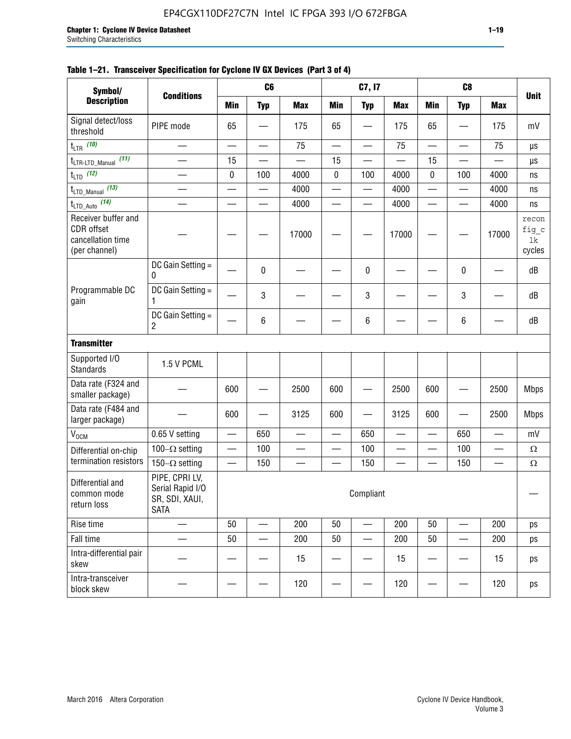| Symbol/                                                                        |                                                                     |            | C6                       |                          |                          | C7, I7                   |                          |                          | C8                       |            |                                |
|--------------------------------------------------------------------------------|---------------------------------------------------------------------|------------|--------------------------|--------------------------|--------------------------|--------------------------|--------------------------|--------------------------|--------------------------|------------|--------------------------------|
| <b>Description</b>                                                             | <b>Conditions</b>                                                   | <b>Min</b> | <b>Typ</b>               | <b>Max</b>               | <b>Min</b>               | <b>Typ</b>               | <b>Max</b>               | <b>Min</b>               | <b>Typ</b>               | <b>Max</b> | <b>Unit</b>                    |
| Signal detect/loss<br>threshold                                                | PIPE mode                                                           | 65         |                          | 175                      | 65                       |                          | 175                      | 65                       |                          | 175        | mV                             |
| $t_{LTR}$ (10)                                                                 | $\overline{\phantom{0}}$                                            |            | $\overline{\phantom{0}}$ | 75                       | $\overline{\phantom{0}}$ | —                        | 75                       | $\overline{\phantom{0}}$ |                          | 75         | μs                             |
| (11)<br>$t_{\text{LTR-LTD\_Manual}}$                                           |                                                                     | 15         |                          |                          | 15                       |                          |                          | 15                       |                          |            | μs                             |
| $t_{LTD}$ (12)                                                                 | $\overline{\phantom{0}}$                                            | $\pmb{0}$  | 100                      | 4000                     | 0                        | 100                      | 4000                     | 0                        | 100                      | 4000       | ns                             |
| $t_{\text{LTD\_Manual}}$ (13)                                                  |                                                                     |            |                          | 4000                     |                          | —                        | 4000                     | $\overline{\phantom{0}}$ |                          | 4000       | ns                             |
| $t_{\text{LTD\_Auto}}$ (14)                                                    | $\overline{\phantom{0}}$                                            |            | $\equiv$                 | 4000                     | $\equiv$                 | $\overline{\phantom{0}}$ | 4000                     |                          | $\overline{\phantom{0}}$ | 4000       | ns                             |
| Receiver buffer and<br><b>CDR</b> offset<br>cancellation time<br>(per channel) |                                                                     |            |                          | 17000                    |                          |                          | 17000                    |                          |                          | 17000      | recon<br>fig_c<br>1k<br>cycles |
|                                                                                | DC Gain Setting =<br>0                                              |            | 0                        |                          |                          | 0                        |                          |                          | 0                        |            | dB                             |
| Programmable DC<br>gain                                                        | DC Gain Setting $=$<br>1                                            |            | 3                        |                          |                          | 3                        |                          |                          | 3                        |            | dB                             |
|                                                                                | DC Gain Setting $=$<br>2                                            |            | 6                        |                          |                          | 6                        |                          |                          | 6                        |            | dB                             |
| <b>Transmitter</b>                                                             |                                                                     |            |                          |                          |                          |                          |                          |                          |                          |            |                                |
| Supported I/O<br><b>Standards</b>                                              | 1.5 V PCML                                                          |            |                          |                          |                          |                          |                          |                          |                          |            |                                |
| Data rate (F324 and<br>smaller package)                                        |                                                                     | 600        |                          | 2500                     | 600                      |                          | 2500                     | 600                      |                          | 2500       | <b>Mbps</b>                    |
| Data rate (F484 and<br>larger package)                                         |                                                                     | 600        |                          | 3125                     | 600                      |                          | 3125                     | 600                      |                          | 2500       | <b>Mbps</b>                    |
| V <sub>OCM</sub>                                                               | 0.65 V setting                                                      |            | 650                      | $\overline{\phantom{0}}$ |                          | 650                      |                          |                          | 650                      |            | mV                             |
| Differential on-chip                                                           | 100 $-\Omega$ setting                                               | —          | 100                      | $\overline{\phantom{0}}$ | $\overline{\phantom{0}}$ | 100                      | $\overline{\phantom{a}}$ | $\overline{\phantom{0}}$ | 100                      | —          | $\Omega$                       |
| termination resistors                                                          | $150-\Omega$ setting                                                |            | 150                      |                          |                          | 150                      |                          |                          | 150                      |            | $\Omega$                       |
| Differential and<br>common mode<br>return loss                                 | PIPE, CPRI LV,<br>Serial Rapid I/O<br>SR, SDI, XAUI,<br><b>SATA</b> |            |                          |                          |                          | Compliant                |                          |                          |                          |            |                                |
| Rise time                                                                      |                                                                     | 50         |                          | 200                      | 50                       |                          | 200                      | 50                       |                          | 200        | ps                             |
| Fall time                                                                      |                                                                     | 50         |                          | 200                      | 50                       |                          | 200                      | 50                       |                          | 200        | ps                             |
| Intra-differential pair<br>skew                                                |                                                                     |            |                          | 15                       |                          |                          | 15                       |                          |                          | 15         | ps                             |
| Intra-transceiver<br>block skew                                                |                                                                     |            |                          | 120                      |                          |                          | 120                      |                          |                          | 120        | ps                             |

#### **Table 1–21. Transceiver Specification for Cyclone IV GX Devices (Part 3 of 4)**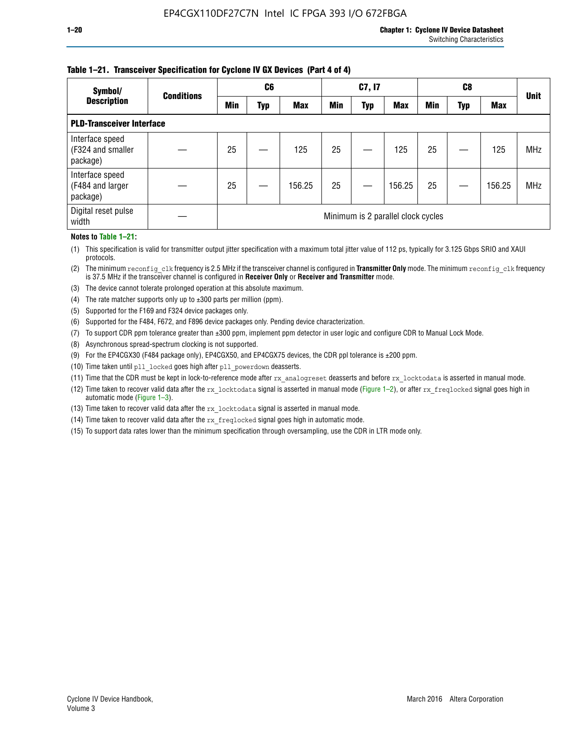#### **Table 1–21. Transceiver Specification for Cyclone IV GX Devices (Part 4 of 4)**

| Symbol/                                          | <b>Conditions</b> |            | C <sub>6</sub> |            |            | C7, I7     |                                    |            | C8  |            | <b>Unit</b> |
|--------------------------------------------------|-------------------|------------|----------------|------------|------------|------------|------------------------------------|------------|-----|------------|-------------|
| <b>Description</b>                               |                   | <b>Min</b> | Typ            | <b>Max</b> | <b>Min</b> | <b>Typ</b> | <b>Max</b>                         | <b>Min</b> | Typ | <b>Max</b> |             |
| <b>PLD-Transceiver Interface</b>                 |                   |            |                |            |            |            |                                    |            |     |            |             |
| Interface speed<br>(F324 and smaller<br>package) |                   | 25         |                | 125        | 25         |            | 125                                | 25         |     | 125        | <b>MHz</b>  |
| Interface speed<br>(F484 and larger<br>package)  |                   | 25         |                | 156.25     | 25         |            | 156.25                             | 25         |     | 156.25     | <b>MHz</b>  |
| Digital reset pulse<br>width                     |                   |            |                |            |            |            | Minimum is 2 parallel clock cycles |            |     |            |             |

#### **Notes to Table 1–21:**

(1) This specification is valid for transmitter output jitter specification with a maximum total jitter value of 112 ps, typically for 3.125 Gbps SRIO and XAUI protocols.

(2) The minimum reconfig\_clk frequency is 2.5 MHz if the transceiver channel is configured in **Transmitter Only** mode. The minimum reconfig\_clk frequency is 37.5 MHz if the transceiver channel is configured in **Receiver Only** or **Receiver and Transmitter** mode.

(3) The device cannot tolerate prolonged operation at this absolute maximum.

- (4) The rate matcher supports only up to  $\pm 300$  parts per million (ppm).
- (5) Supported for the F169 and F324 device packages only.
- (6) Supported for the F484, F672, and F896 device packages only. Pending device characterization.
- (7) To support CDR ppm tolerance greater than ±300 ppm, implement ppm detector in user logic and configure CDR to Manual Lock Mode.
- (8) Asynchronous spread-spectrum clocking is not supported.
- (9) For the EP4CGX30 (F484 package only), EP4CGX50, and EP4CGX75 devices, the CDR ppl tolerance is ±200 ppm.
- (10) Time taken until pll\_locked goes high after pll\_powerdown deasserts.
- (11) Time that the CDR must be kept in lock-to-reference mode after rx analogreset deasserts and before rx locktodata is asserted in manual mode.

(12) Time taken to recover valid data after the rx locktodata signal is asserted in manual mode (Figure 1–2), or after rx freqlocked signal goes high in automatic mode (Figure 1–3).

(13) Time taken to recover valid data after the rx locktodata signal is asserted in manual mode.

- (14) Time taken to recover valid data after the rx freqlocked signal goes high in automatic mode.
- (15) To support data rates lower than the minimum specification through oversampling, use the CDR in LTR mode only.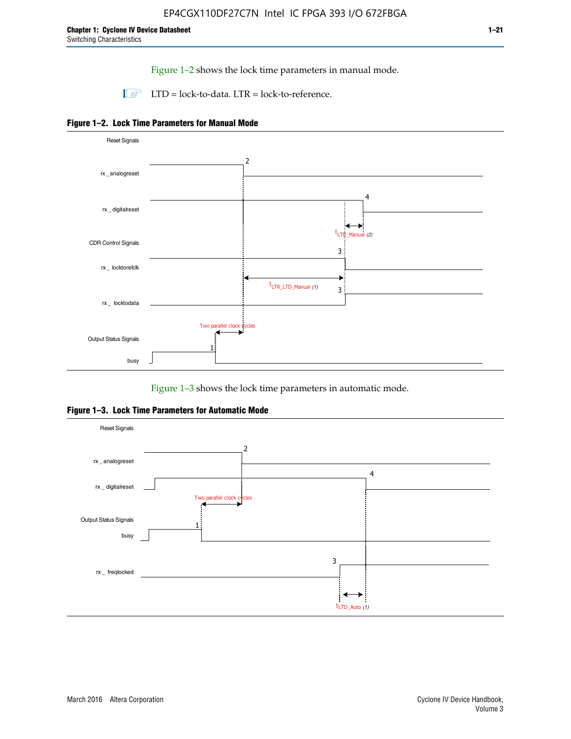Figure 1–2 shows the lock time parameters in manual mode.

 $\Box$  LTD = lock-to-data. LTR = lock-to-reference.





Figure 1–3 shows the lock time parameters in automatic mode.

**Figure 1–3. Lock Time Parameters for Automatic Mode**

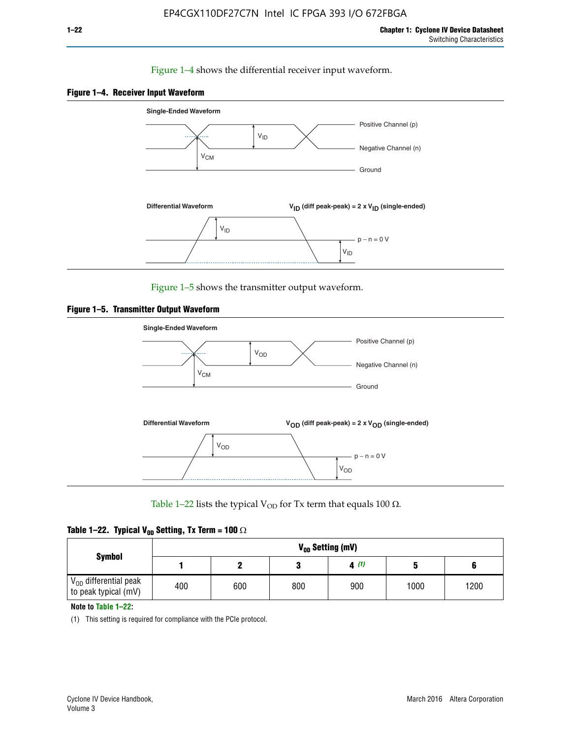#### Figure 1–4 shows the differential receiver input waveform.





Figure 1–5 shows the transmitter output waveform.





Table 1–22 lists the typical V<sub>OD</sub> for Tx term that equals 100  $\Omega$ .

|  |  | Table 1–22. Typical V <sub>0D</sub> Setting, Tx Term = 100 $\Omega$ |  |  |
|--|--|---------------------------------------------------------------------|--|--|
|--|--|---------------------------------------------------------------------|--|--|

| <b>Symbol</b>                                          | V <sub>on</sub> Setting (mV) |     |     |      |      |      |  |  |  |  |
|--------------------------------------------------------|------------------------------|-----|-----|------|------|------|--|--|--|--|
|                                                        |                              |     |     | 4(1) |      |      |  |  |  |  |
| $\rm V_{OD}$ differential peak<br>to peak typical (mV) | 400                          | 600 | 800 | 900  | 1000 | 1200 |  |  |  |  |

**Note to Table 1–22:**

(1) This setting is required for compliance with the PCIe protocol.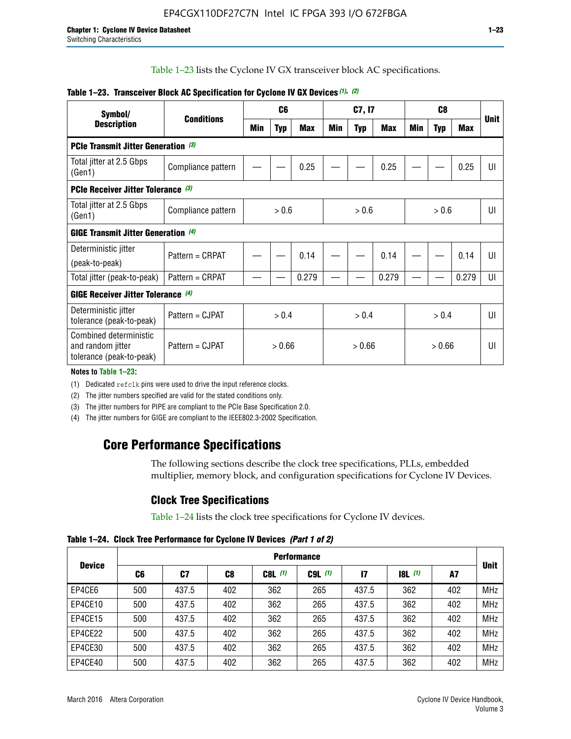Table 1–23 lists the Cyclone IV GX transceiver block AC specifications.

| Symbol/                                                                 | <b>Conditions</b><br><b>Description</b> |        | C <sub>6</sub> |            | C7, I7 |            |            | C <sub>8</sub> |            |       | <b>Unit</b> |
|-------------------------------------------------------------------------|-----------------------------------------|--------|----------------|------------|--------|------------|------------|----------------|------------|-------|-------------|
|                                                                         |                                         |        | <b>Typ</b>     | <b>Max</b> | Min    | <b>Typ</b> | <b>Max</b> | Min            | <b>Typ</b> | Max   |             |
| <b>PCIe Transmit Jitter Generation</b> (3)                              |                                         |        |                |            |        |            |            |                |            |       |             |
| Total jitter at 2.5 Gbps<br>(Gen1)                                      | Compliance pattern                      |        |                | 0.25       |        |            | 0.25       |                |            | 0.25  | UI          |
| <b>PCIe Receiver Jitter Tolerance (3)</b>                               |                                         |        |                |            |        |            |            |                |            |       |             |
| Total jitter at 2.5 Gbps<br>(Gen1)                                      | Compliance pattern                      | > 0.6  |                | > 0.6      |        | > 0.6      |            | UI             |            |       |             |
| <b>GIGE Transmit Jitter Generation (4)</b>                              |                                         |        |                |            |        |            |            |                |            |       |             |
| Deterministic jitter<br>(peak-to-peak)                                  | Pattern = CRPAT                         |        |                | 0.14       |        |            | 0.14       |                |            | 0.14  | UI          |
| Total jitter (peak-to-peak)                                             | Pattern = CRPAT                         |        |                | 0.279      |        |            | 0.279      |                |            | 0.279 | UI          |
| <b>GIGE Receiver Jitter Tolerance (4)</b>                               |                                         |        |                |            |        |            |            |                |            |       |             |
| Deterministic jitter<br>tolerance (peak-to-peak)                        | Pattern = CJPAT                         | > 0.4  |                | > 0.4      |        |            | > 0.4      |                |            | UI    |             |
| Combined deterministic<br>and random jitter<br>tolerance (peak-to-peak) | Pattern = CJPAT                         | > 0.66 |                | > 0.66     |        |            | > 0.66     |                |            | UI    |             |

#### **Table 1–23. Transceiver Block AC Specification for Cyclone IV GX Devices** *(1)***,** *(2)*

**Notes to Table 1–23:**

(1) Dedicated refclk pins were used to drive the input reference clocks.

(2) The jitter numbers specified are valid for the stated conditions only.

(3) The jitter numbers for PIPE are compliant to the PCIe Base Specification 2.0.

(4) The jitter numbers for GIGE are compliant to the IEEE802.3-2002 Specification.

# **Core Performance Specifications**

The following sections describe the clock tree specifications, PLLs, embedded multiplier, memory block, and configuration specifications for Cyclone IV Devices.

# **Clock Tree Specifications**

Table 1–24 lists the clock tree specifications for Cyclone IV devices.

**Table 1–24. Clock Tree Performance for Cyclone IV Devices** *(Part 1 of 2)*

|               | <b>Performance</b> |       |     |           |             |       |                  |     |             |
|---------------|--------------------|-------|-----|-----------|-------------|-------|------------------|-----|-------------|
| <b>Device</b> | C6                 | C7    | C8  | $C8L$ (1) | $C9L$ $(1)$ | 17    | <b>18L</b> $(1)$ | A7  | <b>Unit</b> |
| EP4CE6        | 500                | 437.5 | 402 | 362       | 265         | 437.5 | 362              | 402 | <b>MHz</b>  |
| EP4CE10       | 500                | 437.5 | 402 | 362       | 265         | 437.5 | 362              | 402 | <b>MHz</b>  |
| EP4CE15       | 500                | 437.5 | 402 | 362       | 265         | 437.5 | 362              | 402 | <b>MHz</b>  |
| EP4CE22       | 500                | 437.5 | 402 | 362       | 265         | 437.5 | 362              | 402 | <b>MHz</b>  |
| EP4CE30       | 500                | 437.5 | 402 | 362       | 265         | 437.5 | 362              | 402 | <b>MHz</b>  |
| EP4CE40       | 500                | 437.5 | 402 | 362       | 265         | 437.5 | 362              | 402 | <b>MHz</b>  |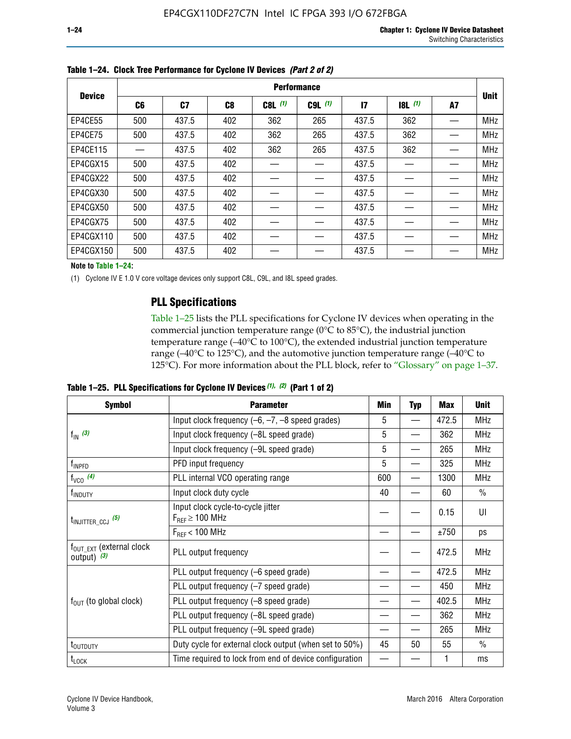|               | <b>Performance</b> |       |     |           |             |              |       |    |             |
|---------------|--------------------|-------|-----|-----------|-------------|--------------|-------|----|-------------|
| <b>Device</b> | C6                 | C7    | C8  | $C8L$ (1) | $C9L$ $(1)$ | $\mathbf{I}$ | 8L(1) | A7 | <b>Unit</b> |
| EP4CE55       | 500                | 437.5 | 402 | 362       | 265         | 437.5        | 362   |    | <b>MHz</b>  |
| EP4CE75       | 500                | 437.5 | 402 | 362       | 265         | 437.5        | 362   |    | <b>MHz</b>  |
| EP4CE115      |                    | 437.5 | 402 | 362       | 265         | 437.5        | 362   |    | <b>MHz</b>  |
| EP4CGX15      | 500                | 437.5 | 402 |           |             | 437.5        |       |    | <b>MHz</b>  |
| EP4CGX22      | 500                | 437.5 | 402 |           |             | 437.5        |       |    | <b>MHz</b>  |
| EP4CGX30      | 500                | 437.5 | 402 |           |             | 437.5        |       |    | <b>MHz</b>  |
| EP4CGX50      | 500                | 437.5 | 402 |           |             | 437.5        |       |    | <b>MHz</b>  |
| EP4CGX75      | 500                | 437.5 | 402 |           |             | 437.5        |       |    | <b>MHz</b>  |
| EP4CGX110     | 500                | 437.5 | 402 |           |             | 437.5        |       |    | <b>MHz</b>  |
| EP4CGX150     | 500                | 437.5 | 402 |           |             | 437.5        |       |    | <b>MHz</b>  |

**Table 1–24. Clock Tree Performance for Cyclone IV Devices** *(Part 2 of 2)*

**Note to Table 1–24:**

(1) Cyclone IV E 1.0 V core voltage devices only support C8L, C9L, and I8L speed grades.

### **PLL Specifications**

Table 1–25 lists the PLL specifications for Cyclone IV devices when operating in the commercial junction temperature range (0°C to 85°C), the industrial junction temperature range (–40°C to 100°C), the extended industrial junction temperature range (–40°C to 125°C), and the automotive junction temperature range (–40°C to 125°C). For more information about the PLL block, refer to "Glossary" on page 1–37.

|  |  | Table 1–25. PLL Specifications for Cyclone IV Devices $(1)$ , $(2)$ (Part 1 of 2) |  |
|--|--|-----------------------------------------------------------------------------------|--|
|--|--|-----------------------------------------------------------------------------------|--|

| <b>Symbol</b>                                          | <b>Parameter</b>                                            | Min | <b>Typ</b>               | <b>Max</b> | <b>Unit</b>   |
|--------------------------------------------------------|-------------------------------------------------------------|-----|--------------------------|------------|---------------|
|                                                        | Input clock frequency $(-6, -7, -8)$ speed grades)          | 5   | $\qquad \qquad$          | 472.5      | <b>MHz</b>    |
| $f_{\text{IN}}(3)$                                     | Input clock frequency (-8L speed grade)                     | 5   |                          | 362        | <b>MHz</b>    |
|                                                        | Input clock frequency (-9L speed grade)                     | 5   |                          | 265        | <b>MHz</b>    |
| f <sub>INPFD</sub>                                     | PFD input frequency                                         | 5   | $\overline{\phantom{0}}$ | 325        | <b>MHz</b>    |
| $f_{VCO}$ (4)                                          | PLL internal VCO operating range                            | 600 |                          | 1300       | <b>MHz</b>    |
| f <sub>INDUTY</sub>                                    | Input clock duty cycle                                      | 40  |                          | 60         | $\frac{0}{0}$ |
| $t_{\text{INJITTER\_CCJ}}$ (5)                         | Input clock cycle-to-cycle jitter<br>$F_{REF} \geq 100$ MHz |     |                          | 0.15       | UI            |
|                                                        | $F_{RFF}$ < 100 MHz                                         |     |                          | ±750       | ps            |
| $f_{\text{OUT\_EXT}}$ (external clock<br>output) $(3)$ | PLL output frequency                                        |     |                          | 472.5      | <b>MHz</b>    |
|                                                        | PLL output frequency (-6 speed grade)                       |     |                          | 472.5      | <b>MHz</b>    |
|                                                        | PLL output frequency (-7 speed grade)                       |     |                          | 450        | <b>MHz</b>    |
| $f_{OUT}$ (to global clock)                            | PLL output frequency (-8 speed grade)                       |     |                          | 402.5      | <b>MHz</b>    |
|                                                        | PLL output frequency (-8L speed grade)                      |     |                          | 362        | <b>MHz</b>    |
|                                                        | PLL output frequency (-9L speed grade)                      |     |                          | 265        | <b>MHz</b>    |
| t <sub>outduty</sub>                                   | Duty cycle for external clock output (when set to 50%)      | 45  | 50                       | 55         | $\frac{0}{0}$ |
| $t_{\text{LOCK}}$                                      | Time required to lock from end of device configuration      |     |                          |            | ms            |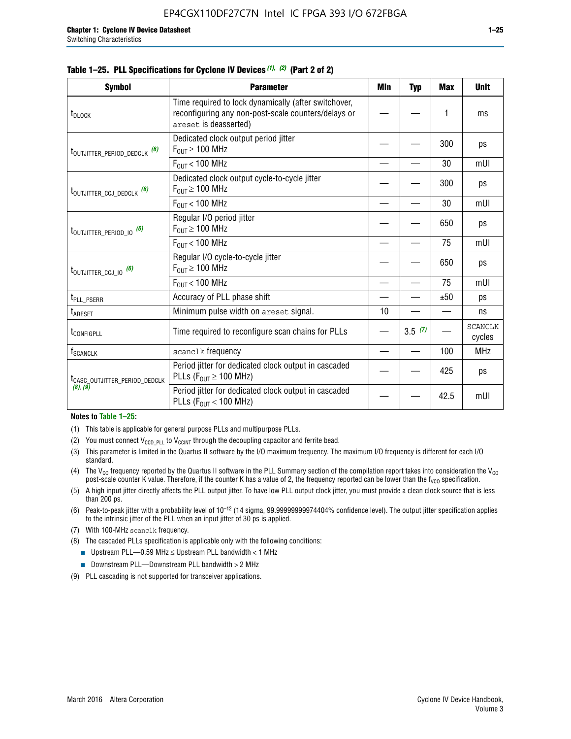|  |  | Table 1–25. PLL Specifications for Cyclone IV Devices (1), (2) (Part 2 of 2) |  |
|--|--|------------------------------------------------------------------------------|--|
|--|--|------------------------------------------------------------------------------|--|

| <b>Symbol</b>                             | <b>Parameter</b>                                                                                                                     | Min | <b>Typ</b> | <b>Max</b> | <b>Unit</b>              |
|-------------------------------------------|--------------------------------------------------------------------------------------------------------------------------------------|-----|------------|------------|--------------------------|
| t <sub>DLOCK</sub>                        | Time required to lock dynamically (after switchover,<br>reconfiguring any non-post-scale counters/delays or<br>areset is deasserted) |     |            | 1          | ms                       |
| t <sub>outjitter_period_dedclk</sub> (6)  | Dedicated clock output period jitter<br>$F_{OUT} \geq 100$ MHz                                                                       |     |            | 300        | ps                       |
|                                           | $F_{OUT}$ < 100 MHz                                                                                                                  |     |            | 30         | mUI                      |
| t <sub>outjitter_ccj_dedclk</sub> (6)     | Dedicated clock output cycle-to-cycle jitter<br>$F_{OUT} \geq 100$ MHz                                                               |     |            | 300        | ps                       |
|                                           | $F_{\text{OUT}}$ < 100 MHz                                                                                                           |     |            | 30         | mUI                      |
| t <sub>outjitter_period_io</sub> (6)      | Regular I/O period jitter<br>$F_{OUT} \geq 100$ MHz                                                                                  |     |            | 650        | ps                       |
|                                           | $F_{OUT}$ < 100 MHz                                                                                                                  |     |            | 75         | mUI                      |
| t <sub>outjitter_ccj_io</sub> (6)         | Regular I/O cycle-to-cycle jitter<br>$F_{OUT} \ge 100$ MHz                                                                           |     |            | 650        | ps                       |
|                                           | $F_{\text{OUT}}$ < 100 MHz                                                                                                           |     |            | 75         | mUI                      |
| t <sub>PLL_PSERR</sub>                    | Accuracy of PLL phase shift                                                                                                          |     |            | ±50        | ps                       |
| $t_{\sf AREF}$                            | Minimum pulse width on areset signal.                                                                                                | 10  |            |            | ns                       |
| t <sub>configpll</sub>                    | Time required to reconfigure scan chains for PLLs                                                                                    |     | 3.5(7)     |            | <b>SCANCLK</b><br>cycles |
| f <sub>SCANCLK</sub>                      | scanclk frequency                                                                                                                    |     |            | 100        | <b>MHz</b>               |
| t <sub>CASC_OUTJITTER_PERIOD_DEDCLK</sub> | Period jitter for dedicated clock output in cascaded<br>PLLs ( $F_{OUT} \ge 100$ MHz)                                                |     |            | 425        | ps                       |
| (8), (9)                                  | Period jitter for dedicated clock output in cascaded<br>PLLs ( $F_{OUT}$ < 100 MHz)                                                  |     |            | 42.5       | mUI                      |

#### **Notes to Table 1–25:**

- (1) This table is applicable for general purpose PLLs and multipurpose PLLs.
- (2) You must connect  $V_{CCD-PLL}$  to  $V_{CCINT}$  through the decoupling capacitor and ferrite bead.
- (3) This parameter is limited in the Quartus II software by the I/O maximum frequency. The maximum I/O frequency is different for each I/O standard.
- (4) The  $V_{CO}$  frequency reported by the Quartus II software in the PLL Summary section of the compilation report takes into consideration the  $V_{CO}$ post-scale counter K value. Therefore, if the counter K has a value of 2, the frequency reported can be lower than the f<sub>VCO</sub> specification.
- (5) A high input jitter directly affects the PLL output jitter. To have low PLL output clock jitter, you must provide a clean clock source that is less than 200 ps.
- (6) Peak-to-peak jitter with a probability level of 10–12 (14 sigma, 99.99999999974404% confidence level). The output jitter specification applies to the intrinsic jitter of the PLL when an input jitter of 30 ps is applied.
- (7) With 100-MHz scanclk frequency.
- (8) The cascaded PLLs specification is applicable only with the following conditions:
	- **■** Upstream PLL—0.59 MHz  $\leq$  Upstream PLL bandwidth  $<$  1 MHz
	- Downstream PLL—Downstream PLL bandwidth > 2 MHz
- (9) PLL cascading is not supported for transceiver applications.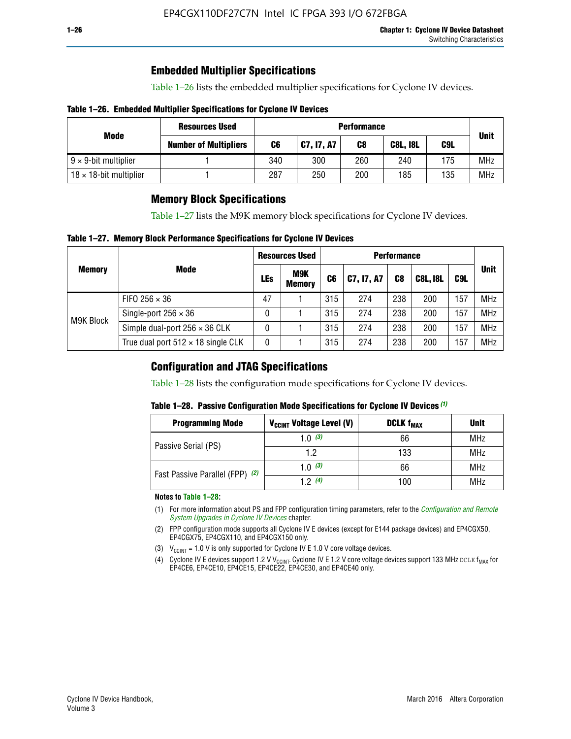# **Embedded Multiplier Specifications**

Table 1–26 lists the embedded multiplier specifications for Cyclone IV devices.

#### **Table 1–26. Embedded Multiplier Specifications for Cyclone IV Devices**

|                                | <b>Resources Used</b>        |     |            | <b>Performance</b> |                 |     |             |  |
|--------------------------------|------------------------------|-----|------------|--------------------|-----------------|-----|-------------|--|
| Mode                           | <b>Number of Multipliers</b> | C6  | C7, I7, A7 | C8                 | <b>C8L, I8L</b> | C9L | <b>Unit</b> |  |
| $9 \times 9$ -bit multiplier   |                              | 340 | 300        | 260                | 240             | 175 | <b>MHz</b>  |  |
| $18 \times 18$ -bit multiplier |                              | 287 | 250        | 200                | 185             | 135 | <b>MHz</b>  |  |

### **Memory Block Specifications**

Table 1–27 lists the M9K memory block specifications for Cyclone IV devices.

#### **Table 1–27. Memory Block Performance Specifications for Cyclone IV Devices**

|               |                                           | <b>Resources Used</b> |                      | <b>Performance</b> |            |                |                 |     |             |
|---------------|-------------------------------------------|-----------------------|----------------------|--------------------|------------|----------------|-----------------|-----|-------------|
| <b>Memory</b> | <b>Mode</b>                               | <b>LEs</b>            | M9K<br><b>Memory</b> | C <sub>6</sub>     | C7, I7, A7 | C <sub>8</sub> | <b>C8L, I8L</b> | C9L | <b>Unit</b> |
|               | FIFO 256 $\times$ 36                      | 47                    |                      | 315                | 274        | 238            | 200             | 157 | <b>MHz</b>  |
| M9K Block     | Single-port $256 \times 36$               | 0                     |                      | 315                | 274        | 238            | 200             | 157 | <b>MHz</b>  |
|               | Simple dual-port $256 \times 36$ CLK      | 0                     |                      | 315                | 274        | 238            | 200             | 157 | <b>MHz</b>  |
|               | True dual port $512 \times 18$ single CLK | 0                     |                      | 315                | 274        | 238            | 200             | 157 | <b>MHz</b>  |

### **Configuration and JTAG Specifications**

Table 1–28 lists the configuration mode specifications for Cyclone IV devices.

#### **Table 1–28. Passive Configuration Mode Specifications for Cyclone IV Devices** *(1)*

| <b>Programming Mode</b>         | V <sub>CCINT</sub> Voltage Level (V) | <b>DCLK f<sub>MAX</sub></b> | <b>Unit</b> |
|---------------------------------|--------------------------------------|-----------------------------|-------------|
| Passive Serial (PS)             | 1.0 $(3)$                            | 66                          | MHz         |
|                                 | 1.2                                  | 133                         | MHz         |
| Fast Passive Parallel (FPP) (2) | 1.0 $(3)$                            | 66                          | <b>MHz</b>  |
|                                 | 12(4)                                | 100                         | <b>MHz</b>  |

#### **Notes to Table 1–28:**

- (1) For more information about PS and FPP configuration timing parameters, refer to the *[Configuration and Remote](http://www.altera.com/literature/hb/cyclone-iv/cyiv-51008.pdf)  [System Upgrades in Cyclone IV Devices](http://www.altera.com/literature/hb/cyclone-iv/cyiv-51008.pdf)* chapter.
- (2) FPP configuration mode supports all Cyclone IV E devices (except for E144 package devices) and EP4CGX50, EP4CGX75, EP4CGX110, and EP4CGX150 only.
- (3)  $V_{CCMT}$  = 1.0 V is only supported for Cyclone IV E 1.0 V core voltage devices.
- (4) Cyclone IV E devices support 1.2 V V<sub>CCINT</sub>. Cyclone IV E 1.2 V core voltage devices support 133 MHz DCLK f<sub>MAX</sub> for EP4CE6, EP4CE10, EP4CE15, EP4CE22, EP4CE30, and EP4CE40 only.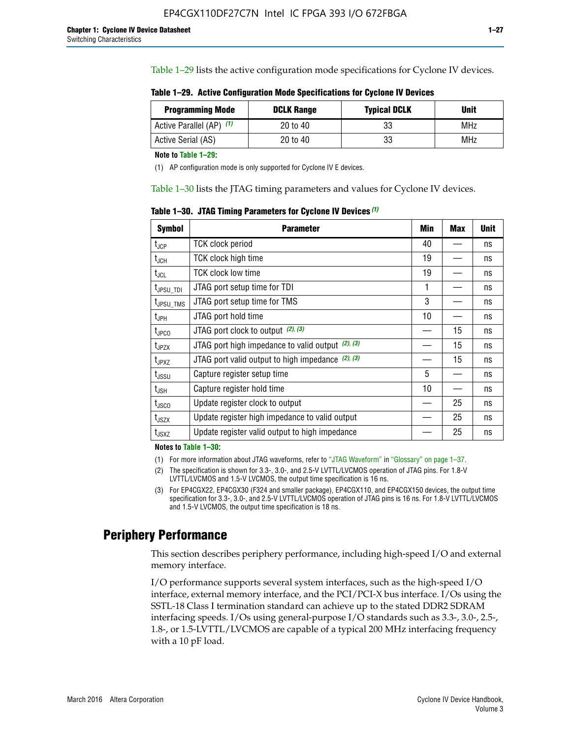Table 1–29 lists the active configuration mode specifications for Cyclone IV devices.

**Table 1–29. Active Configuration Mode Specifications for Cyclone IV Devices**

| <b>Programming Mode</b>  | <b>DCLK Range</b> | <b>Typical DCLK</b> | <b>Unit</b> |
|--------------------------|-------------------|---------------------|-------------|
| Active Parallel (AP) (1) | 20 to 40          | 33                  | MHz         |
| Active Serial (AS)       | 20 to 40          | 33                  | MHz         |

**Note to Table 1–29:**

(1) AP configuration mode is only supported for Cyclone IV E devices.

Table 1–30 lists the JTAG timing parameters and values for Cyclone IV devices.

**Table 1–30. JTAG Timing Parameters for Cyclone IV Devices** *(1)*

| Symbol                       | <b>Parameter</b>                                       | <b>Min</b> | <b>Max</b> | <b>Unit</b> |
|------------------------------|--------------------------------------------------------|------------|------------|-------------|
| t <sub>JCP</sub>             | <b>TCK clock period</b>                                | 40         |            | ns          |
| t <sub>JCH</sub>             | <b>TCK clock high time</b>                             | 19         |            | ns          |
| $t_{JCL}$                    | TCK clock low time                                     | 19         |            | ns          |
| t <sub>JPSU_TDI</sub>        | JTAG port setup time for TDI                           | 1          |            | ns          |
| t <sub>JPSU_TMS</sub>        | JTAG port setup time for TMS                           | 3          |            | ns          |
| t <sub>JPH</sub>             | JTAG port hold time                                    | 10         |            | ns          |
| t <sub>JPCO</sub>            | JTAG port clock to output $(2)$ , $(3)$                |            | 15         | ns          |
| t <sub>JPZX</sub>            | JTAG port high impedance to valid output $(2)$ , $(3)$ |            | 15         | ns          |
| t <sub>JPXZ</sub>            | JTAG port valid output to high impedance $(2)$ , $(3)$ |            | 15         | ns          |
| ${\rm t}_{\rm JSSU}$         | Capture register setup time                            | 5          |            | ns          |
| $\mathsf{t}_{\mathsf{JSH}}$  | Capture register hold time                             | 10         |            | ns          |
| $t_{\rm JSCO}$               | Update register clock to output                        |            | 25         | ns          |
| $t_{\footnotesize \rm JSZX}$ | Update register high impedance to valid output         |            | 25         | ns          |
| t <sub>JSXZ</sub>            | Update register valid output to high impedance         |            | 25         | ns          |

**Notes to Table 1–30:**

(1) For more information about JTAG waveforms, refer to "JTAG Waveform" in "Glossary" on page 1–37.

(2) The specification is shown for 3.3-, 3.0-, and 2.5-V LVTTL/LVCMOS operation of JTAG pins. For 1.8-V LVTTL/LVCMOS and 1.5-V LVCMOS, the output time specification is 16 ns.

(3) For EP4CGX22, EP4CGX30 (F324 and smaller package), EP4CGX110, and EP4CGX150 devices, the output time specification for 3.3-, 3.0-, and 2.5-V LVTTL/LVCMOS operation of JTAG pins is 16 ns. For 1.8-V LVTTL/LVCMOS and 1.5-V LVCMOS, the output time specification is 18 ns.

# **Periphery Performance**

This section describes periphery performance, including high-speed I/O and external memory interface.

I/O performance supports several system interfaces, such as the high-speed I/O interface, external memory interface, and the PCI/PCI-X bus interface. I/Os using the SSTL-18 Class I termination standard can achieve up to the stated DDR2 SDRAM interfacing speeds. I/Os using general-purpose I/O standards such as 3.3-, 3.0-, 2.5-, 1.8-, or 1.5-LVTTL/LVCMOS are capable of a typical 200 MHz interfacing frequency with a 10 pF load.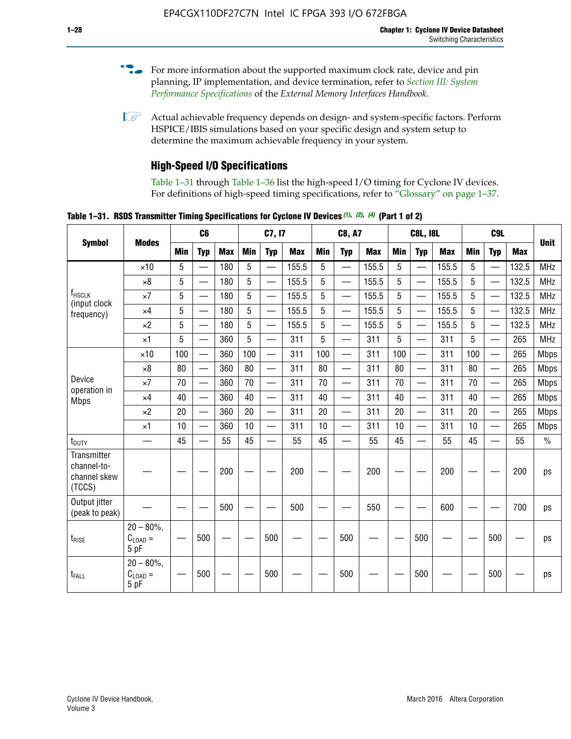- For more information about the supported maximum clock rate, device and pin planning, IP implementation, and device termination, refer to *[Section III: System](http://www.altera.com/literature/hb/external-memory/emi_intro_specs.pdf)  [Performance Specifications](http://www.altera.com/literature/hb/external-memory/emi_intro_specs.pdf)* of the *External Memory Interfaces Handbook*.
- **1 Actual achievable frequency depends on design- and system-specific factors. Perform** HSPICE/IBIS simulations based on your specific design and system setup to determine the maximum achievable frequency in your system.

# **High-Speed I/O Specifications**

Table 1–31 through Table 1–36 list the high-speed I/O timing for Cyclone IV devices. For definitions of high-speed timing specifications, refer to "Glossary" on page 1–37.

**Table 1–31. RSDS Transmitter Timing Specifications for Cyclone IV Devices** *(1)***,** *(2)***,** *(4)* **(Part 1 of 2)**

| <b>Symbol</b>                                                                                                                                                                                                                                       |                                     |            | C6                       |            |            | C7, I7                   |            |                 | <b>C8, A7</b>            |            |            | <b>C8L, I8L</b>          |            |     | C <sub>9</sub> L         |            |             |
|-----------------------------------------------------------------------------------------------------------------------------------------------------------------------------------------------------------------------------------------------------|-------------------------------------|------------|--------------------------|------------|------------|--------------------------|------------|-----------------|--------------------------|------------|------------|--------------------------|------------|-----|--------------------------|------------|-------------|
|                                                                                                                                                                                                                                                     | <b>Modes</b>                        | <b>Min</b> | <b>Typ</b>               | <b>Max</b> | <b>Min</b> | <b>Typ</b>               | <b>Max</b> | <b>Min</b>      | <b>Typ</b>               | <b>Max</b> | <b>Min</b> | <b>Typ</b>               | <b>Max</b> | Min | <b>Typ</b>               | <b>Max</b> | <b>Unit</b> |
| f <sub>HSCLK</sub><br>(input clock<br>frequency)<br>Device<br>operation in<br><b>Mbps</b><br>t <sub>DUTY</sub><br>Transmitter<br>channel-to-<br>channel skew<br>(TCCS)<br>Output jitter<br>(peak to peak)<br>$t_{\text{RISE}}$<br>t <sub>FALL</sub> | $\times$ 10                         | 5          | $\overline{\phantom{0}}$ | 180        | 5          | —                        | 155.5      | 5               | $\overline{\phantom{0}}$ | 155.5      | 5          |                          | 155.5      | 5   |                          | 132.5      | <b>MHz</b>  |
|                                                                                                                                                                                                                                                     | $\times 8$                          | 5          |                          | 180        | 5          |                          | 155.5      | $5\phantom{.0}$ | $\overline{\phantom{0}}$ | 155.5      | 5          |                          | 155.5      | 5   |                          | 132.5      | <b>MHz</b>  |
|                                                                                                                                                                                                                                                     | $\times 7$                          | 5          | $\overline{\phantom{0}}$ | 180        | 5          |                          | 155.5      | 5               | $\overline{\phantom{0}}$ | 155.5      | 5          |                          | 155.5      | 5   |                          | 132.5      | <b>MHz</b>  |
|                                                                                                                                                                                                                                                     | $\times$ 4                          | 5          | $\overline{\phantom{0}}$ | 180        | 5          | $\overline{\phantom{0}}$ | 155.5      | 5               | $\equiv$                 | 155.5      | 5          | $\overline{\phantom{0}}$ | 155.5      | 5   | $\overline{\phantom{0}}$ | 132.5      | <b>MHz</b>  |
|                                                                                                                                                                                                                                                     | $\times 2$                          | 5          | $\equiv$                 | 180        | 5          |                          | 155.5      | 5               | $\equiv$                 | 155.5      | 5          | $\equiv$                 | 155.5      | 5   | $\overline{\phantom{0}}$ | 132.5      | <b>MHz</b>  |
|                                                                                                                                                                                                                                                     | $\times$ 1                          | 5          |                          | 360        | 5          |                          | 311        | 5               | $\overline{\phantom{0}}$ | 311        | 5          | $\overline{\phantom{0}}$ | 311        | 5   |                          | 265        | <b>MHz</b>  |
|                                                                                                                                                                                                                                                     | $\times$ 10                         | 100        | $\overline{\phantom{0}}$ | 360        | 100        |                          | 311        | 100             | $\overline{\phantom{0}}$ | 311        | 100        | $\overline{\phantom{0}}$ | 311        | 100 |                          | 265        | <b>Mbps</b> |
|                                                                                                                                                                                                                                                     | $\times 8$                          | 80         |                          | 360        | 80         |                          | 311        | 80              | $\overline{\phantom{0}}$ | 311        | 80         | $\overline{\phantom{0}}$ | 311        | 80  | $\overline{\phantom{0}}$ | 265        | <b>Mbps</b> |
|                                                                                                                                                                                                                                                     | $\times 7$                          | 70         |                          | 360        | 70         |                          | 311        | 70              | $\overline{\phantom{0}}$ | 311        | 70         | $\overline{\phantom{0}}$ | 311        | 70  | $\overline{\phantom{0}}$ | 265        | <b>Mbps</b> |
|                                                                                                                                                                                                                                                     | $\times$ 4                          | 40         |                          | 360        | 40         |                          | 311        | 40              |                          | 311        | 40         |                          | 311        | 40  | $\overline{\phantom{0}}$ | 265        | <b>Mbps</b> |
|                                                                                                                                                                                                                                                     | $\times 2$                          | 20         |                          | 360        | 20         | $\equiv$                 | 311        | 20              | $\overline{\phantom{0}}$ | 311        | 20         |                          | 311        | 20  | $\equiv$                 | 265        | <b>Mbps</b> |
|                                                                                                                                                                                                                                                     | $\times$ 1                          | 10         |                          | 360        | 10         |                          | 311        | 10              |                          | 311        | 10         |                          | 311        | 10  | $\overline{\phantom{0}}$ | 265        | <b>Mbps</b> |
|                                                                                                                                                                                                                                                     | —                                   | 45         | $\overline{\phantom{0}}$ | 55         | 45         |                          | 55         | 45              | $\overline{\phantom{0}}$ | 55         | 45         |                          | 55         | 45  |                          | 55         | $\%$        |
|                                                                                                                                                                                                                                                     |                                     |            |                          | 200        |            |                          | 200        |                 |                          | 200        |            |                          | 200        |     |                          | 200        | ps          |
|                                                                                                                                                                                                                                                     |                                     |            |                          | 500        |            |                          | 500        |                 |                          | 550        |            |                          | 600        |     |                          | 700        | ps          |
|                                                                                                                                                                                                                                                     | $20 - 80\%$<br>$C_{LOAD} =$<br>5 pF |            | 500                      |            |            | 500                      |            |                 | 500                      |            |            | 500                      |            |     | 500                      |            | ps          |
|                                                                                                                                                                                                                                                     | $20 - 80\%$<br>$C_{LOAD} =$<br>5 pF |            | 500                      |            |            | 500                      |            |                 | 500                      |            |            | 500                      |            |     | 500                      |            | ps          |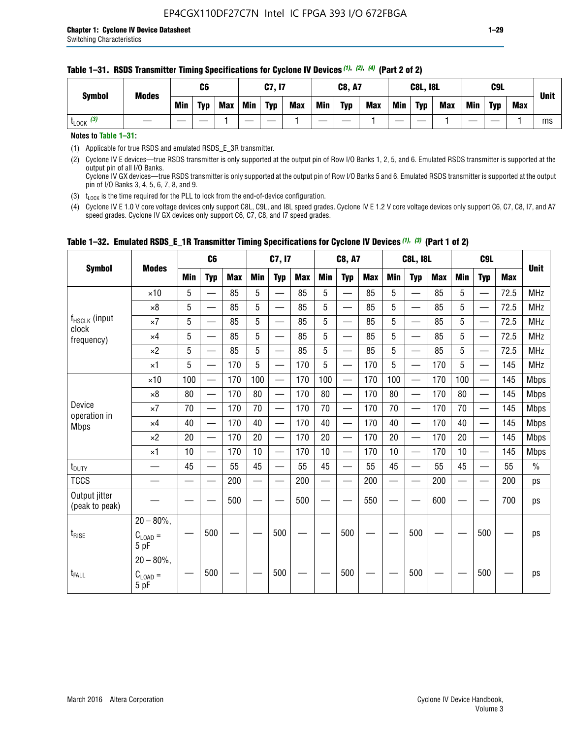#### **Table 1–31. RSDS Transmitter Timing Specifications for Cyclone IV Devices** *(1)***,** *(2)***,** *(4)* **(Part 2 of 2)**

**Notes to Table 1–31:**

(1) Applicable for true RSDS and emulated RSDS\_E\_3R transmitter.

(2) Cyclone IV E devices—true RSDS transmitter is only supported at the output pin of Row I/O Banks 1, 2, 5, and 6. Emulated RSDS transmitter is supported at the output pin of all I/O Banks. Cyclone IV GX devices—true RSDS transmitter is only supported at the output pin of Row I/O Banks 5 and 6. Emulated RSDS transmitter is supported at the output

pin of I/O Banks 3, 4, 5, 6, 7, 8, and 9.

(3)  $t_{\text{LOCK}}$  is the time required for the PLL to lock from the end-of-device configuration.

(4) Cyclone IV E 1.0 V core voltage devices only support C8L, C9L, and I8L speed grades. Cyclone IV E 1.2 V core voltage devices only support C6, C7, C8, I7, and A7 speed grades. Cyclone IV GX devices only support C6, C7, C8, and I7 speed grades.

| <b>Symbol</b>                   |                                              |     | C <sub>6</sub>           |     |            | C7, I7                   |            |            | <b>C8, A7</b>                  |            |     | <b>C8L, I8L</b>          |            |            | C <sub>9</sub> L         |            |               |
|---------------------------------|----------------------------------------------|-----|--------------------------|-----|------------|--------------------------|------------|------------|--------------------------------|------------|-----|--------------------------|------------|------------|--------------------------|------------|---------------|
|                                 | <b>Modes</b>                                 | Min | <b>Typ</b>               | Max | <b>Min</b> | <b>Typ</b>               | <b>Max</b> | <b>Min</b> | <b>Typ</b>                     | <b>Max</b> | Min | <b>Typ</b>               | <b>Max</b> | <b>Min</b> | <b>Typ</b>               | <b>Max</b> | <b>Unit</b>   |
|                                 | $\times$ 10                                  | 5   | $\overline{\phantom{0}}$ | 85  | 5          | $\overline{\phantom{0}}$ | 85         | 5          | —                              | 85         | 5   | $\overline{\phantom{0}}$ | 85         | 5          |                          | 72.5       | <b>MHz</b>    |
|                                 | $\times 8$                                   | 5   | —                        | 85  | 5          | e e                      | 85         | 5          | —                              | 85         | 5   | $\overline{\phantom{0}}$ | 85         | 5          | —                        | 72.5       | <b>MHz</b>    |
| f <sub>HSCLK</sub> (input       | $\times 7$                                   | 5   | —                        | 85  | 5          | $\overline{\phantom{a}}$ | 85         | 5          | $\overline{\phantom{0}}$       | 85         | 5   | $\overline{\phantom{0}}$ | 85         | 5          |                          | 72.5       | <b>MHz</b>    |
| clock<br>frequency)             | $\times$ 4                                   | 5   | $\qquad \qquad$          | 85  | 5          | $\overline{\phantom{0}}$ | 85         | 5          | $\overline{\phantom{0}}$       | 85         | 5   | $\overline{\phantom{0}}$ | 85         | 5          |                          | 72.5       | <b>MHz</b>    |
|                                 | $\times 2$                                   | 5   | $\qquad \qquad$          | 85  | 5          | $\overline{\phantom{a}}$ | 85         | 5          | $\qquad \qquad$                | 85         | 5   | $\qquad \qquad$          | 85         | 5          | $\overline{\phantom{0}}$ | 72.5       | <b>MHz</b>    |
|                                 | $\times$ 1                                   | 5   | $\overline{\phantom{0}}$ | 170 | 5          |                          | 170        | 5          | $\overline{\phantom{0}}$       | 170        | 5   | $\overline{\phantom{0}}$ | 170        | 5          |                          | 145        | <b>MHz</b>    |
|                                 | $\times$ 10                                  | 100 | $\overline{\phantom{0}}$ | 170 | 100        | <u>e a</u>               | 170        | 100        | $\overline{\phantom{0}}$       | 170        | 100 |                          | 170        | 100        | $\qquad \qquad$          | 145        | <b>Mbps</b>   |
|                                 | $\times 8$                                   | 80  | $\overline{\phantom{0}}$ | 170 | 80         |                          | 170        | 80         | $\overline{\phantom{0}}$       | 170        | 80  |                          | 170        | 80         |                          | 145        | <b>Mbps</b>   |
| Device<br>operation in          | $\times 7$                                   | 70  |                          | 170 | 70         | $\overline{\phantom{0}}$ | 170        | 70         | $\qquad \qquad \longleftarrow$ | 170        | 70  | $\qquad \qquad$          | 170        | 70         |                          | 145        | <b>Mbps</b>   |
| <b>Mbps</b>                     | $\times$ 4                                   | 40  | $\overline{\phantom{0}}$ | 170 | 40         | $\overline{\phantom{0}}$ | 170        | 40         | $\overline{\phantom{0}}$       | 170        | 40  | $\overline{\phantom{0}}$ | 170        | 40         | —                        | 145        | <b>Mbps</b>   |
|                                 | $\times 2$                                   | 20  | $\overline{\phantom{0}}$ | 170 | 20         | $\overline{\phantom{0}}$ | 170        | 20         | $\overline{\phantom{0}}$       | 170        | 20  | $\overline{\phantom{0}}$ | 170        | 20         |                          | 145        | <b>Mbps</b>   |
|                                 | $\times$ 1                                   | 10  | $\overline{\phantom{0}}$ | 170 | 10         | $\overline{\phantom{0}}$ | 170        | 10         | $\overline{\phantom{0}}$       | 170        | 10  | $\overline{\phantom{0}}$ | 170        | 10         |                          | 145        | <b>Mbps</b>   |
| t <sub>DUTY</sub>               |                                              | 45  | $\overline{\phantom{0}}$ | 55  | 45         | $\sim$                   | 55         | 45         | —                              | 55         | 45  | $\overline{\phantom{0}}$ | 55         | 45         |                          | 55         | $\frac{0}{0}$ |
| <b>TCCS</b>                     |                                              |     |                          | 200 |            |                          | 200        | $\sim$     |                                | 200        |     | $\overline{\phantom{0}}$ | 200        |            |                          | 200        | ps            |
| Output jitter<br>(peak to peak) |                                              |     |                          | 500 |            |                          | 500        |            |                                | 550        |     |                          | 600        |            |                          | 700        | ps            |
| $t_{\text{RISE}}$               | $20 - 80\%$<br>$C_{LOAD} =$<br>5 pF          |     | 500                      |     |            | 500                      |            |            | 500                            |            |     | 500                      |            |            | 500                      |            | ps            |
| t <sub>FALL</sub>               | $20 - 80\%$ ,<br>$C_{\text{LOAD}} =$<br>5 pF |     | 500                      |     |            | 500                      |            |            | 500                            |            |     | 500                      |            |            | 500                      |            | ps            |

### **Table 1–32. Emulated RSDS\_E\_1R Transmitter Timing Specifications for Cyclone IV Devices** *(1), (3)* **(Part 1 of 2)**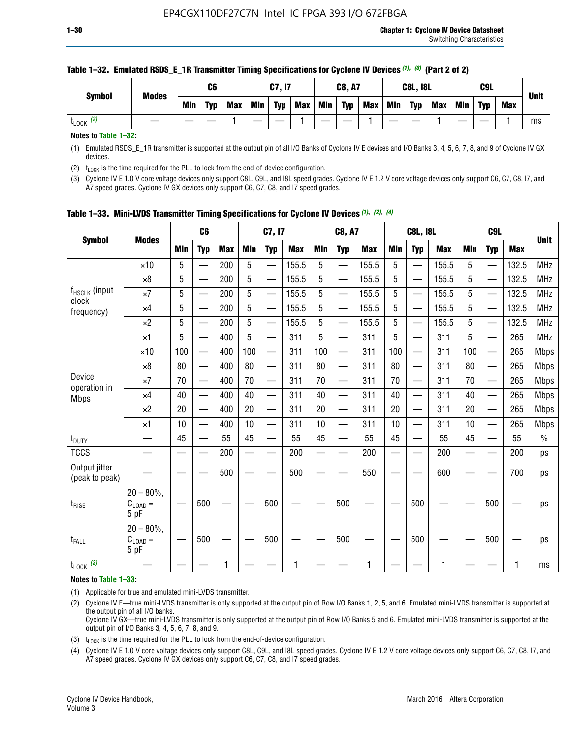| <b>Symbol</b>        | <b>Modes</b> |     | C6         |            |            | C7, I7     |            |            | <b>C8, A7</b> |            |            | <b>C8L, I8L</b> |            |     | C <sub>9</sub> L |     | <b>Unit</b> |
|----------------------|--------------|-----|------------|------------|------------|------------|------------|------------|---------------|------------|------------|-----------------|------------|-----|------------------|-----|-------------|
|                      |              | Min | <b>Typ</b> | <b>Max</b> | <b>Min</b> | <b>Typ</b> | <b>Max</b> | <b>Min</b> | <b>Typ</b>    | <b>Max</b> | <b>Min</b> | <b>Typ</b>      | <b>Max</b> | Min | <b>Typ</b>       | Max |             |
| (2)<br><b>L</b> LOCK |              |     |            |            |            |            |            |            |               |            |            |                 |            |     |                  |     | ms          |

#### **Table 1–32. Emulated RSDS\_E\_1R Transmitter Timing Specifications for Cyclone IV Devices** *(1), (3)* **(Part 2 of 2)**

**Notes to Table 1–32:**

(1) Emulated RSDS\_E\_1R transmitter is supported at the output pin of all I/O Banks of Cyclone IV E devices and I/O Banks 3, 4, 5, 6, 7, 8, and 9 of Cyclone IV GX devices.

(2)  $t_{\text{LOCK}}$  is the time required for the PLL to lock from the end-of-device configuration.

(3) Cyclone IV E 1.0 V core voltage devices only support C8L, C9L, and I8L speed grades. Cyclone IV E 1.2 V core voltage devices only support C6, C7, C8, I7, and A7 speed grades. Cyclone IV GX devices only support C6, C7, C8, and I7 speed grades.

| <b>Symbol</b>                                                                                                                                                    |                                            |            | C <sub>6</sub>           |            |                          | C7, I7                   |            |            | <b>C8, A7</b>            |            |            | <b>C8L, I8L</b>          |            |            | C <sub>9</sub> L |            |             |
|------------------------------------------------------------------------------------------------------------------------------------------------------------------|--------------------------------------------|------------|--------------------------|------------|--------------------------|--------------------------|------------|------------|--------------------------|------------|------------|--------------------------|------------|------------|------------------|------------|-------------|
|                                                                                                                                                                  | <b>Modes</b>                               | <b>Min</b> | <b>Typ</b>               | <b>Max</b> | <b>Min</b>               | <b>Typ</b>               | <b>Max</b> | <b>Min</b> | <b>Typ</b>               | <b>Max</b> | <b>Min</b> | <b>Typ</b>               | <b>Max</b> | <b>Min</b> | <b>Typ</b>       | <b>Max</b> | <b>Unit</b> |
|                                                                                                                                                                  | $\times$ 10                                | 5          |                          | 200        | 5                        |                          | 155.5      | 5          | ÷,                       | 155.5      | 5          |                          | 155.5      | 5          |                  | 132.5      | <b>MHz</b>  |
| f <sub>HSCLK</sub> (input<br>clock<br>frequency)<br>Device<br>operation in<br><b>Mbps</b><br>t <sub>DUTY</sub><br><b>TCCS</b><br>Output jitter<br>(peak to peak) | $\times 8$                                 | 5          | $\overline{\phantom{0}}$ | 200        | 5                        | <u>—</u>                 | 155.5      | 5          | $\overline{\phantom{0}}$ | 155.5      | 5          | $\overline{\phantom{0}}$ | 155.5      | 5          |                  | 132.5      | <b>MHz</b>  |
|                                                                                                                                                                  | $\times 7$                                 | 5          | $\qquad \qquad$          | 200        | 5                        | —                        | 155.5      | 5          | —<br>——                  | 155.5      | 5          |                          | 155.5      | 5          |                  | 132.5      | <b>MHz</b>  |
|                                                                                                                                                                  | $\times$ 4                                 | 5          | $\overline{\phantom{0}}$ | 200        | 5                        | —                        | 155.5      | 5          | $\overline{\phantom{0}}$ | 155.5      | 5          |                          | 155.5      | 5          | —                | 132.5      | <b>MHz</b>  |
|                                                                                                                                                                  | $\times 2$                                 | 5          | $\overline{\phantom{0}}$ | 200        | 5                        | —                        | 155.5      | 5          | $\overline{\phantom{0}}$ | 155.5      | 5          | $\overline{\phantom{0}}$ | 155.5      | 5          |                  | 132.5      | <b>MHz</b>  |
|                                                                                                                                                                  | $\times$ 1                                 | 5          | $\overline{\phantom{0}}$ | 400        | 5                        | —                        | 311        | 5          | —                        | 311        | 5          | $\overline{\phantom{0}}$ | 311        | 5          |                  | 265        | <b>MHz</b>  |
|                                                                                                                                                                  | $\times$ 10                                | 100        | $\overline{\phantom{0}}$ | 400        | 100                      | $\overline{\phantom{0}}$ | 311        | 100        | $\overline{\phantom{0}}$ | 311        | 100        | $\overline{\phantom{0}}$ | 311        | 100        |                  | 265        | <b>Mbps</b> |
|                                                                                                                                                                  | $\times 8$                                 | 80         | $\overline{\phantom{0}}$ | 400        | 80                       | $\overline{\phantom{0}}$ | 311        | 80         | $\overline{\phantom{0}}$ | 311        | 80         | $\overline{\phantom{0}}$ | 311        | 80         |                  | 265        | <b>Mbps</b> |
|                                                                                                                                                                  | $\times 7$                                 | 70         | $\overline{\phantom{0}}$ | 400        | 70                       | $\overline{\phantom{0}}$ | 311        | 70         | $\equiv$                 | 311        | 70         | —                        | 311        | 70         |                  | 265        | <b>Mbps</b> |
|                                                                                                                                                                  | $\times$ 4                                 | 40         |                          | 400        | 40                       |                          | 311        | 40         | $\overline{\phantom{0}}$ | 311        | 40         |                          | 311        | 40         |                  | 265        | <b>Mbps</b> |
|                                                                                                                                                                  | $\times 2$                                 | 20         | $\overline{\phantom{0}}$ | 400        | 20                       | —                        | 311        | 20         | $\overline{\phantom{0}}$ | 311        | 20         | $\overline{\phantom{0}}$ | 311        | 20         |                  | 265        | <b>Mbps</b> |
|                                                                                                                                                                  | ×1                                         | 10         | $\overline{\phantom{0}}$ | 400        | 10                       |                          | 311        | 10         | $\overline{\phantom{0}}$ | 311        | 10         | $\overline{\phantom{0}}$ | 311        | 10         |                  | 265        | <b>Mbps</b> |
|                                                                                                                                                                  |                                            | 45         |                          | 55         | 45                       |                          | 55         | 45         | —                        | 55         | 45         | —                        | 55         | 45         |                  | 55         | $\%$        |
|                                                                                                                                                                  |                                            |            |                          | 200        | $\overline{\phantom{0}}$ | —                        | 200        | —          | $\overline{\phantom{0}}$ | 200        |            | —                        | 200        | —          |                  | 200        | ps          |
|                                                                                                                                                                  |                                            |            |                          | 500        |                          |                          | 500        |            |                          | 550        |            |                          | 600        |            |                  | 700        | ps          |
| $t_{\text{RISE}}$                                                                                                                                                | $20 - 80\%$<br>$C_{LOAD} =$<br>5 pF        |            | 500                      |            |                          | 500                      |            |            | 500                      |            |            | 500                      |            |            | 500              |            | ps          |
| t <sub>FALL</sub>                                                                                                                                                | $20 - 80\%$<br>$C_{\text{LOAD}} =$<br>5 pF |            | 500                      |            |                          | 500                      |            |            | 500                      |            |            | 500                      |            |            | 500              |            | ps          |
| $t_{\text{LOCK}}$ (3)                                                                                                                                            |                                            |            |                          | 1          |                          |                          | 1          |            |                          | 1          |            |                          | 1          |            |                  | 1          | ms          |

**Table 1–33. Mini-LVDS Transmitter Timing Specifications for Cyclone IV Devices** *(1)***,** *(2)***,** *(4)*

**Notes to Table 1–33:**

(1) Applicable for true and emulated mini-LVDS transmitter.

(2) Cyclone IV E—true mini-LVDS transmitter is only supported at the output pin of Row I/O Banks 1, 2, 5, and 6. Emulated mini-LVDS transmitter is supported at the output pin of all I/O banks.

Cyclone IV GX—true mini-LVDS transmitter is only supported at the output pin of Row I/O Banks 5 and 6. Emulated mini-LVDS transmitter is supported at the output pin of I/O Banks 3, 4, 5, 6, 7, 8, and 9.

(3)  $t_{\text{LOCK}}$  is the time required for the PLL to lock from the end-of-device configuration.

(4) Cyclone IV E 1.0 V core voltage devices only support C8L, C9L, and I8L speed grades. Cyclone IV E 1.2 V core voltage devices only support C6, C7, C8, I7, and A7 speed grades. Cyclone IV GX devices only support C6, C7, C8, and I7 speed grades.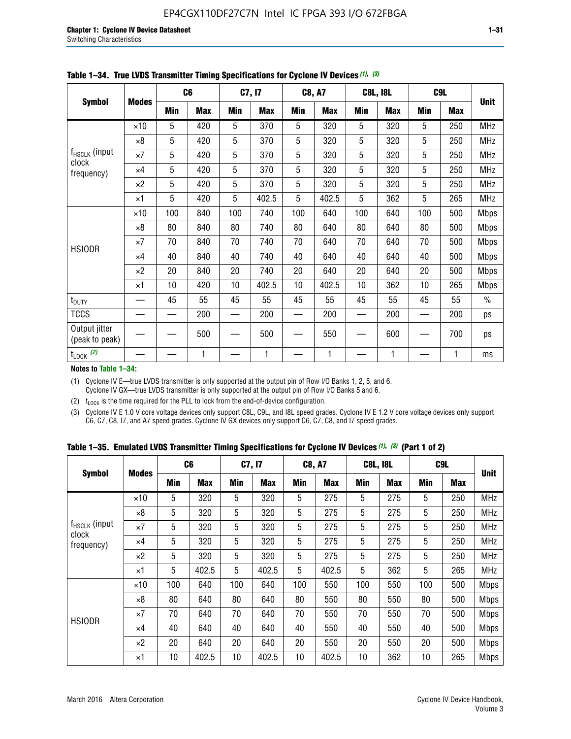|                                 |              |     | C <sub>6</sub> |     | C7, I7     |            | <b>C8, A7</b> |     | <b>C8L, I8L</b> |            | C <sub>9</sub> L |               |
|---------------------------------|--------------|-----|----------------|-----|------------|------------|---------------|-----|-----------------|------------|------------------|---------------|
| <b>Symbol</b>                   | <b>Modes</b> | Min | <b>Max</b>     | Min | <b>Max</b> | <b>Min</b> | <b>Max</b>    | Min | <b>Max</b>      | <b>Min</b> | <b>Max</b>       | <b>Unit</b>   |
|                                 | $\times$ 10  | 5   | 420            | 5   | 370        | 5          | 320           | 5   | 320             | 5          | 250              | <b>MHz</b>    |
|                                 | $\times 8$   | 5   | 420            | 5   | 370        | 5          | 320           | 5   | 320             | 5          | 250              | <b>MHz</b>    |
| f <sub>HSCLK</sub> (input       | $\times 7$   | 5   | 420            | 5   | 370        | 5          | 320           | 5   | 320             | 5          | 250              | <b>MHz</b>    |
| clock<br>frequency)             | $\times$ 4   | 5   | 420            | 5   | 370        | 5          | 320           | 5   | 320             | 5          | 250              | <b>MHz</b>    |
|                                 | $\times 2$   | 5   | 420            | 5   | 370        | 5          | 320           | 5   | 320             | 5          | 250              | <b>MHz</b>    |
|                                 | $\times$ 1   | 5   | 420            | 5   | 402.5      | 5          | 402.5         | 5   | 362             | 5          | 265              | <b>MHz</b>    |
|                                 | $\times$ 10  | 100 | 840            | 100 | 740        | 100        | 640           | 100 | 640             | 100        | 500              | <b>Mbps</b>   |
|                                 | $\times 8$   | 80  | 840            | 80  | 740        | 80         | 640           | 80  | 640             | 80         | 500              | <b>Mbps</b>   |
| <b>HSIODR</b>                   | $\times 7$   | 70  | 840            | 70  | 740        | 70         | 640           | 70  | 640             | 70         | 500              | <b>Mbps</b>   |
|                                 | $\times$ 4   | 40  | 840            | 40  | 740        | 40         | 640           | 40  | 640             | 40         | 500              | <b>Mbps</b>   |
|                                 | $\times 2$   | 20  | 840            | 20  | 740        | 20         | 640           | 20  | 640             | 20         | 500              | <b>Mbps</b>   |
|                                 | $\times$ 1   | 10  | 420            | 10  | 402.5      | 10         | 402.5         | 10  | 362             | 10         | 265              | <b>Mbps</b>   |
| t <sub>DUTY</sub>               |              | 45  | 55             | 45  | 55         | 45         | 55            | 45  | 55              | 45         | 55               | $\frac{0}{0}$ |
| <b>TCCS</b>                     |              |     | 200            |     | 200        |            | 200           |     | 200             |            | 200              | ps            |
| Output jitter<br>(peak to peak) |              |     | 500            |     | 500        |            | 550           |     | 600             |            | 700              | ps            |
| $t_{\text{LOCK}}$ (2)           |              |     | 1              |     | 1          |            | 1             |     | 1               |            | 1                | ms            |

**Table 1–34. True LVDS Transmitter Timing Specifications for Cyclone IV Devices** *(1)***,** *(3)*

**Notes to Table 1–34:**

(1) Cyclone IV E—true LVDS transmitter is only supported at the output pin of Row I/O Banks 1, 2, 5, and 6. Cyclone IV GX—true LVDS transmitter is only supported at the output pin of Row I/O Banks 5 and 6.

(2)  $t_{\text{LOCK}}$  is the time required for the PLL to lock from the end-of-device configuration.

(3) Cyclone IV E 1.0 V core voltage devices only support C8L, C9L, and I8L speed grades. Cyclone IV E 1.2 V core voltage devices only support C6, C7, C8, I7, and A7 speed grades. Cyclone IV GX devices only support C6, C7, C8, and I7 speed grades.

|  |  |  |  | Table 1–35. Emulated LVDS Transmitter Timing Specifications for Cyclone IV Devices <sup>(1),</sup> <sup>(3)</sup> (Part 1 of 2) |  |  |
|--|--|--|--|---------------------------------------------------------------------------------------------------------------------------------|--|--|
|--|--|--|--|---------------------------------------------------------------------------------------------------------------------------------|--|--|

| <b>Symbol</b><br>$f_{HSCLK}$ (input<br>clock<br>frequency)<br><b>HSIODR</b> |              | C <sub>6</sub> |            | C7, I7     |            | <b>C8, A7</b> |            | <b>C8L, I8L</b> |                                                                                                                                                                                                                      |            |            |             |
|-----------------------------------------------------------------------------|--------------|----------------|------------|------------|------------|---------------|------------|-----------------|----------------------------------------------------------------------------------------------------------------------------------------------------------------------------------------------------------------------|------------|------------|-------------|
|                                                                             | <b>Modes</b> | Min            | <b>Max</b> | <b>Min</b> | <b>Max</b> | <b>Min</b>    | <b>Max</b> | <b>Min</b>      | <b>Max</b>                                                                                                                                                                                                           | <b>Min</b> | <b>Max</b> | <b>Unit</b> |
|                                                                             | $\times$ 10  | 5              | 320        | 5          | 320        | 5             | 275        | 5               | 275                                                                                                                                                                                                                  | 5          | 250        | <b>MHz</b>  |
|                                                                             | $\times 8$   | 5              | 320        | 5          | 320        | 5             | 275        | 5               | C <sub>9</sub> L<br>5<br>275<br>250<br>5<br>275<br>250<br>5<br>275<br>250<br>5<br>275<br>250<br>5<br>362<br>265<br>550<br>100<br>500<br>80<br>550<br>500<br>70<br>550<br>500<br>550<br>40<br>500<br>550<br>20<br>500 | <b>MHz</b> |            |             |
|                                                                             | $\times 7$   | 5              | 320        | 5          | 320        | 5             | 275        | 5               |                                                                                                                                                                                                                      |            |            | <b>MHz</b>  |
|                                                                             | $\times$ 4   | 5              | 320        | 5          | 320        | 5             | 275        | 5               |                                                                                                                                                                                                                      |            |            | <b>MHz</b>  |
|                                                                             | $\times 2$   | 5              | 320        | 5          | 320        | 5             | 275        | 5               |                                                                                                                                                                                                                      |            |            | <b>MHz</b>  |
|                                                                             | $\times$ 1   | 5              | 402.5      | 5          | 402.5      | 5             | 402.5      | 5               |                                                                                                                                                                                                                      |            |            | <b>MHz</b>  |
|                                                                             | $\times$ 10  | 100            | 640        | 100        | 640        | 100           | 550        | 100             |                                                                                                                                                                                                                      |            |            | <b>Mbps</b> |
|                                                                             | $\times 8$   | 80             | 640        | 80         | 640        | 80            | 550        | 80              |                                                                                                                                                                                                                      |            |            | <b>Mbps</b> |
|                                                                             | $\times 7$   | 70             | 640        | 70         | 640        | 70            | 550        | 70              |                                                                                                                                                                                                                      |            |            | <b>Mbps</b> |
|                                                                             | $\times$ 4   | 40             | 640        | 40         | 640        | 40            | 550        | 40              |                                                                                                                                                                                                                      |            |            | <b>Mbps</b> |
|                                                                             | $\times 2$   | 20             | 640        | 20         | 640        | 20            | 550        | 20              |                                                                                                                                                                                                                      |            |            | <b>Mbps</b> |
|                                                                             | $\times$ 1   | 10             | 402.5      | 10         | 402.5      | 10            | 402.5      | 10              | 362                                                                                                                                                                                                                  | 10         | 265        | <b>Mbps</b> |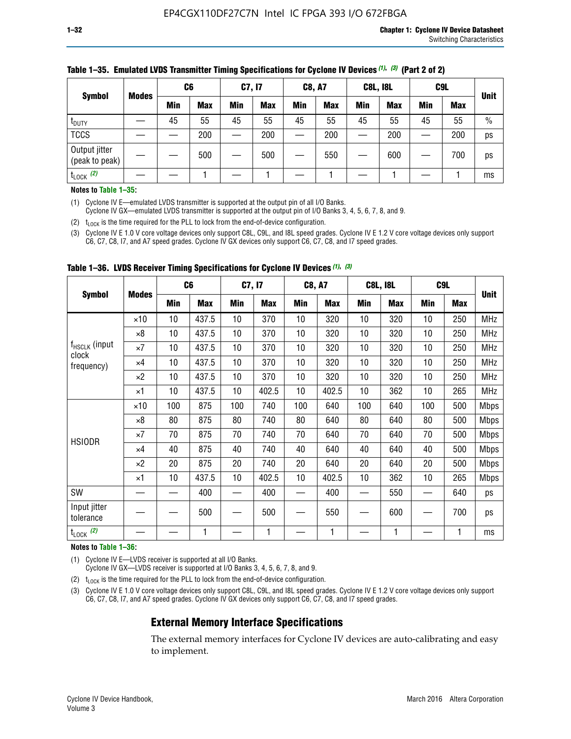|                                 |              | C <sub>6</sub> |            | C7, I7     |            | <b>C8, A7</b> |            | <b>C8L, I8L</b> |            |            | C <sub>9</sub> L |               |
|---------------------------------|--------------|----------------|------------|------------|------------|---------------|------------|-----------------|------------|------------|------------------|---------------|
| <b>Symbol</b>                   | <b>Modes</b> | Min            | <b>Max</b> | <b>Min</b> | <b>Max</b> | <b>Min</b>    | <b>Max</b> | <b>Min</b>      | <b>Max</b> | <b>Min</b> | <b>Max</b>       | <b>Unit</b>   |
| t <sub>DUTY</sub>               |              | 45             | 55         | 45         | 55         | 45            | 55         | 45              | 55         | 45         | 55               | $\frac{0}{0}$ |
| <b>TCCS</b>                     |              |                | 200        |            | 200        |               | 200        |                 | 200        | —          | 200              | ps            |
| Output jitter<br>(peak to peak) |              |                | 500        |            | 500        |               | 550        |                 | 600        | —          | 700              | ps            |
| $t_{\text{LOCK}}$ (2)           |              |                |            |            |            |               |            |                 |            |            |                  | ms            |

#### **Table 1–35. Emulated LVDS Transmitter Timing Specifications for Cyclone IV Devices** *(1)***,** *(3)* **(Part 2 of 2)**

#### **Notes to Table 1–35:**

(1) Cyclone IV E—emulated LVDS transmitter is supported at the output pin of all I/O Banks.

Cyclone IV GX—emulated LVDS transmitter is supported at the output pin of I/O Banks 3, 4, 5, 6, 7, 8, and 9.

(2)  $t_{\text{LOCK}}$  is the time required for the PLL to lock from the end-of-device configuration.

(3) Cyclone IV E 1.0 V core voltage devices only support C8L, C9L, and I8L speed grades. Cyclone IV E 1.2 V core voltage devices only support C6, C7, C8, I7, and A7 speed grades. Cyclone IV GX devices only support C6, C7, C8, and I7 speed grades.

| <b>Symbol</b><br>f <sub>HSCLK</sub> (input<br>clock<br>frequency)<br><b>HSIODR</b><br>SW |              | C <sub>6</sub> |            | C7, I7     |            | <b>C8, A7</b> |            |            | <b>C8L, I8L</b> | C <sub>9</sub> L         |            |             |
|------------------------------------------------------------------------------------------|--------------|----------------|------------|------------|------------|---------------|------------|------------|-----------------|--------------------------|------------|-------------|
|                                                                                          | <b>Modes</b> | <b>Min</b>     | <b>Max</b> | <b>Min</b> | <b>Max</b> | Min           | <b>Max</b> | <b>Min</b> | <b>Max</b>      | <b>Min</b>               | <b>Max</b> | <b>Unit</b> |
|                                                                                          | $\times 10$  | 10             | 437.5      | 10         | 370        | 10            | 320        | 10         | 320             | 10                       | 250        | <b>MHz</b>  |
|                                                                                          | $\times 8$   | 10             | 437.5      | 10         | 370        | 10            | 320        | 10         | 320             | 10                       | 250        | <b>MHz</b>  |
|                                                                                          | $\times 7$   | 10             | 437.5      | 10         | 370        | 10            | 320        | 10         | 320             | 10                       | 250        | <b>MHz</b>  |
|                                                                                          | ×4           | 10             | 437.5      | 10         | 370        | 10            | 320        | 10         | 320             | 10                       | 250        | <b>MHz</b>  |
|                                                                                          | $\times 2$   | 10             | 437.5      | 10         | 370        | 10            | 320        | 10         | 320             | 10                       | 250        | <b>MHz</b>  |
|                                                                                          | ×1           | 10             | 437.5      | 10         | 402.5      | 10            | 402.5      | 10         | 362             | 10                       | 265        | <b>MHz</b>  |
|                                                                                          | $\times$ 10  | 100            | 875        | 100        | 740        | 100           | 640        | 100        | 640             | 100                      | 500        | <b>Mbps</b> |
|                                                                                          | $\times 8$   | 80             | 875        | 80         | 740        | 80            | 640        | 80         | 640             | 80                       | 500        | <b>Mbps</b> |
|                                                                                          | $\times 7$   | 70             | 875        | 70         | 740        | 70            | 640        | 70         | 640             | 70                       | 500        | <b>Mbps</b> |
|                                                                                          | $\times 4$   | 40             | 875        | 40         | 740        | 40            | 640        | 40         | 640             | 40                       | 500        | Mbps        |
|                                                                                          | $\times 2$   | 20             | 875        | 20         | 740        | 20            | 640        | 20         | 640             | 20                       | 500        | Mbps        |
|                                                                                          | ×1           | 10             | 437.5      | 10         | 402.5      | 10            | 402.5      | 10         | 362             | 10                       | 265        | <b>Mbps</b> |
|                                                                                          |              |                | 400        |            | 400        |               | 400        |            | 550             | $\overline{\phantom{0}}$ | 640        | ps          |
| Input jitter<br>tolerance                                                                |              |                | 500        |            | 500        |               | 550        |            | 600             | —                        | 700        | ps          |
| $t_{\text{LOCK}}$ (2)                                                                    |              |                | 1          |            | 1          |               | 1          |            | 1               |                          |            | ms          |

**Table 1–36. LVDS Receiver Timing Specifications for Cyclone IV Devices** *(1)***,** *(3)*

#### **Notes to Table 1–36:**

(1) Cyclone IV E—LVDS receiver is supported at all I/O Banks.

Cyclone IV GX—LVDS receiver is supported at I/O Banks 3, 4, 5, 6, 7, 8, and 9.

(2)  $t_{\text{LOCK}}$  is the time required for the PLL to lock from the end-of-device configuration.

(3) Cyclone IV E 1.0 V core voltage devices only support C8L, C9L, and I8L speed grades. Cyclone IV E 1.2 V core voltage devices only support C6, C7, C8, I7, and A7 speed grades. Cyclone IV GX devices only support C6, C7, C8, and I7 speed grades.

#### **External Memory Interface Specifications**

The external memory interfaces for Cyclone IV devices are auto-calibrating and easy to implement.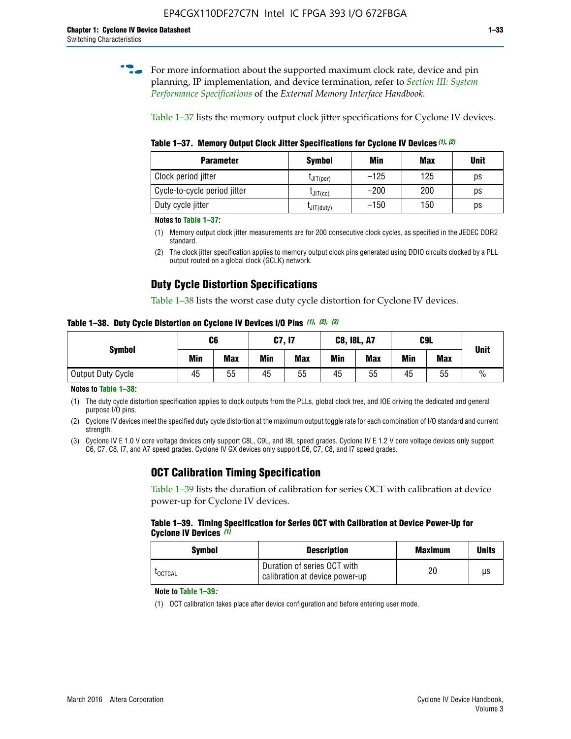**for more information about the supported maximum clock rate, device and pin** planning, IP implementation, and device termination, refer to *[Section III: System](http://www.altera.com/literature/hb/external-memory/emi_intro_specs.pdf)  [Performance Specifications](http://www.altera.com/literature/hb/external-memory/emi_intro_specs.pdf)* of the *External Memory Interface Handbook*.

Table 1–37 lists the memory output clock jitter specifications for Cyclone IV devices.

**Table 1–37. Memory Output Clock Jitter Specifications for Cyclone IV Devices** *(1)***,** *(2)*

| <b>Parameter</b>             | <b>Symbol</b>  | Min    | <b>Max</b> | <b>Unit</b> |
|------------------------------|----------------|--------|------------|-------------|
| Clock period jitter          | $L$ JIT(per)   | $-125$ | 125        | ps          |
| Cycle-to-cycle period jitter | $L$ JIT $(cc)$ | $-200$ | 200        | ps          |
| Duty cycle jitter            | LJIT(duty)     | $-150$ | 150        | рs          |

**Notes to Table 1–37:**

- (1) Memory output clock jitter measurements are for 200 consecutive clock cycles, as specified in the JEDEC DDR2 standard.
- (2) The clock jitter specification applies to memory output clock pins generated using DDIO circuits clocked by a PLL output routed on a global clock (GCLK) network.

# **Duty Cycle Distortion Specifications**

Table 1–38 lists the worst case duty cycle distortion for Cyclone IV devices.

**Table 1–38. Duty Cycle Distortion on Cyclone IV Devices I/O Pins** *(1)***,** *(2), (3)*

| <b>Symbol</b>     | C <sub>6</sub> |            | C7, I7     |            | <b>C8, I8L, A7</b> |            |            | C9L<br><b>Max</b> | <b>Unit</b>   |
|-------------------|----------------|------------|------------|------------|--------------------|------------|------------|-------------------|---------------|
|                   | Min            | <b>Max</b> | <b>Min</b> | <b>Max</b> | Min                | <b>Max</b> | <b>Min</b> |                   |               |
| Output Duty Cycle | 45             | 55         | 45         | 55         | 45                 | 55         | 45         | 55                | $\frac{0}{0}$ |

**Notes to Table 1–38:**

(1) The duty cycle distortion specification applies to clock outputs from the PLLs, global clock tree, and IOE driving the dedicated and general purpose I/O pins.

(2) Cyclone IV devices meet the specified duty cycle distortion at the maximum output toggle rate for each combination of I/O standard and current strength.

(3) Cyclone IV E 1.0 V core voltage devices only support C8L, C9L, and I8L speed grades. Cyclone IV E 1.2 V core voltage devices only support C6, C7, C8, I7, and A7 speed grades. Cyclone IV GX devices only support C6, C7, C8, and I7 speed grades.

# **OCT Calibration Timing Specification**

Table 1–39 lists the duration of calibration for series OCT with calibration at device power-up for Cyclone IV devices.

#### **Table 1–39. Timing Specification for Series OCT with Calibration at Device Power-Up for Cyclone IV Devices** *(1)*

| Symbol  | <b>Description</b>                                            | <b>Maximum</b> | <b>Units</b> |
|---------|---------------------------------------------------------------|----------------|--------------|
| LOCTCAL | Duration of series OCT with<br>calibration at device power-up | 20             | μs           |

#### **Note to Table 1–39***:*

(1) OCT calibration takes place after device configuration and before entering user mode.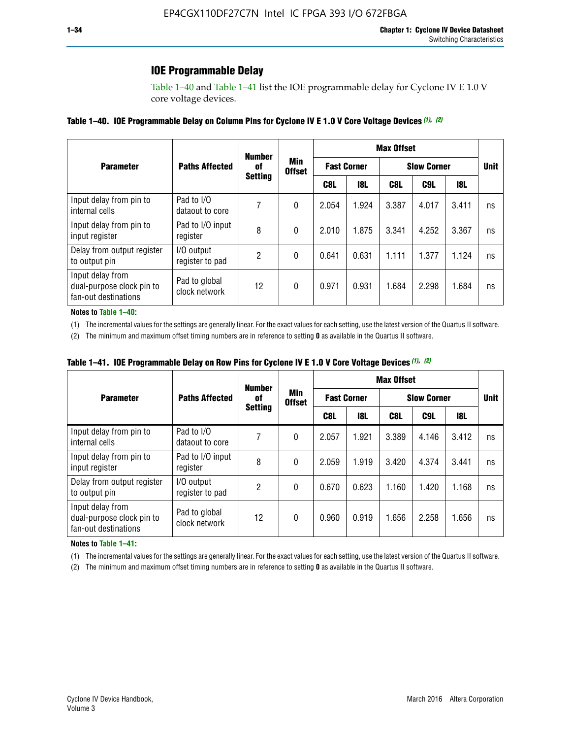# **IOE Programmable Delay**

Table 1–40 and Table 1–41 list the IOE programmable delay for Cyclone IV E 1.0 V core voltage devices.

#### **Table 1–40. IOE Programmable Delay on Column Pins for Cyclone IV E 1.0 V Core Voltage Devices** *(1)***,** *(2)*

|                                                                       |                                | <b>Number</b>        |                      | <b>Max Offset</b>  |            |                    |       |       |             |  |
|-----------------------------------------------------------------------|--------------------------------|----------------------|----------------------|--------------------|------------|--------------------|-------|-------|-------------|--|
| <b>Parameter</b>                                                      | <b>Paths Affected</b>          | 0f<br><b>Setting</b> | Min<br><b>Offset</b> | <b>Fast Corner</b> |            | <b>Slow Corner</b> |       |       | <b>Unit</b> |  |
|                                                                       |                                |                      |                      | C8L                | <b>18L</b> | C8L                | C9L   | 18L   |             |  |
| Input delay from pin to<br>internal cells                             | Pad to I/O<br>dataout to core  |                      | 0                    | 2.054              | 1.924      | 3.387              | 4.017 | 3.411 | ns          |  |
| Input delay from pin to<br>input register                             | Pad to I/O input<br>register   | 8                    | 0                    | 2.010              | 1.875      | 3.341              | 4.252 | 3.367 | ns          |  |
| Delay from output register<br>to output pin                           | I/O output<br>register to pad  | 2                    | 0                    | 0.641              | 0.631      | 1.111              | 1.377 | 1.124 | ns          |  |
| Input delay from<br>dual-purpose clock pin to<br>fan-out destinations | Pad to global<br>clock network | 12                   | 0                    | 0.971              | 0.931      | 1.684              | 2.298 | 1.684 | ns          |  |

#### **Notes to Table 1–40:**

(1) The incremental values for the settings are generally linear. For the exact values for each setting, use the latest version of the Quartus II software.

(2) The minimum and maximum offset timing numbers are in reference to setting **0** as available in the Quartus II software.

| Table 1–41. IOE Programmable Delay on Row Pins for Cyclone IV E 1.0 V Core Voltage Devices (1), (2) |  |  |
|-----------------------------------------------------------------------------------------------------|--|--|
|-----------------------------------------------------------------------------------------------------|--|--|

|                                                                       |                                | <b>Number</b><br>0f | Min<br><b>Offset</b> | <b>Max Offset</b> |                    |                    |             |            |    |  |
|-----------------------------------------------------------------------|--------------------------------|---------------------|----------------------|-------------------|--------------------|--------------------|-------------|------------|----|--|
| <b>Parameter</b>                                                      | <b>Paths Affected</b>          |                     |                      |                   | <b>Fast Corner</b> | <b>Slow Corner</b> | <b>Unit</b> |            |    |  |
|                                                                       |                                | <b>Setting</b>      |                      | C8L               | <b>18L</b>         | C8L                | C9L         | <b>18L</b> |    |  |
| Input delay from pin to<br>internal cells                             | Pad to I/O<br>dataout to core  |                     | 0                    | 2.057             | 1.921              | 3.389              | 4.146       | 3.412      | ns |  |
| Input delay from pin to<br>input register                             | Pad to I/O input<br>register   | 8                   | 0                    | 2.059             | 1.919              | 3.420              | 4.374       | 3.441      | ns |  |
| Delay from output register<br>to output pin                           | I/O output<br>register to pad  | 2                   | 0                    | 0.670             | 0.623              | 1.160              | 1.420       | 1.168      | ns |  |
| Input delay from<br>dual-purpose clock pin to<br>fan-out destinations | Pad to global<br>clock network | 12                  | 0                    | 0.960             | 0.919              | 1.656              | 2.258       | 1.656      | ns |  |

#### **Notes to Table 1–41:**

(1) The incremental values for the settings are generally linear. For the exact values for each setting, use the latest version of the Quartus II software.

(2) The minimum and maximum offset timing numbers are in reference to setting **0** as available in the Quartus II software.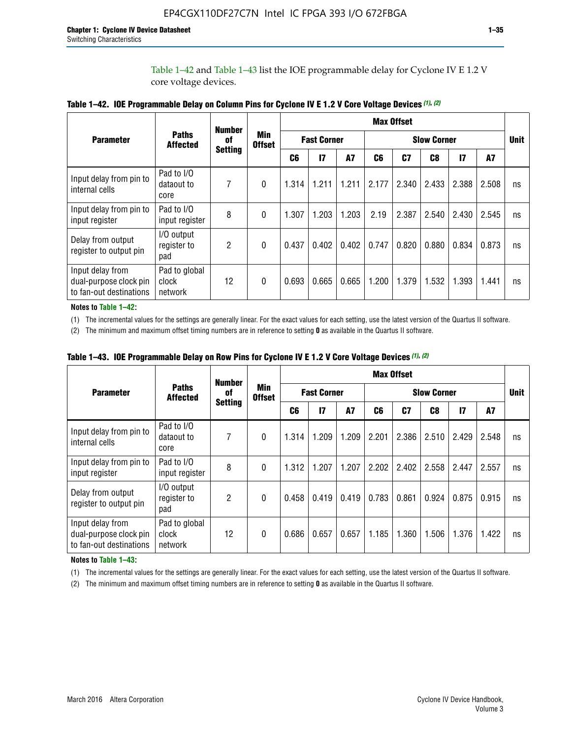Table 1–42 and Table 1–43 list the IOE programmable delay for Cyclone IV E 1.2 V core voltage devices.

|                                                                       |                                   | <b>Number</b>        | <b>Min</b><br><b>Offset</b> | <b>Max Offset</b> |                    |           |                    |       |       |                 |       |             |
|-----------------------------------------------------------------------|-----------------------------------|----------------------|-----------------------------|-------------------|--------------------|-----------|--------------------|-------|-------|-----------------|-------|-------------|
| <b>Parameter</b>                                                      | <b>Paths</b><br><b>Affected</b>   | 0f<br><b>Setting</b> |                             |                   | <b>Fast Corner</b> |           | <b>Slow Corner</b> |       |       |                 |       | <b>Unit</b> |
|                                                                       |                                   |                      |                             | C <sub>6</sub>    | $\mathbf{I}$       | <b>A7</b> | C6                 | C7    | C8    | $\overline{17}$ | A7    |             |
| Input delay from pin to<br>internal cells                             | Pad to I/O<br>dataout to<br>core  | 7                    | $\Omega$                    | 1.314             | 1.211              | 1.211     | 2.177              | 2.340 | 2.433 | 2.388           | 2.508 | ns          |
| Input delay from pin to<br>input register                             | Pad to I/O<br>input register      | 8                    | $\theta$                    | 1.307             | 1.203              | 1.203     | 2.19               | 2.387 | 2.540 | 2.430           | 2.545 | ns          |
| Delay from output<br>register to output pin                           | I/O output<br>register to<br>pad  | 2                    | $\Omega$                    | 0.437             | 0.402              | 0.402     | 0.747              | 0.820 | 0.880 | 0.834           | 0.873 | ns          |
| Input delay from<br>dual-purpose clock pin<br>to fan-out destinations | Pad to global<br>clock<br>network | 12                   | 0                           | 0.693             | 0.665              | 0.665     | 1.200              | 1.379 | 1.532 | 1.393           | 1.441 | ns          |

**Table 1–42. IOE Programmable Delay on Column Pins for Cyclone IV E 1.2 V Core Voltage Devices** *(1)***,** *(2)*

**Notes to Table 1–42:**

(1) The incremental values for the settings are generally linear. For the exact values for each setting, use the latest version of the Quartus II software.

(2) The minimum and maximum offset timing numbers are in reference to setting **0** as available in the Quartus II software.

|                                                                       |                                   | <b>Number</b>        | Min<br><b>Offset</b> | <b>Max Offset</b> |                    |       |                    |                |       |              |       |             |
|-----------------------------------------------------------------------|-----------------------------------|----------------------|----------------------|-------------------|--------------------|-------|--------------------|----------------|-------|--------------|-------|-------------|
| <b>Parameter</b>                                                      | <b>Paths</b><br><b>Affected</b>   | 0f<br><b>Setting</b> |                      |                   | <b>Fast Corner</b> |       | <b>Slow Corner</b> |                |       |              |       | <b>Unit</b> |
|                                                                       |                                   |                      |                      | C6                | 17                 | A7    | C6                 | C <sub>7</sub> | C8    | $\mathbf{I}$ | A7    |             |
| Input delay from pin to<br>internal cells                             | Pad to I/O<br>dataout to<br>core  | 7                    | 0                    | 1.314             | 1.209              | 1.209 | 2.201              | 2.386          | 2.510 | 2.429        | 2.548 | ns          |
| Input delay from pin to<br>input register                             | Pad to I/O<br>input register      | 8                    | $\theta$             | 1.312             | 1.207              | 1.207 | 2.202              | 2.402          | 2.558 | 2.447        | 2.557 | ns          |
| Delay from output<br>register to output pin                           | I/O output<br>register to<br>pad  | $\overline{2}$       | $\Omega$             | 0.458             | 0.419              | 0.419 | 0.783              | 0.861          | 0.924 | 0.875        | 0.915 | ns          |
| Input delay from<br>dual-purpose clock pin<br>to fan-out destinations | Pad to global<br>clock<br>network | 12                   | 0                    | 0.686             | 0.657              | 0.657 | 1.185              | 1.360          | 1.506 | 1.376        | 1.422 | ns          |

**Table 1–43. IOE Programmable Delay on Row Pins for Cyclone IV E 1.2 V Core Voltage Devices** *(1)***,** *(2)*

#### **Notes to Table 1–43:**

(1) The incremental values for the settings are generally linear. For the exact values for each setting, use the latest version of the Quartus II software.

(2) The minimum and maximum offset timing numbers are in reference to setting **0** as available in the Quartus II software.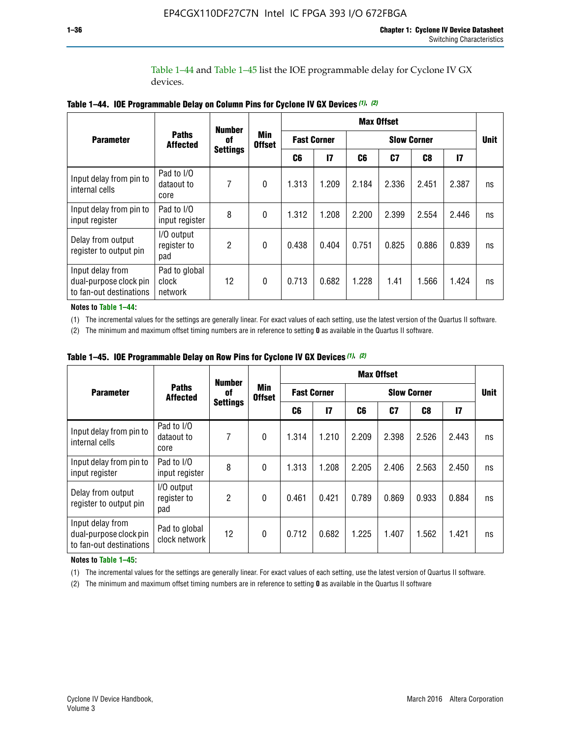Table 1–44 and Table 1–45 list the IOE programmable delay for Cyclone IV GX devices.

|                                                                       |                                   | <b>Number</b>   |                             | <b>Max Offset</b> |                    |                    |       |       |       |             |
|-----------------------------------------------------------------------|-----------------------------------|-----------------|-----------------------------|-------------------|--------------------|--------------------|-------|-------|-------|-------------|
| <b>Parameter</b>                                                      | <b>Paths</b><br><b>Affected</b>   | 0f              | <b>Min</b><br><b>Offset</b> |                   | <b>Fast Corner</b> | <b>Slow Corner</b> |       |       |       | <b>Unit</b> |
|                                                                       |                                   | <b>Settings</b> |                             | C6                | $\mathsf{I}7$      | C6                 | C7    | C8    | 17    |             |
| Input delay from pin to<br>internal cells                             | Pad to I/O<br>dataout to<br>core  | 7               | $\mathbf{0}$                | 1.313             | 1.209              | 2.184              | 2.336 | 2.451 | 2.387 | ns          |
| Input delay from pin to<br>input register                             | Pad to I/O<br>input register      | 8               | $\mathbf{0}$                | 1.312             | 1.208              | 2.200              | 2.399 | 2.554 | 2.446 | ns          |
| Delay from output<br>register to output pin                           | I/O output<br>register to<br>pad  | $\mathfrak{p}$  | $\mathbf{0}$                | 0.438             | 0.404              | 0.751              | 0.825 | 0.886 | 0.839 | ns          |
| Input delay from<br>dual-purpose clock pin<br>to fan-out destinations | Pad to global<br>clock<br>network | 12              | $\mathbf{0}$                | 0.713             | 0.682              | 1.228              | 1.41  | 1.566 | 1.424 | ns          |

**Table 1–44. IOE Programmable Delay on Column Pins for Cyclone IV GX Devices** *(1)***,** *(2)*

**Notes to Table 1–44:**

(1) The incremental values for the settings are generally linear. For exact values of each setting, use the latest version of the Quartus II software.

(2) The minimum and maximum offset timing numbers are in reference to setting **0** as available in the Quartus II software.

|                                                                       |                                  | <b>Number</b>         |                      |       |                    |                    | <b>Max Offset</b> |       |               |             |
|-----------------------------------------------------------------------|----------------------------------|-----------------------|----------------------|-------|--------------------|--------------------|-------------------|-------|---------------|-------------|
| <b>Parameter</b>                                                      | <b>Paths</b><br><b>Affected</b>  | of<br><b>Settings</b> | Min<br><b>Offset</b> |       | <b>Fast Corner</b> | <b>Slow Corner</b> |                   |       |               | <b>Unit</b> |
|                                                                       |                                  |                       |                      | C6    | $\mathbf{I}$       | C6                 | C7                | C8    | $\mathsf{I}7$ |             |
| Input delay from pin to<br>internal cells                             | Pad to I/O<br>dataout to<br>core | 7                     | $\mathbf{0}$         | 1.314 | 1.210              | 2.209              | 2.398             | 2.526 | 2.443         | ns          |
| Input delay from pin to<br>input register                             | Pad to I/O<br>input register     | 8                     | $\theta$             | 1.313 | 1.208              | 2.205              | 2.406             | 2.563 | 2.450         | ns          |
| Delay from output<br>register to output pin                           | I/O output<br>register to<br>pad | $\overline{2}$        | $\mathbf{0}$         | 0.461 | 0.421              | 0.789              | 0.869             | 0.933 | 0.884         | ns          |
| Input delay from<br>dual-purpose clock pin<br>to fan-out destinations | Pad to global<br>clock network   | 12                    | $\mathbf{0}$         | 0.712 | 0.682              | 1.225              | 1.407             | 1.562 | 1.421         | ns          |

**Table 1–45. IOE Programmable Delay on Row Pins for Cyclone IV GX Devices** *(1)***,** *(2)*

#### **Notes to Table 1–45:**

(1) The incremental values for the settings are generally linear. For exact values of each setting, use the latest version of Quartus II software.

(2) The minimum and maximum offset timing numbers are in reference to setting **0** as available in the Quartus II software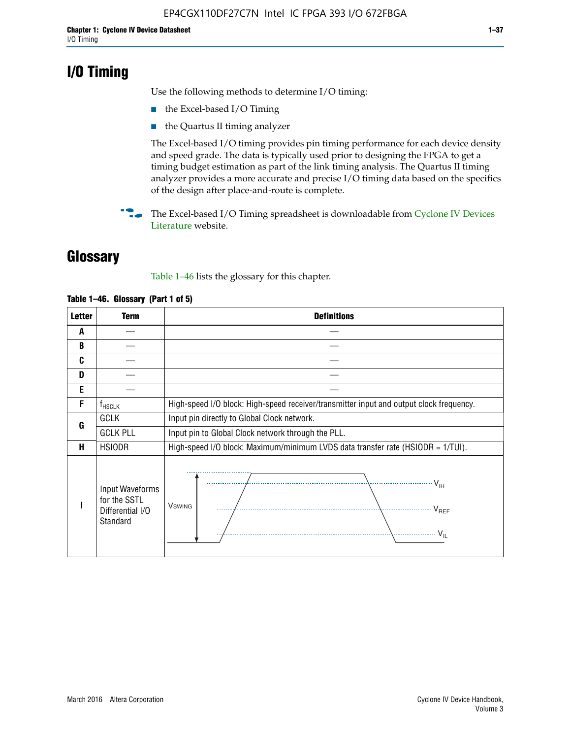# **I/O Timing**

Use the following methods to determine I/O timing:

- the Excel-based I/O Timing
- the Quartus II timing analyzer

The Excel-based I/O timing provides pin timing performance for each device density and speed grade. The data is typically used prior to designing the FPGA to get a timing budget estimation as part of the link timing analysis. The Quartus II timing analyzer provides a more accurate and precise I/O timing data based on the specifics of the design after place-and-route is complete.

**For The Excel-based I/O Timing spreadsheet is downloadable from Cyclone IV Devices** [Literature](http://www.altera.com/literature/lit-cyclone-iv.jsp) website.

# **Glossary**

Table 1–46 lists the glossary for this chapter.

| <b>Letter</b> | <b>Term</b>                                                     | <b>Definitions</b>                                                                                                                               |  |  |  |  |  |  |  |  |
|---------------|-----------------------------------------------------------------|--------------------------------------------------------------------------------------------------------------------------------------------------|--|--|--|--|--|--|--|--|
| A             |                                                                 |                                                                                                                                                  |  |  |  |  |  |  |  |  |
| B             |                                                                 |                                                                                                                                                  |  |  |  |  |  |  |  |  |
| C             |                                                                 |                                                                                                                                                  |  |  |  |  |  |  |  |  |
| D             |                                                                 |                                                                                                                                                  |  |  |  |  |  |  |  |  |
| E             |                                                                 |                                                                                                                                                  |  |  |  |  |  |  |  |  |
| F             | $f_{\sf HSCLK}$                                                 | High-speed I/O block: High-speed receiver/transmitter input and output clock frequency.                                                          |  |  |  |  |  |  |  |  |
| G             | <b>GCLK</b>                                                     | Input pin directly to Global Clock network.                                                                                                      |  |  |  |  |  |  |  |  |
|               | <b>GCLK PLL</b>                                                 | Input pin to Global Clock network through the PLL.                                                                                               |  |  |  |  |  |  |  |  |
| н             | <b>HSIODR</b>                                                   | High-speed I/O block: Maximum/minimum LVDS data transfer rate (HSIODR = 1/TUI).                                                                  |  |  |  |  |  |  |  |  |
|               | Input Waveforms<br>for the SSTL<br>Differential I/O<br>Standard | $\frac{1}{\sqrt{1+\frac{1}{2}}}\left\{ \frac{1}{\sqrt{1+\frac{1}{2}}}\right\}$<br><b>V</b> swing<br>$\cdots$ $V_{REF}$<br>\<br>$\sim V_{\rm IL}$ |  |  |  |  |  |  |  |  |

#### **Table 1–46. Glossary (Part 1 of 5)**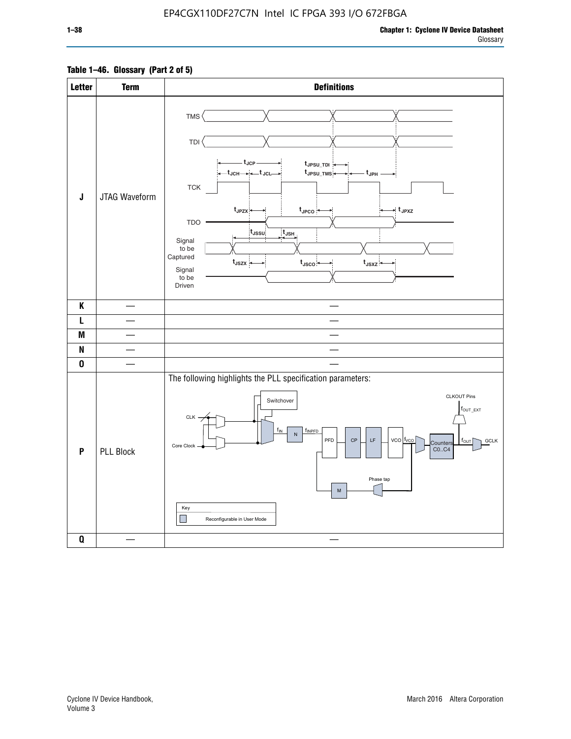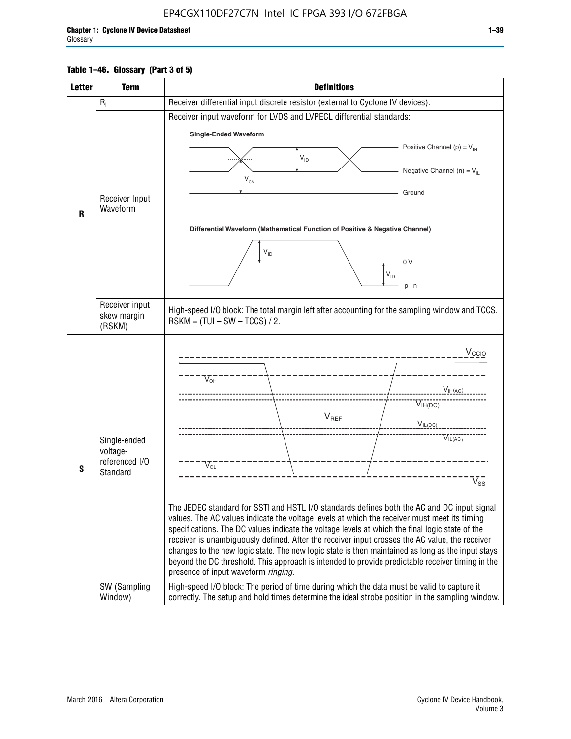#### **Table 1–46. Glossary (Part 3 of 5)**

| <b>Letter</b> | <b>Term</b>              | <b>Definitions</b>                                                                                                                                                                                |
|---------------|--------------------------|---------------------------------------------------------------------------------------------------------------------------------------------------------------------------------------------------|
|               | $R_L$                    | Receiver differential input discrete resistor (external to Cyclone IV devices).                                                                                                                   |
|               |                          | Receiver input waveform for LVDS and LVPECL differential standards:                                                                                                                               |
|               |                          | <b>Single-Ended Waveform</b>                                                                                                                                                                      |
|               |                          | Positive Channel (p) = $V_{\text{H}}$                                                                                                                                                             |
|               |                          | $\mathsf{V}_{\mathsf{ID}}$                                                                                                                                                                        |
|               |                          | Negative Channel (n) = $V_{\parallel}$<br>$V_{CM}$                                                                                                                                                |
|               | Receiver Input           | Ground                                                                                                                                                                                            |
| R             | Waveform                 |                                                                                                                                                                                                   |
|               |                          | Differential Waveform (Mathematical Function of Positive & Negative Channel)                                                                                                                      |
|               |                          |                                                                                                                                                                                                   |
|               |                          | $V_{ID}$<br>0V                                                                                                                                                                                    |
|               |                          | $V_{ID}$                                                                                                                                                                                          |
|               |                          | $p - n$                                                                                                                                                                                           |
|               | Receiver input           |                                                                                                                                                                                                   |
|               | skew margin              | High-speed I/O block: The total margin left after accounting for the sampling window and TCCS.<br>$RSKM = (TUI - SW - TCCS) / 2.$                                                                 |
|               | (RSKM)                   |                                                                                                                                                                                                   |
|               |                          | $V_{CCIO}$                                                                                                                                                                                        |
|               |                          |                                                                                                                                                                                                   |
|               |                          | $V_{\text{\tiny OH}}^-$                                                                                                                                                                           |
|               |                          | $V_{H(AC)}$                                                                                                                                                                                       |
|               |                          | $V_{IH(DC)}$<br>V <sub>REF</sub>                                                                                                                                                                  |
|               |                          | $V_{\text{IL(DC)}}$                                                                                                                                                                               |
|               | Single-ended<br>voltage- | VIL(AC)                                                                                                                                                                                           |
|               | referenced I/O           | $V_{\text{OL}}$                                                                                                                                                                                   |
| S             | Standard                 | $\rm V_{ss}^-$                                                                                                                                                                                    |
|               |                          |                                                                                                                                                                                                   |
|               |                          | The JEDEC standard for SSTI and HSTL I/O standards defines both the AC and DC input signal                                                                                                        |
|               |                          | values. The AC values indicate the voltage levels at which the receiver must meet its timing                                                                                                      |
|               |                          | specifications. The DC values indicate the voltage levels at which the final logic state of the<br>receiver is unambiguously defined. After the receiver input crosses the AC value, the receiver |
|               |                          | changes to the new logic state. The new logic state is then maintained as long as the input stays                                                                                                 |
|               |                          | beyond the DC threshold. This approach is intended to provide predictable receiver timing in the<br>presence of input waveform ringing.                                                           |
|               | SW (Sampling             | High-speed I/O block: The period of time during which the data must be valid to capture it                                                                                                        |
|               | Window)                  | correctly. The setup and hold times determine the ideal strobe position in the sampling window.                                                                                                   |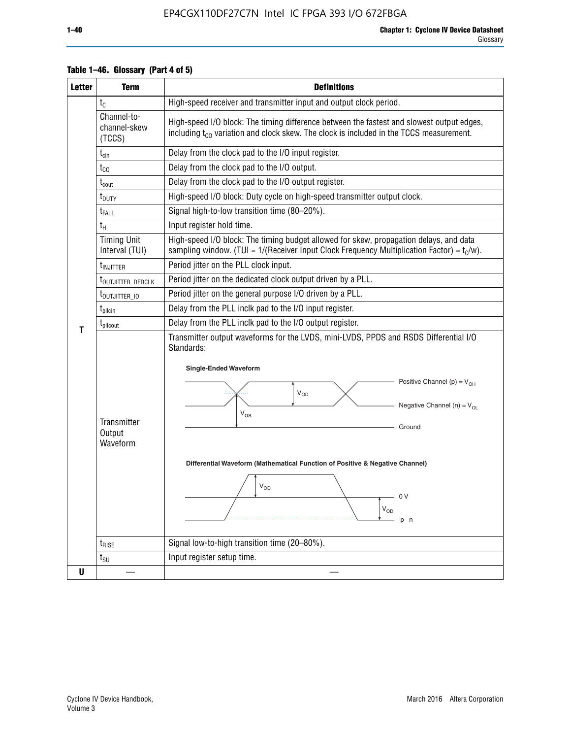| <b>Letter</b> | <b>Term</b>                           | <b>Definitions</b>                                                                                                                                                                                                                                                                                                                                                    |  |  |  |  |  |  |  |  |  |
|---------------|---------------------------------------|-----------------------------------------------------------------------------------------------------------------------------------------------------------------------------------------------------------------------------------------------------------------------------------------------------------------------------------------------------------------------|--|--|--|--|--|--|--|--|--|
|               | $t_{\rm C}$                           | High-speed receiver and transmitter input and output clock period.                                                                                                                                                                                                                                                                                                    |  |  |  |  |  |  |  |  |  |
|               | Channel-to-<br>channel-skew<br>(TCCS) | High-speed I/O block: The timing difference between the fastest and slowest output edges,<br>including t <sub>co</sub> variation and clock skew. The clock is included in the TCCS measurement.                                                                                                                                                                       |  |  |  |  |  |  |  |  |  |
|               | $t_{\text{cin}}$                      | Delay from the clock pad to the I/O input register.                                                                                                                                                                                                                                                                                                                   |  |  |  |  |  |  |  |  |  |
|               | $t_{\rm CO}$                          | Delay from the clock pad to the I/O output.                                                                                                                                                                                                                                                                                                                           |  |  |  |  |  |  |  |  |  |
|               | $t_{\mathsf{cout}}$                   | Delay from the clock pad to the I/O output register.                                                                                                                                                                                                                                                                                                                  |  |  |  |  |  |  |  |  |  |
|               | $t_{\text{DUTY}}$                     | High-speed I/O block: Duty cycle on high-speed transmitter output clock.                                                                                                                                                                                                                                                                                              |  |  |  |  |  |  |  |  |  |
|               | t <sub>FALL</sub>                     | Signal high-to-low transition time (80-20%).                                                                                                                                                                                                                                                                                                                          |  |  |  |  |  |  |  |  |  |
|               | $t_{H}$                               | Input register hold time.                                                                                                                                                                                                                                                                                                                                             |  |  |  |  |  |  |  |  |  |
|               | <b>Timing Unit</b><br>Interval (TUI)  | High-speed I/O block: The timing budget allowed for skew, propagation delays, and data<br>sampling window. (TUI = $1/($ Receiver Input Clock Frequency Multiplication Factor) = $t_c/w$ ).                                                                                                                                                                            |  |  |  |  |  |  |  |  |  |
|               | t <sub>INJITTER</sub>                 | Period jitter on the PLL clock input.                                                                                                                                                                                                                                                                                                                                 |  |  |  |  |  |  |  |  |  |
|               | t <sub>outjitter_dedclk</sub>         | Period jitter on the dedicated clock output driven by a PLL.                                                                                                                                                                                                                                                                                                          |  |  |  |  |  |  |  |  |  |
|               | t <sub>outjitter_io</sub>             | Period jitter on the general purpose I/O driven by a PLL.                                                                                                                                                                                                                                                                                                             |  |  |  |  |  |  |  |  |  |
|               | $t_{\text{pllcin}}$                   | Delay from the PLL inclk pad to the I/O input register.                                                                                                                                                                                                                                                                                                               |  |  |  |  |  |  |  |  |  |
| т             | t <sub>plicout</sub>                  | Delay from the PLL inclk pad to the I/O output register.                                                                                                                                                                                                                                                                                                              |  |  |  |  |  |  |  |  |  |
|               | Transmitter<br>Output<br>Waveform     | Transmitter output waveforms for the LVDS, mini-LVDS, PPDS and RSDS Differential I/O<br>Standards:<br><b>Single-Ended Waveform</b><br>Positive Channel (p) = $V_{OH}$<br>VOD<br>Negative Channel (n) = $V_{OL}$<br>$\rm V_{OS}$<br>Ground<br>Differential Waveform (Mathematical Function of Positive & Negative Channel)<br>$V_{OD}$<br>- 0 V<br>$V_{OD}$<br>$p - n$ |  |  |  |  |  |  |  |  |  |
|               | $t_{RISE}$                            | Signal low-to-high transition time (20-80%).                                                                                                                                                                                                                                                                                                                          |  |  |  |  |  |  |  |  |  |
|               | $t_{\scriptstyle\text{SU}}$           | Input register setup time.                                                                                                                                                                                                                                                                                                                                            |  |  |  |  |  |  |  |  |  |
| U             |                                       |                                                                                                                                                                                                                                                                                                                                                                       |  |  |  |  |  |  |  |  |  |

#### **Table 1–46. Glossary (Part 4 of 5)**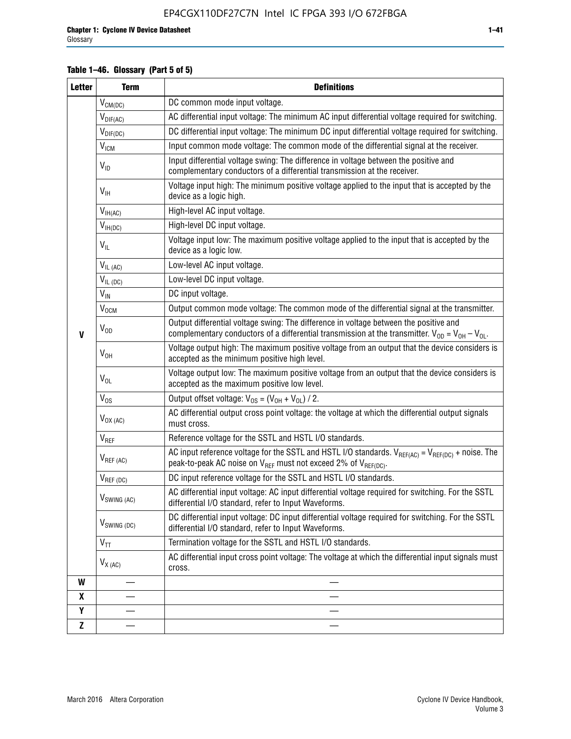#### **Table 1–46. Glossary (Part 5 of 5)**

| <b>Letter</b>    | <b>Term</b>               | <b>Definitions</b>                                                                                                                                                                                |
|------------------|---------------------------|---------------------------------------------------------------------------------------------------------------------------------------------------------------------------------------------------|
|                  | $V_{CM(DC)}$              | DC common mode input voltage.                                                                                                                                                                     |
|                  | $V_{DIF(AC)}$             | AC differential input voltage: The minimum AC input differential voltage required for switching.                                                                                                  |
|                  | $V_{DIF(DC)}$             | DC differential input voltage: The minimum DC input differential voltage required for switching.                                                                                                  |
|                  | <b>V<sub>ICM</sub></b>    | Input common mode voltage: The common mode of the differential signal at the receiver.                                                                                                            |
|                  | $V_{ID}$                  | Input differential voltage swing: The difference in voltage between the positive and<br>complementary conductors of a differential transmission at the receiver.                                  |
|                  | $V_{\text{IH}}$           | Voltage input high: The minimum positive voltage applied to the input that is accepted by the<br>device as a logic high.                                                                          |
|                  | $V_{IH(AC)}$              | High-level AC input voltage.                                                                                                                                                                      |
|                  | $V_{IH(DC)}$              | High-level DC input voltage.                                                                                                                                                                      |
|                  | $V_{IL}$                  | Voltage input low: The maximum positive voltage applied to the input that is accepted by the<br>device as a logic low.                                                                            |
|                  | $V_{IL (AC)}$             | Low-level AC input voltage.                                                                                                                                                                       |
|                  | $V_{IL(DC)}$              | Low-level DC input voltage.                                                                                                                                                                       |
|                  | $V_{\text{IN}}$           | DC input voltage.                                                                                                                                                                                 |
|                  | $\rm V_{\rm OCM}$         | Output common mode voltage: The common mode of the differential signal at the transmitter.                                                                                                        |
| $\mathbf{V}$     | $V_{OD}$                  | Output differential voltage swing: The difference in voltage between the positive and<br>complementary conductors of a differential transmission at the transmitter. $V_{OD} = V_{OH} - V_{OL}$ . |
|                  | $V_{OH}$                  | Voltage output high: The maximum positive voltage from an output that the device considers is<br>accepted as the minimum positive high level.                                                     |
|                  | $V_{OL}$                  | Voltage output low: The maximum positive voltage from an output that the device considers is<br>accepted as the maximum positive low level.                                                       |
|                  | $V_{OS}$                  | Output offset voltage: $V_{OS} = (V_{OH} + V_{OL}) / 2$ .                                                                                                                                         |
|                  | $V_{OX (AC)}$             | AC differential output cross point voltage: the voltage at which the differential output signals<br>must cross.                                                                                   |
|                  | $V_{REF}$                 | Reference voltage for the SSTL and HSTL I/O standards.                                                                                                                                            |
|                  | $V_{REF\,(AC)}$           | AC input reference voltage for the SSTL and HSTL I/O standards. $V_{REF(AC)} = V_{REF(DC)} +$ noise. The<br>peak-to-peak AC noise on $V_{REF}$ must not exceed 2% of $V_{REF(DC)}$ .              |
|                  | $V_{REF(DC)}$             | DC input reference voltage for the SSTL and HSTL I/O standards.                                                                                                                                   |
|                  | $V_{\textrm{SWING (AC)}}$ | AC differential input voltage: AC input differential voltage required for switching. For the SSTL<br>differential I/O standard, refer to Input Waveforms.                                         |
|                  | V <sub>SWING (DC)</sub>   | DC differential input voltage: DC input differential voltage required for switching. For the SSTL<br>differential I/O standard, refer to Input Waveforms.                                         |
|                  | $V_{TT}$                  | Termination voltage for the SSTL and HSTL I/O standards.                                                                                                                                          |
|                  | $V_{X (AC)}$              | AC differential input cross point voltage: The voltage at which the differential input signals must<br>cross.                                                                                     |
| W                |                           |                                                                                                                                                                                                   |
| $\boldsymbol{x}$ |                           |                                                                                                                                                                                                   |
| Y                |                           |                                                                                                                                                                                                   |
| $\mathbf{Z}$     |                           |                                                                                                                                                                                                   |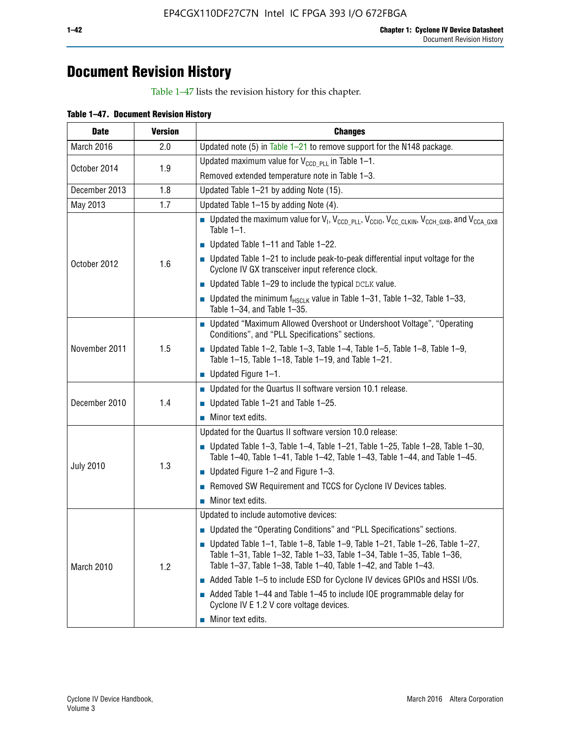# **Document Revision History**

Table 1–47 lists the revision history for this chapter.

| <b>Date</b>      | <b>Version</b> | <b>Changes</b>                                                                                                                                                                                                                            |
|------------------|----------------|-------------------------------------------------------------------------------------------------------------------------------------------------------------------------------------------------------------------------------------------|
| March 2016       | 2.0            | Updated note (5) in Table $1-21$ to remove support for the N148 package.                                                                                                                                                                  |
| October 2014     | 1.9            | Updated maximum value for $V_{CCD, PL}$ in Table 1-1.                                                                                                                                                                                     |
|                  |                | Removed extended temperature note in Table 1-3.                                                                                                                                                                                           |
| December 2013    | 1.8            | Updated Table 1-21 by adding Note (15).                                                                                                                                                                                                   |
| May 2013         | 1.7            | Updated Table 1-15 by adding Note (4).                                                                                                                                                                                                    |
| October 2012     | 1.6            | Dpdated the maximum value for $V_1$ , $V_{CCD\_PLL}$ , $V_{CC10}$ , $V_{CC\_CLKIN}$ , $V_{CCH\_GXB}$ , and $V_{CCA\_GXB}$<br>Table $1-1$ .                                                                                                |
|                  |                | $\blacksquare$ Updated Table 1-11 and Table 1-22.                                                                                                                                                                                         |
|                  |                | $\blacksquare$ Updated Table 1-21 to include peak-to-peak differential input voltage for the<br>Cyclone IV GX transceiver input reference clock.                                                                                          |
|                  |                | $\blacksquare$ Updated Table 1-29 to include the typical DCLK value.                                                                                                                                                                      |
|                  |                | <b>Updated the minimum f<sub>HSCLK</sub></b> value in Table 1-31, Table 1-32, Table 1-33,<br>Table 1-34, and Table 1-35.                                                                                                                  |
| November 2011    | 1.5            | • Updated "Maximum Allowed Overshoot or Undershoot Voltage", "Operating<br>Conditions", and "PLL Specifications" sections.                                                                                                                |
|                  |                | Updated Table 1-2, Table 1-3, Table 1-4, Table 1-5, Table 1-8, Table 1-9,<br>Table 1-15, Table 1-18, Table 1-19, and Table 1-21.                                                                                                          |
|                  |                | ■ Updated Figure $1-1$ .                                                                                                                                                                                                                  |
| December 2010    | 1.4            | • Updated for the Quartus II software version 10.1 release.                                                                                                                                                                               |
|                  |                | $\blacksquare$ Updated Table 1-21 and Table 1-25.                                                                                                                                                                                         |
|                  |                | $\blacksquare$ Minor text edits.                                                                                                                                                                                                          |
|                  | 1.3            | Updated for the Quartus II software version 10.0 release:                                                                                                                                                                                 |
| <b>July 2010</b> |                | Updated Table 1-3, Table 1-4, Table 1-21, Table 1-25, Table 1-28, Table 1-30,<br>Table 1-40, Table 1-41, Table 1-42, Table 1-43, Table 1-44, and Table 1-45.                                                                              |
|                  |                | ■ Updated Figure $1-2$ and Figure $1-3$ .                                                                                                                                                                                                 |
|                  |                | Removed SW Requirement and TCCS for Cyclone IV Devices tables.                                                                                                                                                                            |
|                  |                | $\blacksquare$ Minor text edits.                                                                                                                                                                                                          |
|                  | 1.2            | Updated to include automotive devices:                                                                                                                                                                                                    |
| March 2010       |                | • Updated the "Operating Conditions" and "PLL Specifications" sections.                                                                                                                                                                   |
|                  |                | $\blacksquare$ Updated Table 1-1, Table 1-8, Table 1-9, Table 1-21, Table 1-26, Table 1-27,<br>Table 1-31, Table 1-32, Table 1-33, Table 1-34, Table 1-35, Table 1-36,<br>Table 1-37, Table 1-38, Table 1-40, Table 1-42, and Table 1-43. |
|                  |                | Added Table 1-5 to include ESD for Cyclone IV devices GPIOs and HSSI I/Os.                                                                                                                                                                |
|                  |                | Added Table 1-44 and Table 1-45 to include IOE programmable delay for<br>Cyclone IV E 1.2 V core voltage devices.                                                                                                                         |
|                  |                | Minor text edits.                                                                                                                                                                                                                         |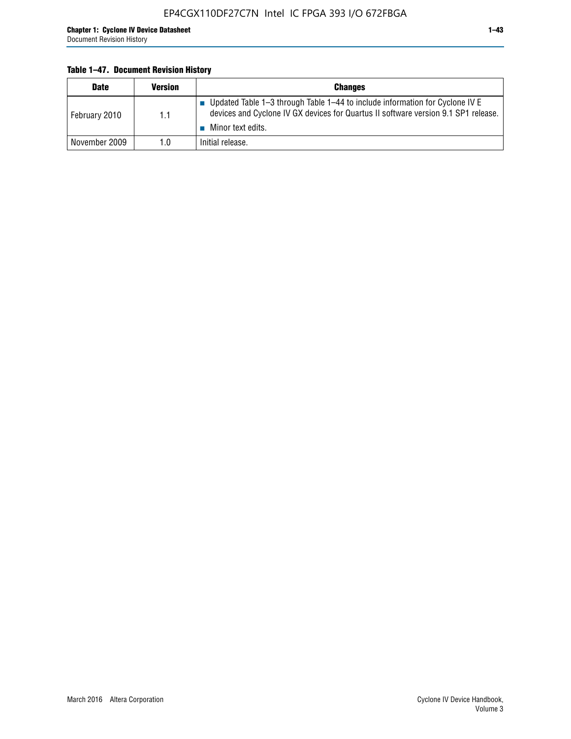#### **Table 1–47. Document Revision History**

| <b>Date</b>   | <b>Version</b> | <b>Changes</b>                                                                                                                                                                          |
|---------------|----------------|-----------------------------------------------------------------------------------------------------------------------------------------------------------------------------------------|
| February 2010 | 1.1            | Updated Table 1-3 through Table 1-44 to include information for Cyclone IV E<br>devices and Cyclone IV GX devices for Quartus II software version 9.1 SP1 release.<br>Minor text edits. |
| November 2009 | 1.0            | Initial release.                                                                                                                                                                        |